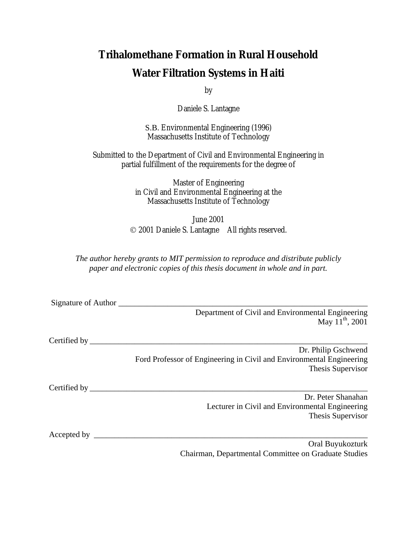## **Trihalomethane Formation in Rural Household Water Filtration Systems in Haiti**

by

Daniele S. Lantagne

S.B. Environmental Engineering (1996) Massachusetts Institute of Technology

Submitted to the Department of Civil and Environmental Engineering in partial fulfillment of the requirements for the degree of

> Master of Engineering in Civil and Environmental Engineering at the Massachusetts Institute of Technology

June 2001 2001 Daniele S. Lantagne All rights reserved.

*The author hereby grants to MIT permission to reproduce and distribute publicly paper and electronic copies of this thesis document in whole and in part.* 

Signature of Author

Department of Civil and Environmental Engineering May  $11^{th}$ , 2001

Certified by \_\_\_\_\_\_\_\_\_\_\_\_\_\_\_\_\_\_\_\_\_\_\_\_\_\_\_\_\_\_\_\_\_\_\_\_\_\_\_\_\_\_\_\_\_\_\_\_\_\_\_\_\_\_\_\_\_\_\_\_\_\_\_\_\_\_\_\_

Dr. Philip Gschwend Ford Professor of Engineering in Civil and Environmental Engineering Thesis Supervisor

Certified by \_\_\_\_\_\_\_\_\_\_\_\_\_\_\_\_\_\_\_\_\_\_\_\_\_\_\_\_\_\_\_\_\_\_\_\_\_\_\_\_\_\_\_\_\_\_\_\_\_\_\_\_\_\_\_\_\_\_\_\_\_\_\_\_\_\_\_\_

Dr. Peter Shanahan Lecturer in Civil and Environmental Engineering Thesis Supervisor

Accepted by \_\_\_\_\_\_\_\_\_\_\_\_\_\_\_\_\_\_\_\_\_\_\_\_\_\_\_\_\_\_\_\_\_\_\_\_\_\_\_\_\_\_\_\_\_\_\_\_\_\_\_\_\_\_\_\_\_\_\_\_\_\_\_\_\_\_\_

Oral Buyukozturk Chairman, Departmental Committee on Graduate Studies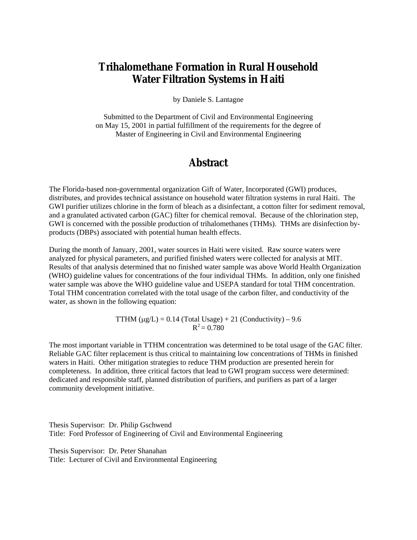#### **Trihalomethane Formation in Rural Household Water Filtration Systems in Haiti**

by Daniele S. Lantagne

Submitted to the Department of Civil and Environmental Engineering on May 15, 2001 in partial fulfillment of the requirements for the degree of Master of Engineering in Civil and Environmental Engineering

#### **Abstract**

The Florida-based non-governmental organization Gift of Water, Incorporated (GWI) produces, distributes, and provides technical assistance on household water filtration systems in rural Haiti. The GWI purifier utilizes chlorine in the form of bleach as a disinfectant, a cotton filter for sediment removal, and a granulated activated carbon (GAC) filter for chemical removal. Because of the chlorination step, GWI is concerned with the possible production of trihalomethanes (THMs). THMs are disinfection byproducts (DBPs) associated with potential human health effects.

During the month of January, 2001, water sources in Haiti were visited. Raw source waters were analyzed for physical parameters, and purified finished waters were collected for analysis at MIT. Results of that analysis determined that no finished water sample was above World Health Organization (WHO) guideline values for concentrations of the four individual THMs. In addition, only one finished water sample was above the WHO guideline value and USEPA standard for total THM concentration. Total THM concentration correlated with the total usage of the carbon filter, and conductivity of the water, as shown in the following equation:

> TTHM  $(\mu g/L) = 0.14$  (Total Usage) + 21 (Conductivity) – 9.6  $R^2 = 0.780$

The most important variable in TTHM concentration was determined to be total usage of the GAC filter. Reliable GAC filter replacement is thus critical to maintaining low concentrations of THMs in finished waters in Haiti. Other mitigation strategies to reduce THM production are presented herein for completeness. In addition, three critical factors that lead to GWI program success were determined: dedicated and responsible staff, planned distribution of purifiers, and purifiers as part of a larger community development initiative.

Thesis Supervisor: Dr. Philip Gschwend Title: Ford Professor of Engineering of Civil and Environmental Engineering

Thesis Supervisor: Dr. Peter Shanahan Title: Lecturer of Civil and Environmental Engineering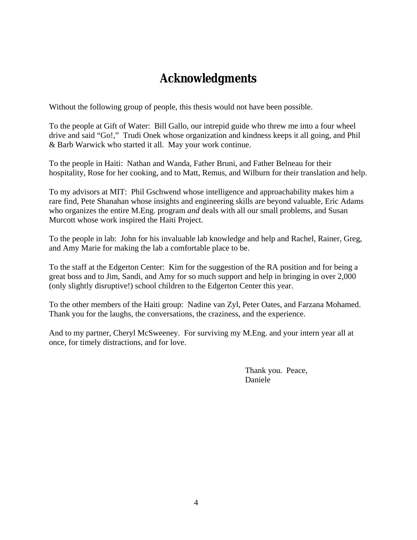## **Acknowledgments**

Without the following group of people, this thesis would not have been possible.

To the people at Gift of Water: Bill Gallo, our intrepid guide who threw me into a four wheel drive and said "Go!," Trudi Onek whose organization and kindness keeps it all going, and Phil & Barb Warwick who started it all. May your work continue.

To the people in Haiti: Nathan and Wanda, Father Bruni, and Father Belneau for their hospitality, Rose for her cooking, and to Matt, Remus, and Wilburn for their translation and help.

To my advisors at MIT: Phil Gschwend whose intelligence and approachability makes him a rare find, Pete Shanahan whose insights and engineering skills are beyond valuable, Eric Adams who organizes the entire M.Eng. program *and* deals with all our small problems, and Susan Murcott whose work inspired the Haiti Project.

To the people in lab: John for his invaluable lab knowledge and help and Rachel, Rainer, Greg, and Amy Marie for making the lab a comfortable place to be.

To the staff at the Edgerton Center: Kim for the suggestion of the RA position and for being a great boss and to Jim, Sandi, and Amy for so much support and help in bringing in over 2,000 (only slightly disruptive!) school children to the Edgerton Center this year.

To the other members of the Haiti group: Nadine van Zyl, Peter Oates, and Farzana Mohamed. Thank you for the laughs, the conversations, the craziness, and the experience.

And to my partner, Cheryl McSweeney. For surviving my M.Eng. and your intern year all at once, for timely distractions, and for love.

Thank you. Peace, Daniele Daniele Daniele Daniele Daniele Daniele Daniele Daniele Daniele Daniele Daniele Daniele Daniele Daniele D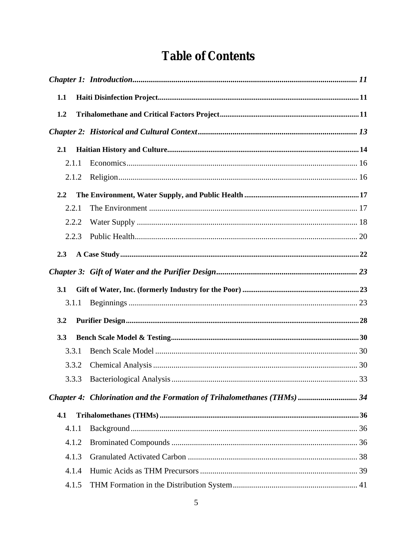## **Table of Contents**

| 1.1 |       |                                                                        |  |
|-----|-------|------------------------------------------------------------------------|--|
| 1.2 |       |                                                                        |  |
|     |       |                                                                        |  |
| 2.1 |       |                                                                        |  |
|     | 2.1.1 |                                                                        |  |
|     | 2.1.2 |                                                                        |  |
| 2.2 |       |                                                                        |  |
|     | 2.2.1 |                                                                        |  |
|     | 2.2.2 |                                                                        |  |
|     | 2.2.3 |                                                                        |  |
| 2.3 |       |                                                                        |  |
|     |       |                                                                        |  |
| 3.1 |       |                                                                        |  |
|     | 3.1.1 |                                                                        |  |
| 3.2 |       |                                                                        |  |
| 3.3 |       |                                                                        |  |
|     | 3.3.1 |                                                                        |  |
|     | 3.3.2 |                                                                        |  |
|     |       |                                                                        |  |
|     |       | Chapter 4: Chlorination and the Formation of Trihalomethanes (THMs) 34 |  |
| 4.1 |       |                                                                        |  |
|     | 4.1.1 |                                                                        |  |
|     | 4.1.2 |                                                                        |  |
|     | 4.1.3 |                                                                        |  |
|     | 4.1.4 |                                                                        |  |
|     | 4.1.5 |                                                                        |  |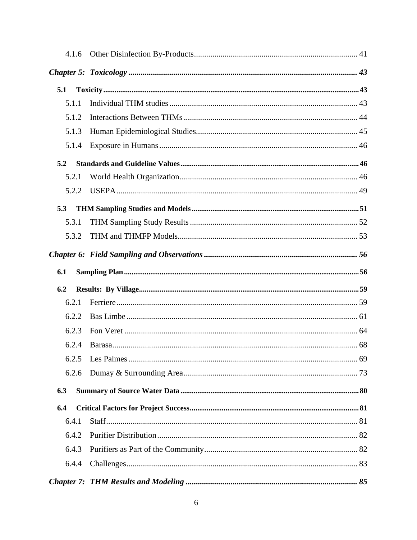| 4.1.6 |  |
|-------|--|
|       |  |
| 5.1   |  |
| 5.1.1 |  |
| 5.1.2 |  |
| 5.1.3 |  |
| 5.1.4 |  |
| 5.2   |  |
| 5.2.1 |  |
| 5.2.2 |  |
| 5.3   |  |
| 5.3.1 |  |
| 5.3.2 |  |
|       |  |
| 6.1   |  |
| 6.2   |  |
| 6.2.1 |  |
| 6.2.2 |  |
| 6.2.3 |  |
| 6.2.4 |  |
| 6.2.5 |  |
| 6.2.6 |  |
| 6.3   |  |
| 6.4   |  |
| 6.4.1 |  |
| 6.4.2 |  |
| 6.4.3 |  |
| 6.4.4 |  |
|       |  |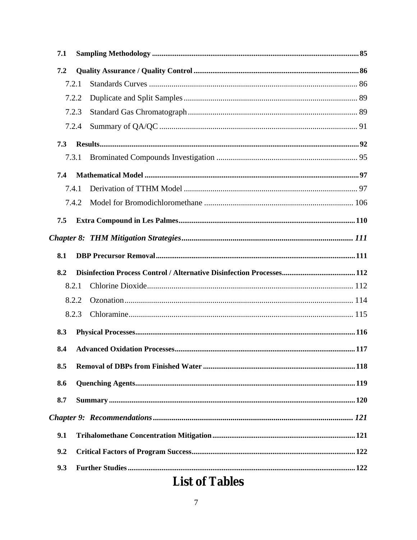| 7.1 |       |  |
|-----|-------|--|
| 7.2 |       |  |
|     | 7.2.1 |  |
|     | 7.2.2 |  |
|     | 7.2.3 |  |
|     | 7.2.4 |  |
| 7.3 |       |  |
|     | 7.3.1 |  |
| 7.4 |       |  |
|     | 7.4.1 |  |
|     | 7.4.2 |  |
| 7.5 |       |  |
|     |       |  |
| 8.1 |       |  |
|     |       |  |
| 8.2 |       |  |
|     | 8.2.1 |  |
|     | 8.2.2 |  |
|     | 8.2.3 |  |
| 8.3 |       |  |
| 8.4 |       |  |
| 8.5 |       |  |
| 8.6 |       |  |
| 8.7 |       |  |
|     |       |  |
| 9.1 |       |  |
| 9.2 |       |  |

## **List of Tables**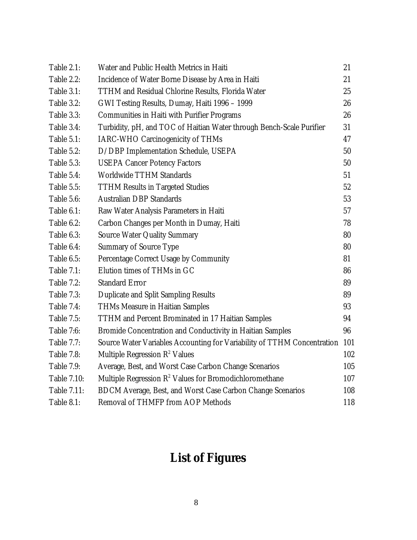| <b>Table 2.1:</b>  | Water and Public Health Metrics in Haiti                                | 21  |
|--------------------|-------------------------------------------------------------------------|-----|
| <b>Table 2.2:</b>  | Incidence of Water Borne Disease by Area in Haiti                       | 21  |
| Table 3.1:         | <b>TTHM and Residual Chlorine Results, Florida Water</b>                | 25  |
| <b>Table 3.2:</b>  | GWI Testing Results, Dumay, Haiti 1996 - 1999                           | 26  |
| Table 3.3:         | <b>Communities in Haiti with Purifier Programs</b>                      | 26  |
| Table 3.4:         | Turbidity, pH, and TOC of Haitian Water through Bench-Scale Purifier    | 31  |
| Table 5.1:         | <b>IARC-WHO Carcinogenicity of THMs</b>                                 | 47  |
| <b>Table 5.2:</b>  | D/DBP Implementation Schedule, USEPA                                    | 50  |
| Table 5.3:         | <b>USEPA Cancer Potency Factors</b>                                     | 50  |
| Table 5.4:         | <b>Worldwide TTHM Standards</b>                                         | 51  |
| <b>Table 5.5:</b>  | <b>TTHM Results in Targeted Studies</b>                                 | 52  |
| Table 5.6:         | <b>Australian DBP Standards</b>                                         | 53  |
| Table 6.1:         | Raw Water Analysis Parameters in Haiti                                  | 57  |
| <b>Table 6.2:</b>  | Carbon Changes per Month in Dumay, Haiti                                | 78  |
| Table 6.3:         | <b>Source Water Quality Summary</b>                                     | 80  |
| Table 6.4:         | <b>Summary of Source Type</b>                                           | 80  |
| Table 6.5:         | Percentage Correct Usage by Community                                   | 81  |
| <b>Table 7.1:</b>  | Elution times of THMs in GC                                             | 86  |
| <b>Table 7.2:</b>  | <b>Standard Error</b>                                                   | 89  |
| <b>Table 7.3:</b>  | <b>Duplicate and Split Sampling Results</b>                             | 89  |
| <b>Table 7.4:</b>  | <b>THMs Measure in Haitian Samples</b>                                  | 93  |
| <b>Table 7.5:</b>  | <b>TTHM</b> and Percent Brominated in 17 Haitian Samples                | 94  |
| <b>Table 7:6:</b>  | <b>Bromide Concentration and Conductivity in Haitian Samples</b>        | 96  |
| <b>Table 7.7:</b>  | Source Water Variables Accounting for Variability of TTHM Concentration | 101 |
| <b>Table 7.8:</b>  | Multiple Regression $R^2$ Values                                        | 102 |
| <b>Table 7.9:</b>  | Average, Best, and Worst Case Carbon Change Scenarios                   | 105 |
| <b>Table 7.10:</b> | Multiple Regression R <sup>2</sup> Values for Bromodichloromethane      | 107 |
| <b>Table 7.11:</b> | BDCM Average, Best, and Worst Case Carbon Change Scenarios              | 108 |
| <b>Table 8.1:</b>  | <b>Removal of THMFP from AOP Methods</b>                                | 118 |

# **List of Figures**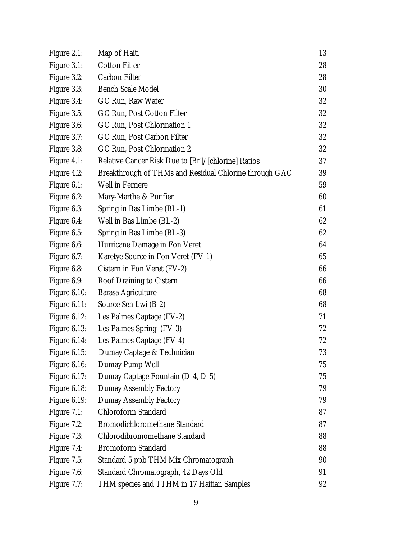| Figure 2.1:         | Map of Haiti                                           | 13 |
|---------------------|--------------------------------------------------------|----|
| Figure 3.1:         | <b>Cotton Filter</b>                                   | 28 |
| Figure 3.2:         | <b>Carbon Filter</b>                                   | 28 |
| Figure 3.3:         | <b>Bench Scale Model</b>                               | 30 |
| Figure 3.4:         | GC Run, Raw Water                                      | 32 |
| Figure 3.5:         | GC Run, Post Cotton Filter                             | 32 |
| Figure 3.6:         | GC Run, Post Chlorination 1                            | 32 |
| Figure 3.7:         | GC Run, Post Carbon Filter                             | 32 |
| Figure 3.8:         | GC Run, Post Chlorination 2                            | 32 |
| Figure 4.1:         | Relative Cancer Risk Due to [Br]/[chlorine] Ratios     | 37 |
| Figure 4.2:         | Breakthrough of THMs and Residual Chlorine through GAC | 39 |
| Figure 6.1:         | <b>Well in Ferriere</b>                                | 59 |
| Figure 6.2:         | Mary-Marthe & Purifier                                 | 60 |
| Figure 6.3:         | Spring in Bas Limbe (BL-1)                             | 61 |
| Figure 6.4:         | Well in Bas Limbe (BL-2)                               | 62 |
| Figure 6.5:         | Spring in Bas Limbe (BL-3)                             | 62 |
| Figure 6.6:         | Hurricane Damage in Fon Veret                          | 64 |
| Figure 6.7:         | Karetye Source in Fon Veret (FV-1)                     | 65 |
| Figure 6.8:         | Cistern in Fon Veret (FV-2)                            | 66 |
| Figure 6.9:         | <b>Roof Draining to Cistern</b>                        | 66 |
| <b>Figure 6.10:</b> | <b>Barasa Agriculture</b>                              | 68 |
| Figure $6.11$ :     | Source Sen Lwi (B-2)                                   | 68 |
| Figure 6.12:        | Les Palmes Captage (FV-2)                              | 71 |
| Figure 6.13:        | Les Palmes Spring (FV-3)                               | 72 |
| Figure 6.14:        | Les Palmes Captage (FV-4)                              | 72 |
| Figure $6.15$ :     | Dumay Captage & Technician                             | 73 |
| Figure 6.16:        | Dumay Pump Well                                        | 75 |
| Figure 6.17:        | Dumay Captage Fountain (D-4, D-5)                      | 75 |
| Figure 6.18:        | <b>Dumay Assembly Factory</b>                          | 79 |
| Figure 6.19:        | <b>Dumay Assembly Factory</b>                          | 79 |
| Figure 7.1:         | <b>Chloroform Standard</b>                             | 87 |
| Figure 7.2:         | <b>Bromodichloromethane Standard</b>                   | 87 |
| Figure 7.3:         | Chlorodibromomethane Standard                          | 88 |
| Figure 7.4:         | <b>Bromoform Standard</b>                              | 88 |
| Figure 7.5:         | Standard 5 ppb THM Mix Chromatograph                   | 90 |
| Figure 7.6:         | Standard Chromatograph, 42 Days Old                    | 91 |
| Figure 7.7:         | THM species and TTHM in 17 Haitian Samples             | 92 |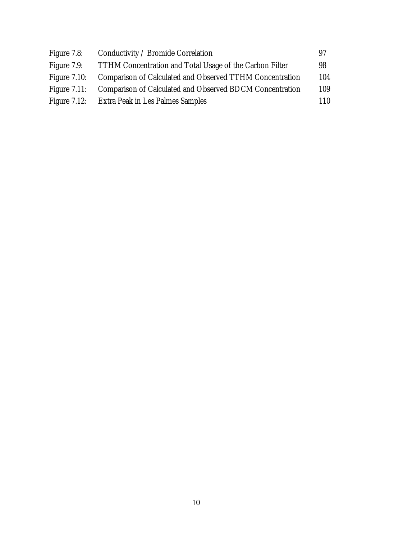| Figure 7.8:     | Conductivity / Bromide Correlation                                    | 97  |
|-----------------|-----------------------------------------------------------------------|-----|
| Figure 7.9:     | TTHM Concentration and Total Usage of the Carbon Filter               | 98  |
| Figure $7.10$ : | <b>Comparison of Calculated and Observed TTHM Concentration</b>       | 104 |
|                 | Figure 7.11: Comparison of Calculated and Observed BDCM Concentration | 109 |
|                 | Figure 7.12: Extra Peak in Les Palmes Samples                         | 110 |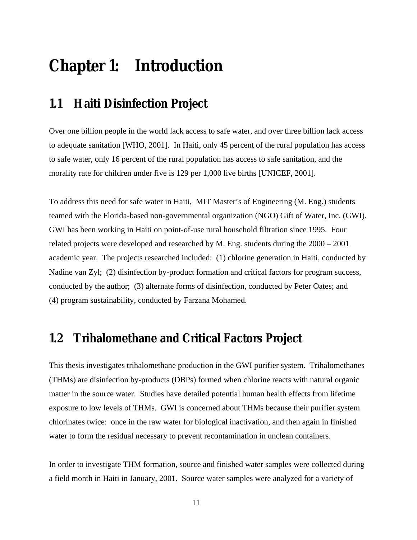# **Chapter 1: Introduction**

#### **1.1 Haiti Disinfection Project**

Over one billion people in the world lack access to safe water, and over three billion lack access to adequate sanitation [WHO, 2001]. In Haiti, only 45 percent of the rural population has access to safe water, only 16 percent of the rural population has access to safe sanitation, and the morality rate for children under five is 129 per 1,000 live births [UNICEF, 2001].

To address this need for safe water in Haiti, MIT Master's of Engineering (M. Eng.) students teamed with the Florida-based non-governmental organization (NGO) Gift of Water, Inc. (GWI). GWI has been working in Haiti on point-of-use rural household filtration since 1995. Four related projects were developed and researched by M. Eng. students during the 2000 – 2001 academic year. The projects researched included: (1) chlorine generation in Haiti, conducted by Nadine van Zyl; (2) disinfection by-product formation and critical factors for program success, conducted by the author; (3) alternate forms of disinfection, conducted by Peter Oates; and (4) program sustainability, conducted by Farzana Mohamed.

### **1.2 Trihalomethane and Critical Factors Project**

This thesis investigates trihalomethane production in the GWI purifier system. Trihalomethanes (THMs) are disinfection by-products (DBPs) formed when chlorine reacts with natural organic matter in the source water. Studies have detailed potential human health effects from lifetime exposure to low levels of THMs. GWI is concerned about THMs because their purifier system chlorinates twice: once in the raw water for biological inactivation, and then again in finished water to form the residual necessary to prevent recontamination in unclean containers.

In order to investigate THM formation, source and finished water samples were collected during a field month in Haiti in January, 2001. Source water samples were analyzed for a variety of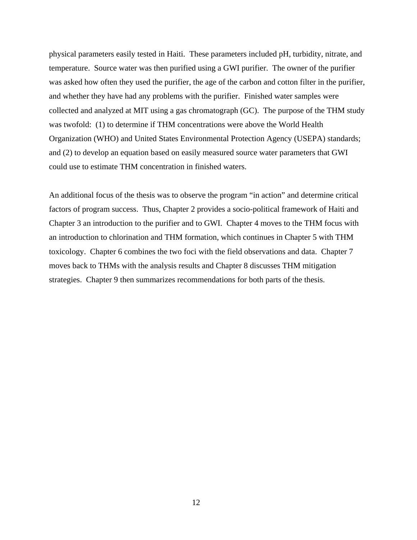physical parameters easily tested in Haiti. These parameters included pH, turbidity, nitrate, and temperature. Source water was then purified using a GWI purifier. The owner of the purifier was asked how often they used the purifier, the age of the carbon and cotton filter in the purifier, and whether they have had any problems with the purifier. Finished water samples were collected and analyzed at MIT using a gas chromatograph (GC). The purpose of the THM study was twofold: (1) to determine if THM concentrations were above the World Health Organization (WHO) and United States Environmental Protection Agency (USEPA) standards; and (2) to develop an equation based on easily measured source water parameters that GWI could use to estimate THM concentration in finished waters.

An additional focus of the thesis was to observe the program "in action" and determine critical factors of program success. Thus, Chapter 2 provides a socio-political framework of Haiti and Chapter 3 an introduction to the purifier and to GWI. Chapter 4 moves to the THM focus with an introduction to chlorination and THM formation, which continues in Chapter 5 with THM toxicology. Chapter 6 combines the two foci with the field observations and data. Chapter 7 moves back to THMs with the analysis results and Chapter 8 discusses THM mitigation strategies. Chapter 9 then summarizes recommendations for both parts of the thesis.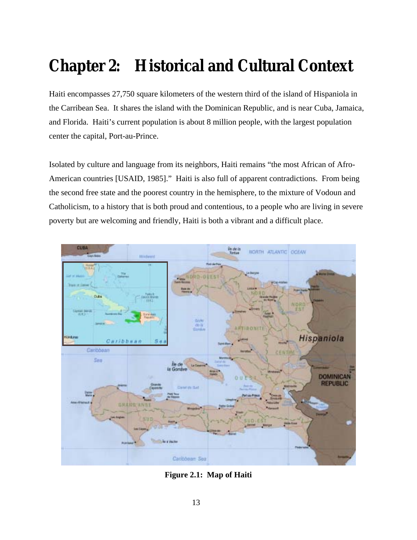# **Chapter 2: Historical and Cultural Context**

Haiti encompasses 27,750 square kilometers of the western third of the island of Hispaniola in the Carribean Sea. It shares the island with the Dominican Republic, and is near Cuba, Jamaica, and Florida. Haiti's current population is about 8 million people, with the largest population center the capital, Port-au-Prince.

Isolated by culture and language from its neighbors, Haiti remains "the most African of Afro-American countries [USAID, 1985]." Haiti is also full of apparent contradictions. From being the second free state and the poorest country in the hemisphere, to the mixture of Vodoun and Catholicism, to a history that is both proud and contentious, to a people who are living in severe poverty but are welcoming and friendly, Haiti is both a vibrant and a difficult place.



**Figure 2.1: Map of Haiti**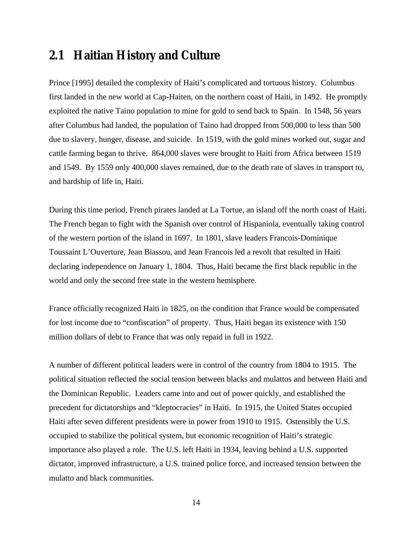#### **2.1 Haitian History and Culture**

Prince [1995] detailed the complexity of Haiti's complicated and tortuous history. Columbus first landed in the new world at Cap-Haiten, on the northern coast of Haiti, in 1492. He promptly exploited the native Taino population to mine for gold to send back to Spain. In 1548, 56 years after Columbus had landed, the population of Taino had dropped from 500,000 to less than 500 due to slavery, hunger, disease, and suicide. In 1519, with the gold mines worked out, sugar and cattle farming began to thrive. 864,000 slaves were brought to Haiti from Africa between 1519 and 1549. By 1559 only 400,000 slaves remained, due to the death rate of slaves in transport to, and hardship of life in, Haiti.

During this time period, French pirates landed at La Tortue, an island off the north coast of Haiti. The French began to fight with the Spanish over control of Hispaniola, eventually taking control of the western portion of the island in 1697. In 1801, slave leaders Francois-Dominique Toussaint L'Ouverture, Jean Biassou, and Jean Francois led a revolt that resulted in Haiti declaring independence on January 1, 1804. Thus, Haiti became the first black republic in the world and only the second free state in the western hemisphere.

France officially recognized Haiti in 1825, on the condition that France would be compensated for lost income due to "confiscation" of property. Thus, Haiti began its existence with 150 million dollars of debt to France that was only repaid in full in 1922.

A number of different political leaders were in control of the country from 1804 to 1915. The political situation reflected the social tension between blacks and mulattos and between Haiti and the Dominican Republic. Leaders came into and out of power quickly, and established the precedent for dictatorships and "kleptocracies" in Haiti. In 1915, the United States occupied Haiti after seven different presidents were in power from 1910 to 1915. Ostensibly the U.S. occupied to stabilize the political system, but economic recognition of Haiti's strategic importance also played a role. The U.S. left Haiti in 1934, leaving behind a U.S. supported dictator, improved infrastructure, a U.S. trained police force, and increased tension between the mulatto and black communities.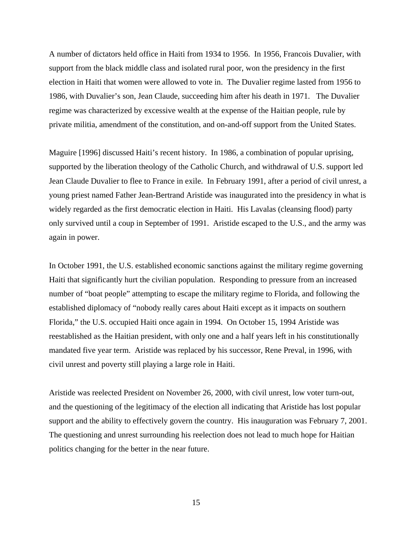A number of dictators held office in Haiti from 1934 to 1956. In 1956, Francois Duvalier, with support from the black middle class and isolated rural poor, won the presidency in the first election in Haiti that women were allowed to vote in. The Duvalier regime lasted from 1956 to 1986, with Duvalier's son, Jean Claude, succeeding him after his death in 1971. The Duvalier regime was characterized by excessive wealth at the expense of the Haitian people, rule by private militia, amendment of the constitution, and on-and-off support from the United States.

Maguire [1996] discussed Haiti's recent history. In 1986, a combination of popular uprising, supported by the liberation theology of the Catholic Church, and withdrawal of U.S. support led Jean Claude Duvalier to flee to France in exile. In February 1991, after a period of civil unrest, a young priest named Father Jean-Bertrand Aristide was inaugurated into the presidency in what is widely regarded as the first democratic election in Haiti. His Lavalas (cleansing flood) party only survived until a coup in September of 1991. Aristide escaped to the U.S., and the army was again in power.

In October 1991, the U.S. established economic sanctions against the military regime governing Haiti that significantly hurt the civilian population. Responding to pressure from an increased number of "boat people" attempting to escape the military regime to Florida, and following the established diplomacy of "nobody really cares about Haiti except as it impacts on southern Florida," the U.S. occupied Haiti once again in 1994. On October 15, 1994 Aristide was reestablished as the Haitian president, with only one and a half years left in his constitutionally mandated five year term. Aristide was replaced by his successor, Rene Preval, in 1996, with civil unrest and poverty still playing a large role in Haiti.

Aristide was reelected President on November 26, 2000, with civil unrest, low voter turn-out, and the questioning of the legitimacy of the election all indicating that Aristide has lost popular support and the ability to effectively govern the country. His inauguration was February 7, 2001. The questioning and unrest surrounding his reelection does not lead to much hope for Haitian politics changing for the better in the near future.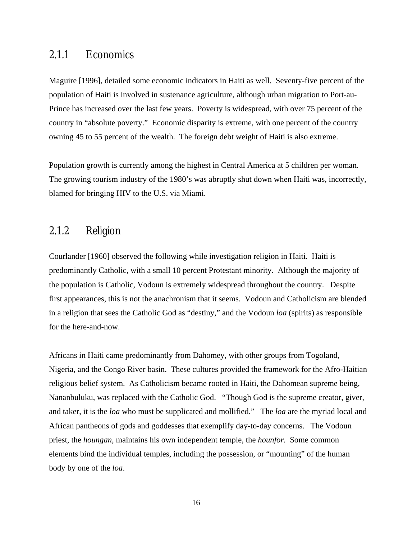#### 2.1.1 Economics

Maguire [1996], detailed some economic indicators in Haiti as well. Seventy-five percent of the population of Haiti is involved in sustenance agriculture, although urban migration to Port-au-Prince has increased over the last few years. Poverty is widespread, with over 75 percent of the country in "absolute poverty." Economic disparity is extreme, with one percent of the country owning 45 to 55 percent of the wealth. The foreign debt weight of Haiti is also extreme.

Population growth is currently among the highest in Central America at 5 children per woman. The growing tourism industry of the 1980's was abruptly shut down when Haiti was, incorrectly, blamed for bringing HIV to the U.S. via Miami.

#### 2.1.2 Religion

Courlander [1960] observed the following while investigation religion in Haiti. Haiti is predominantly Catholic, with a small 10 percent Protestant minority. Although the majority of the population is Catholic, Vodoun is extremely widespread throughout the country. Despite first appearances, this is not the anachronism that it seems. Vodoun and Catholicism are blended in a religion that sees the Catholic God as "destiny," and the Vodoun *loa* (spirits) as responsible for the here-and-now.

Africans in Haiti came predominantly from Dahomey, with other groups from Togoland, Nigeria, and the Congo River basin. These cultures provided the framework for the Afro-Haitian religious belief system. As Catholicism became rooted in Haiti, the Dahomean supreme being, Nananbuluku, was replaced with the Catholic God. "Though God is the supreme creator, giver, and taker, it is the *loa* who must be supplicated and mollified." The *loa* are the myriad local and African pantheons of gods and goddesses that exemplify day-to-day concerns. The Vodoun priest, the *houngan*, maintains his own independent temple, the *hounfor*. Some common elements bind the individual temples, including the possession, or "mounting" of the human body by one of the *loa*.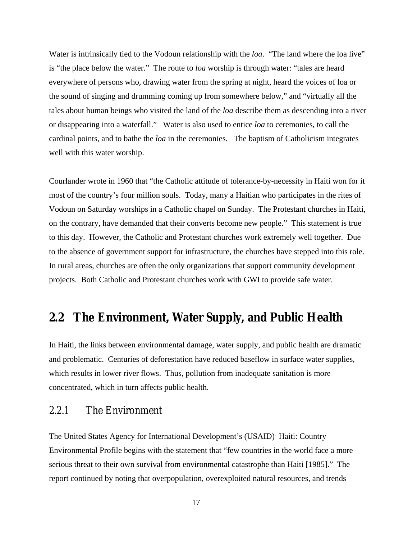Water is intrinsically tied to the Vodoun relationship with the *loa*. "The land where the loa live" is "the place below the water." The route to *loa* worship is through water: "tales are heard everywhere of persons who, drawing water from the spring at night, heard the voices of loa or the sound of singing and drumming coming up from somewhere below," and "virtually all the tales about human beings who visited the land of the *loa* describe them as descending into a river or disappearing into a waterfall." Water is also used to entice *loa* to ceremonies, to call the cardinal points, and to bathe the *loa* in the ceremonies. The baptism of Catholicism integrates well with this water worship.

Courlander wrote in 1960 that "the Catholic attitude of tolerance-by-necessity in Haiti won for it most of the country's four million souls. Today, many a Haitian who participates in the rites of Vodoun on Saturday worships in a Catholic chapel on Sunday. The Protestant churches in Haiti, on the contrary, have demanded that their converts become new people." This statement is true to this day. However, the Catholic and Protestant churches work extremely well together. Due to the absence of government support for infrastructure, the churches have stepped into this role. In rural areas, churches are often the only organizations that support community development projects. Both Catholic and Protestant churches work with GWI to provide safe water.

#### **2.2 The Environment, Water Supply, and Public Health**

In Haiti, the links between environmental damage, water supply, and public health are dramatic and problematic. Centuries of deforestation have reduced baseflow in surface water supplies, which results in lower river flows. Thus, pollution from inadequate sanitation is more concentrated, which in turn affects public health.

#### 2.2.1 The Environment

The United States Agency for International Development's (USAID) Haiti: Country Environmental Profile begins with the statement that "few countries in the world face a more serious threat to their own survival from environmental catastrophe than Haiti [1985]." The report continued by noting that overpopulation, overexploited natural resources, and trends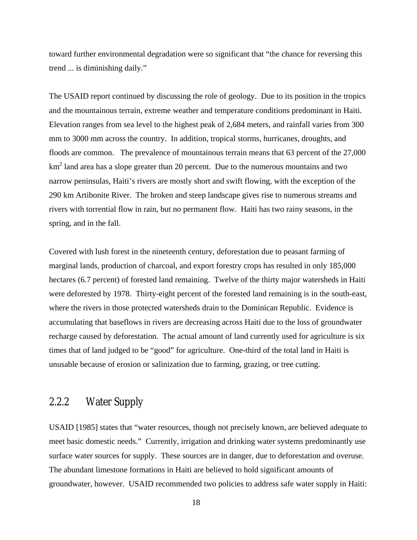toward further environmental degradation were so significant that "the chance for reversing this trend ... is diminishing daily."

The USAID report continued by discussing the role of geology. Due to its position in the tropics and the mountainous terrain, extreme weather and temperature conditions predominant in Haiti. Elevation ranges from sea level to the highest peak of 2,684 meters, and rainfall varies from 300 mm to 3000 mm across the country. In addition, tropical storms, hurricanes, droughts, and floods are common. The prevalence of mountainous terrain means that 63 percent of the 27,000  $km<sup>2</sup>$  land area has a slope greater than 20 percent. Due to the numerous mountains and two narrow peninsulas, Haiti's rivers are mostly short and swift flowing, with the exception of the 290 km Artibonite River. The broken and steep landscape gives rise to numerous streams and rivers with torrential flow in rain, but no permanent flow. Haiti has two rainy seasons, in the spring, and in the fall.

Covered with lush forest in the nineteenth century, deforestation due to peasant farming of marginal lands, production of charcoal, and export forestry crops has resulted in only 185,000 hectares (6.7 percent) of forested land remaining. Twelve of the thirty major watersheds in Haiti were deforested by 1978. Thirty-eight percent of the forested land remaining is in the south-east, where the rivers in those protected watersheds drain to the Dominican Republic. Evidence is accumulating that baseflows in rivers are decreasing across Haiti due to the loss of groundwater recharge caused by deforestation. The actual amount of land currently used for agriculture is six times that of land judged to be "good" for agriculture. One-third of the total land in Haiti is unusable because of erosion or salinization due to farming, grazing, or tree cutting.

#### 2.2.2 Water Supply

USAID [1985] states that "water resources, though not precisely known, are believed adequate to meet basic domestic needs." Currently, irrigation and drinking water systems predominantly use surface water sources for supply. These sources are in danger, due to deforestation and overuse. The abundant limestone formations in Haiti are believed to hold significant amounts of groundwater, however. USAID recommended two policies to address safe water supply in Haiti: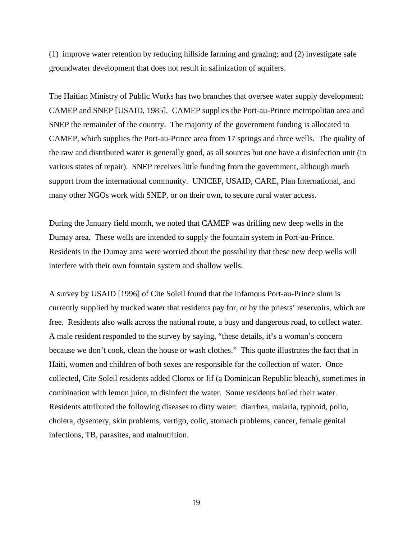(1) improve water retention by reducing hillside farming and grazing; and (2) investigate safe groundwater development that does not result in salinization of aquifers.

The Haitian Ministry of Public Works has two branches that oversee water supply development: CAMEP and SNEP [USAID, 1985]. CAMEP supplies the Port-au-Prince metropolitan area and SNEP the remainder of the country. The majority of the government funding is allocated to CAMEP, which supplies the Port-au-Prince area from 17 springs and three wells. The quality of the raw and distributed water is generally good, as all sources but one have a disinfection unit (in various states of repair). SNEP receives little funding from the government, although much support from the international community. UNICEF, USAID, CARE, Plan International, and many other NGOs work with SNEP, or on their own, to secure rural water access.

During the January field month, we noted that CAMEP was drilling new deep wells in the Dumay area. These wells are intended to supply the fountain system in Port-au-Prince. Residents in the Dumay area were worried about the possibility that these new deep wells will interfere with their own fountain system and shallow wells.

A survey by USAID [1996] of Cite Soleil found that the infamous Port-au-Prince slum is currently supplied by trucked water that residents pay for, or by the priests' reservoirs, which are free. Residents also walk across the national route, a busy and dangerous road, to collect water. A male resident responded to the survey by saying, "these details, it's a woman's concern because we don't cook, clean the house or wash clothes." This quote illustrates the fact that in Haiti, women and children of both sexes are responsible for the collection of water. Once collected, Cite Soleil residents added Clorox or Jif (a Dominican Republic bleach), sometimes in combination with lemon juice, to disinfect the water. Some residents boiled their water. Residents attributed the following diseases to dirty water: diarrhea, malaria, typhoid, polio, cholera, dysentery, skin problems, vertigo, colic, stomach problems, cancer, female genital infections, TB, parasites, and malnutrition.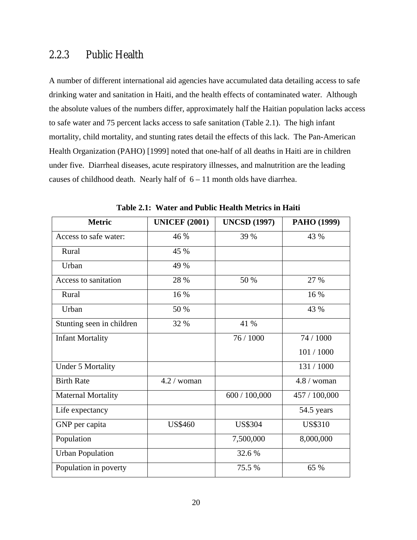#### 2.2.3 Public Health

A number of different international aid agencies have accumulated data detailing access to safe drinking water and sanitation in Haiti, and the health effects of contaminated water. Although the absolute values of the numbers differ, approximately half the Haitian population lacks access to safe water and 75 percent lacks access to safe sanitation (Table 2.1). The high infant mortality, child mortality, and stunting rates detail the effects of this lack. The Pan-American Health Organization (PAHO) [1999] noted that one-half of all deaths in Haiti are in children under five. Diarrheal diseases, acute respiratory illnesses, and malnutrition are the leading causes of childhood death. Nearly half of  $6 - 11$  month olds have diarrhea.

| <b>Metric</b>             | <b>UNICEF (2001)</b> | <b>UNCSD (1997)</b> | PAHO (1999)    |
|---------------------------|----------------------|---------------------|----------------|
| Access to safe water:     | 46 %                 | 39 %                | 43 %           |
| Rural                     | 45 %                 |                     |                |
| Urban                     | 49 %                 |                     |                |
| Access to sanitation      | 28 %                 | 50 %                | 27 %           |
| Rural                     | 16 %                 |                     | 16 %           |
| Urban                     | 50 %                 |                     | 43 %           |
| Stunting seen in children | 32 %                 | 41 %                |                |
| <b>Infant Mortality</b>   |                      | 76 / 1000           | 74 / 1000      |
|                           |                      |                     | 101/1000       |
| <b>Under 5 Mortality</b>  |                      |                     | 131 / 1000     |
| <b>Birth Rate</b>         | $4.2 /$ woman        |                     | $4.8 /$ woman  |
| <b>Maternal Mortality</b> |                      | 600 / 100,000       | 457 / 100,000  |
| Life expectancy           |                      |                     | 54.5 years     |
| GNP per capita            | <b>US\$460</b>       | <b>US\$304</b>      | <b>US\$310</b> |
| Population                |                      | 7,500,000           | 8,000,000      |
| <b>Urban Population</b>   |                      | 32.6 %              |                |
| Population in poverty     |                      | 75.5 %              | 65 %           |

**Table 2.1: Water and Public Health Metrics in Haiti**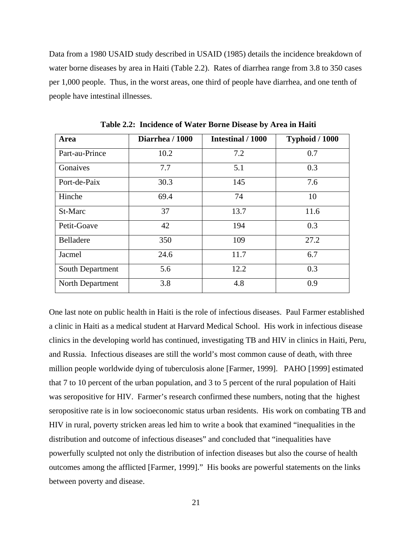Data from a 1980 USAID study described in USAID (1985) details the incidence breakdown of water borne diseases by area in Haiti (Table 2.2). Rates of diarrhea range from 3.8 to 350 cases per 1,000 people. Thus, in the worst areas, one third of people have diarrhea, and one tenth of people have intestinal illnesses.

| Area             | Diarrhea / 1000 | Intestinal / 1000 | Typhoid / 1000 |
|------------------|-----------------|-------------------|----------------|
| Part-au-Prince   | 10.2            | 7.2               | 0.7            |
| Gonaives         | 7.7             | 5.1               | 0.3            |
| Port-de-Paix     | 30.3            | 145               | 7.6            |
| Hinche           | 69.4            | 74                | 10             |
| St-Marc          | 37              | 13.7              | 11.6           |
| Petit-Goave      | 42              | 194               | 0.3            |
| Belladere        | 350             | 109               | 27.2           |
| Jacmel           | 24.6            | 11.7              | 6.7            |
| South Department | 5.6             | 12.2              | 0.3            |
| North Department | 3.8             | 4.8               | 0.9            |

**Table 2.2: Incidence of Water Borne Disease by Area in Haiti** 

One last note on public health in Haiti is the role of infectious diseases. Paul Farmer established a clinic in Haiti as a medical student at Harvard Medical School. His work in infectious disease clinics in the developing world has continued, investigating TB and HIV in clinics in Haiti, Peru, and Russia. Infectious diseases are still the world's most common cause of death, with three million people worldwide dying of tuberculosis alone [Farmer, 1999]. PAHO [1999] estimated that 7 to 10 percent of the urban population, and 3 to 5 percent of the rural population of Haiti was seropositive for HIV. Farmer's research confirmed these numbers, noting that the highest seropositive rate is in low socioeconomic status urban residents. His work on combating TB and HIV in rural, poverty stricken areas led him to write a book that examined "inequalities in the distribution and outcome of infectious diseases" and concluded that "inequalities have powerfully sculpted not only the distribution of infection diseases but also the course of health outcomes among the afflicted [Farmer, 1999]." His books are powerful statements on the links between poverty and disease.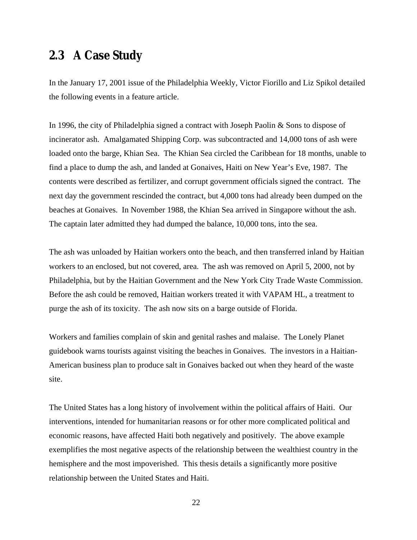#### **2.3 A Case Study**

In the January 17, 2001 issue of the Philadelphia Weekly, Victor Fiorillo and Liz Spikol detailed the following events in a feature article.

In 1996, the city of Philadelphia signed a contract with Joseph Paolin & Sons to dispose of incinerator ash. Amalgamated Shipping Corp. was subcontracted and 14,000 tons of ash were loaded onto the barge, Khian Sea. The Khian Sea circled the Caribbean for 18 months, unable to find a place to dump the ash, and landed at Gonaives, Haiti on New Year's Eve, 1987. The contents were described as fertilizer, and corrupt government officials signed the contract. The next day the government rescinded the contract, but 4,000 tons had already been dumped on the beaches at Gonaives. In November 1988, the Khian Sea arrived in Singapore without the ash. The captain later admitted they had dumped the balance, 10,000 tons, into the sea.

The ash was unloaded by Haitian workers onto the beach, and then transferred inland by Haitian workers to an enclosed, but not covered, area. The ash was removed on April 5, 2000, not by Philadelphia, but by the Haitian Government and the New York City Trade Waste Commission. Before the ash could be removed, Haitian workers treated it with VAPAM HL, a treatment to purge the ash of its toxicity. The ash now sits on a barge outside of Florida.

Workers and families complain of skin and genital rashes and malaise. The Lonely Planet guidebook warns tourists against visiting the beaches in Gonaives. The investors in a Haitian-American business plan to produce salt in Gonaives backed out when they heard of the waste site.

The United States has a long history of involvement within the political affairs of Haiti. Our interventions, intended for humanitarian reasons or for other more complicated political and economic reasons, have affected Haiti both negatively and positively. The above example exemplifies the most negative aspects of the relationship between the wealthiest country in the hemisphere and the most impoverished. This thesis details a significantly more positive relationship between the United States and Haiti.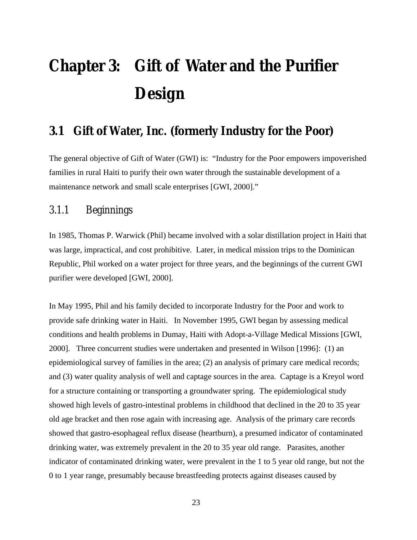# **Chapter 3: Gift of Water and the Purifier Design**

#### **3.1 Gift of Water, Inc. (formerly Industry for the Poor)**

The general objective of Gift of Water (GWI) is: "Industry for the Poor empowers impoverished families in rural Haiti to purify their own water through the sustainable development of a maintenance network and small scale enterprises [GWI, 2000]."

#### 3.1.1 Beginnings

In 1985, Thomas P. Warwick (Phil) became involved with a solar distillation project in Haiti that was large, impractical, and cost prohibitive. Later, in medical mission trips to the Dominican Republic, Phil worked on a water project for three years, and the beginnings of the current GWI purifier were developed [GWI, 2000].

In May 1995, Phil and his family decided to incorporate Industry for the Poor and work to provide safe drinking water in Haiti. In November 1995, GWI began by assessing medical conditions and health problems in Dumay, Haiti with Adopt-a-Village Medical Missions [GWI, 2000]. Three concurrent studies were undertaken and presented in Wilson [1996]: (1) an epidemiological survey of families in the area; (2) an analysis of primary care medical records; and (3) water quality analysis of well and captage sources in the area. Captage is a Kreyol word for a structure containing or transporting a groundwater spring. The epidemiological study showed high levels of gastro-intestinal problems in childhood that declined in the 20 to 35 year old age bracket and then rose again with increasing age. Analysis of the primary care records showed that gastro-esophageal reflux disease (heartburn), a presumed indicator of contaminated drinking water, was extremely prevalent in the 20 to 35 year old range. Parasites, another indicator of contaminated drinking water, were prevalent in the 1 to 5 year old range, but not the 0 to 1 year range, presumably because breastfeeding protects against diseases caused by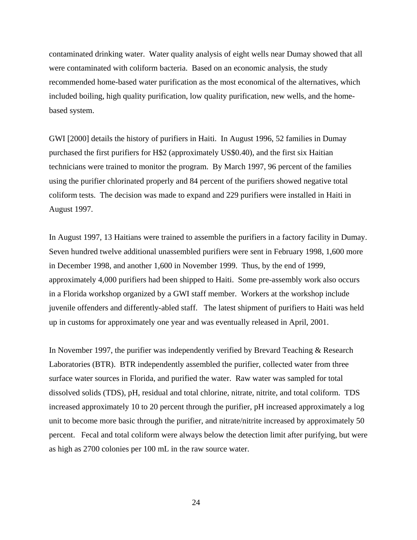contaminated drinking water. Water quality analysis of eight wells near Dumay showed that all were contaminated with coliform bacteria. Based on an economic analysis, the study recommended home-based water purification as the most economical of the alternatives, which included boiling, high quality purification, low quality purification, new wells, and the homebased system.

GWI [2000] details the history of purifiers in Haiti. In August 1996, 52 families in Dumay purchased the first purifiers for H\$2 (approximately US\$0.40), and the first six Haitian technicians were trained to monitor the program. By March 1997, 96 percent of the families using the purifier chlorinated properly and 84 percent of the purifiers showed negative total coliform tests. The decision was made to expand and 229 purifiers were installed in Haiti in August 1997.

In August 1997, 13 Haitians were trained to assemble the purifiers in a factory facility in Dumay. Seven hundred twelve additional unassembled purifiers were sent in February 1998, 1,600 more in December 1998, and another 1,600 in November 1999. Thus, by the end of 1999, approximately 4,000 purifiers had been shipped to Haiti. Some pre-assembly work also occurs in a Florida workshop organized by a GWI staff member. Workers at the workshop include juvenile offenders and differently-abled staff. The latest shipment of purifiers to Haiti was held up in customs for approximately one year and was eventually released in April, 2001.

In November 1997, the purifier was independently verified by Brevard Teaching & Research Laboratories (BTR). BTR independently assembled the purifier, collected water from three surface water sources in Florida, and purified the water. Raw water was sampled for total dissolved solids (TDS), pH, residual and total chlorine, nitrate, nitrite, and total coliform. TDS increased approximately 10 to 20 percent through the purifier, pH increased approximately a log unit to become more basic through the purifier, and nitrate/nitrite increased by approximately 50 percent. Fecal and total coliform were always below the detection limit after purifying, but were as high as 2700 colonies per 100 mL in the raw source water.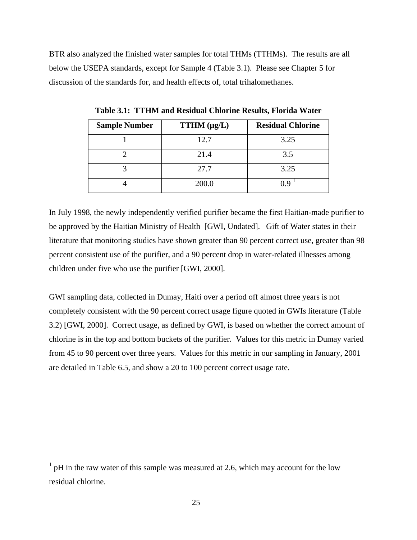BTR also analyzed the finished water samples for total THMs (TTHMs). The results are all below the USEPA standards, except for Sample 4 (Table 3.1). Please see Chapter 5 for discussion of the standards for, and health effects of, total trihalomethanes.

| <b>Sample Number</b> | $TTHM$ ( $\mu$ g/L) | <b>Residual Chlorine</b> |
|----------------------|---------------------|--------------------------|
|                      | 12.7                | 3.25                     |
|                      | 21.4                | 3.5                      |
|                      | 27.7                | 3.25                     |
|                      | 200.0               |                          |

**Table 3.1: TTHM and Residual Chlorine Results, Florida Water** 

In July 1998, the newly independently verified purifier became the first Haitian-made purifier to be approved by the Haitian Ministry of Health [GWI, Undated]. Gift of Water states in their literature that monitoring studies have shown greater than 90 percent correct use, greater than 98 percent consistent use of the purifier, and a 90 percent drop in water-related illnesses among children under five who use the purifier [GWI, 2000].

GWI sampling data, collected in Dumay, Haiti over a period off almost three years is not completely consistent with the 90 percent correct usage figure quoted in GWIs literature (Table 3.2) [GWI, 2000]. Correct usage, as defined by GWI, is based on whether the correct amount of chlorine is in the top and bottom buckets of the purifier. Values for this metric in Dumay varied from 45 to 90 percent over three years. Values for this metric in our sampling in January, 2001 are detailed in Table 6.5, and show a 20 to 100 percent correct usage rate.

 $\overline{a}$ 

 $1$  pH in the raw water of this sample was measured at 2.6, which may account for the low residual chlorine.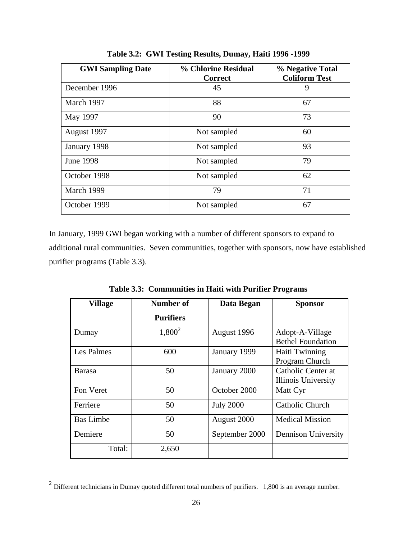| <b>GWI Sampling Date</b> | % Chlorine Residual<br><b>Correct</b> | % Negative Total<br><b>Coliform Test</b> |
|--------------------------|---------------------------------------|------------------------------------------|
| December 1996            | 45                                    | 9                                        |
| March 1997               | 88                                    | 67                                       |
| May 1997                 | 90                                    | 73                                       |
| August 1997              | Not sampled                           | 60                                       |
| January 1998             | Not sampled                           | 93                                       |
| <b>June 1998</b>         | Not sampled                           | 79                                       |
| October 1998             | Not sampled                           | 62                                       |
| March 1999               | 79                                    | 71                                       |
| October 1999             | Not sampled                           | 67                                       |

**Table 3.2: GWI Testing Results, Dumay, Haiti 1996 -1999** 

In January, 1999 GWI began working with a number of different sponsors to expand to additional rural communities. Seven communities, together with sponsors, now have established purifier programs (Table 3.3).

**Table 3.3: Communities in Haiti with Purifier Programs** 

| <b>Village</b>   | Number of        | Data Began       | <b>Sponsor</b>                                   |
|------------------|------------------|------------------|--------------------------------------------------|
|                  | <b>Purifiers</b> |                  |                                                  |
| Dumay            | $1,800^2$        | August 1996      | Adopt-A-Village<br><b>Bethel Foundation</b>      |
| Les Palmes       | 600              | January 1999     | Haiti Twinning<br>Program Church                 |
| <b>Barasa</b>    | 50               | January 2000     | Catholic Center at<br><b>Illinois University</b> |
| Fon Veret        | 50               | October 2000     | Matt Cyr                                         |
| Ferriere         | 50               | <b>July 2000</b> | <b>Catholic Church</b>                           |
| <b>Bas Limbe</b> | 50               | August 2000      | <b>Medical Mission</b>                           |
| Demiere          | 50               | September 2000   | <b>Dennison University</b>                       |
| Total:           | 2,650            |                  |                                                  |

 $2$  Different technicians in Dumay quoted different total numbers of purifiers. 1,800 is an average number.

 $\overline{a}$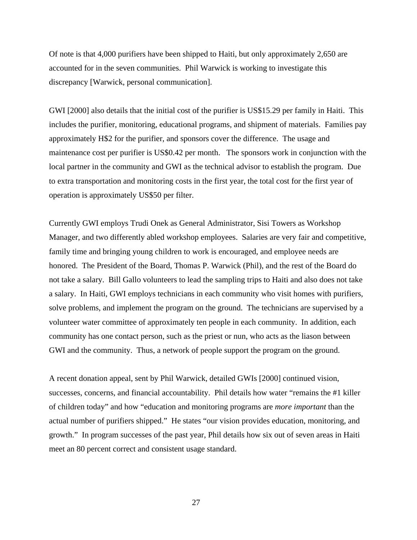Of note is that 4,000 purifiers have been shipped to Haiti, but only approximately 2,650 are accounted for in the seven communities. Phil Warwick is working to investigate this discrepancy [Warwick, personal communication].

GWI [2000] also details that the initial cost of the purifier is US\$15.29 per family in Haiti. This includes the purifier, monitoring, educational programs, and shipment of materials. Families pay approximately H\$2 for the purifier, and sponsors cover the difference. The usage and maintenance cost per purifier is US\$0.42 per month. The sponsors work in conjunction with the local partner in the community and GWI as the technical advisor to establish the program. Due to extra transportation and monitoring costs in the first year, the total cost for the first year of operation is approximately US\$50 per filter.

Currently GWI employs Trudi Onek as General Administrator, Sisi Towers as Workshop Manager, and two differently abled workshop employees. Salaries are very fair and competitive, family time and bringing young children to work is encouraged, and employee needs are honored. The President of the Board, Thomas P. Warwick (Phil), and the rest of the Board do not take a salary. Bill Gallo volunteers to lead the sampling trips to Haiti and also does not take a salary. In Haiti, GWI employs technicians in each community who visit homes with purifiers, solve problems, and implement the program on the ground. The technicians are supervised by a volunteer water committee of approximately ten people in each community. In addition, each community has one contact person, such as the priest or nun, who acts as the liason between GWI and the community. Thus, a network of people support the program on the ground.

A recent donation appeal, sent by Phil Warwick, detailed GWIs [2000] continued vision, successes, concerns, and financial accountability. Phil details how water "remains the #1 killer of children today" and how "education and monitoring programs are *more important* than the actual number of purifiers shipped." He states "our vision provides education, monitoring, and growth." In program successes of the past year, Phil details how six out of seven areas in Haiti meet an 80 percent correct and consistent usage standard.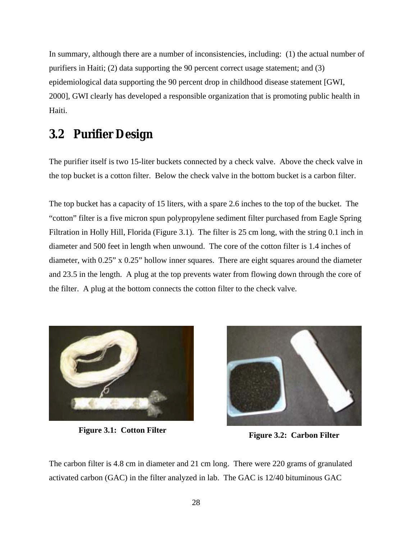In summary, although there are a number of inconsistencies, including: (1) the actual number of purifiers in Haiti; (2) data supporting the 90 percent correct usage statement; and (3) epidemiological data supporting the 90 percent drop in childhood disease statement [GWI, 2000], GWI clearly has developed a responsible organization that is promoting public health in Haiti.

### **3.2 Purifier Design**

The purifier itself is two 15-liter buckets connected by a check valve. Above the check valve in the top bucket is a cotton filter. Below the check valve in the bottom bucket is a carbon filter.

The top bucket has a capacity of 15 liters, with a spare 2.6 inches to the top of the bucket. The "cotton" filter is a five micron spun polypropylene sediment filter purchased from Eagle Spring Filtration in Holly Hill, Florida (Figure 3.1). The filter is 25 cm long, with the string 0.1 inch in diameter and 500 feet in length when unwound. The core of the cotton filter is 1.4 inches of diameter, with 0.25" x 0.25" hollow inner squares. There are eight squares around the diameter and 23.5 in the length. A plug at the top prevents water from flowing down through the core of the filter. A plug at the bottom connects the cotton filter to the check valve.





**Figure 3.1: Cotton Filter Figure 3.2: Carbon Filter** 

The carbon filter is 4.8 cm in diameter and 21 cm long. There were 220 grams of granulated activated carbon (GAC) in the filter analyzed in lab. The GAC is 12/40 bituminous GAC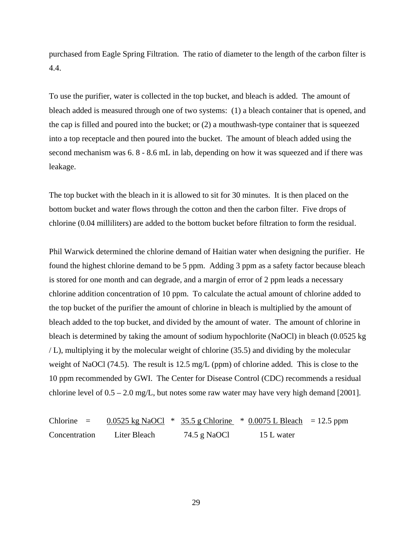purchased from Eagle Spring Filtration. The ratio of diameter to the length of the carbon filter is 4.4.

To use the purifier, water is collected in the top bucket, and bleach is added. The amount of bleach added is measured through one of two systems: (1) a bleach container that is opened, and the cap is filled and poured into the bucket; or (2) a mouthwash-type container that is squeezed into a top receptacle and then poured into the bucket. The amount of bleach added using the second mechanism was 6. 8 - 8.6 mL in lab, depending on how it was squeezed and if there was leakage.

The top bucket with the bleach in it is allowed to sit for 30 minutes. It is then placed on the bottom bucket and water flows through the cotton and then the carbon filter. Five drops of chlorine (0.04 milliliters) are added to the bottom bucket before filtration to form the residual.

Phil Warwick determined the chlorine demand of Haitian water when designing the purifier. He found the highest chlorine demand to be 5 ppm. Adding 3 ppm as a safety factor because bleach is stored for one month and can degrade, and a margin of error of 2 ppm leads a necessary chlorine addition concentration of 10 ppm. To calculate the actual amount of chlorine added to the top bucket of the purifier the amount of chlorine in bleach is multiplied by the amount of bleach added to the top bucket, and divided by the amount of water. The amount of chlorine in bleach is determined by taking the amount of sodium hypochlorite (NaOCl) in bleach (0.0525 kg / L), multiplying it by the molecular weight of chlorine (35.5) and dividing by the molecular weight of NaOCl (74.5). The result is 12.5 mg/L (ppm) of chlorine added. This is close to the 10 ppm recommended by GWI. The Center for Disease Control (CDC) recommends a residual chlorine level of 0.5 – 2.0 mg/L, but notes some raw water may have very high demand [2001].

Chlorine  $=$  0.0525 kg NaOCl  $*$  35.5 g Chlorine  $*$  0.0075 L Bleach  $=$  12.5 ppm Concentration Liter Bleach 74.5 g NaOCl 15 L water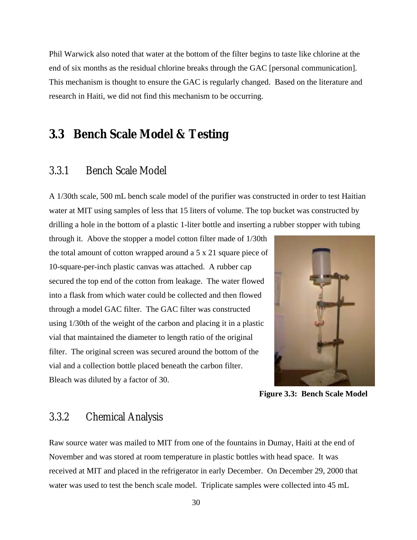Phil Warwick also noted that water at the bottom of the filter begins to taste like chlorine at the end of six months as the residual chlorine breaks through the GAC [personal communication]. This mechanism is thought to ensure the GAC is regularly changed. Based on the literature and research in Haiti, we did not find this mechanism to be occurring.

#### **3.3 Bench Scale Model & Testing**

#### 3.3.1 Bench Scale Model

A 1/30th scale, 500 mL bench scale model of the purifier was constructed in order to test Haitian water at MIT using samples of less that 15 liters of volume. The top bucket was constructed by drilling a hole in the bottom of a plastic 1-liter bottle and inserting a rubber stopper with tubing

through it. Above the stopper a model cotton filter made of 1/30th the total amount of cotton wrapped around a 5 x 21 square piece of 10-square-per-inch plastic canvas was attached. A rubber cap secured the top end of the cotton from leakage. The water flowed into a flask from which water could be collected and then flowed through a model GAC filter. The GAC filter was constructed using 1/30th of the weight of the carbon and placing it in a plastic vial that maintained the diameter to length ratio of the original filter. The original screen was secured around the bottom of the vial and a collection bottle placed beneath the carbon filter. Bleach was diluted by a factor of 30.



**Figure 3.3: Bench Scale Model** 

#### 3.3.2 Chemical Analysis

Raw source water was mailed to MIT from one of the fountains in Dumay, Haiti at the end of November and was stored at room temperature in plastic bottles with head space. It was received at MIT and placed in the refrigerator in early December. On December 29, 2000 that water was used to test the bench scale model. Triplicate samples were collected into 45 mL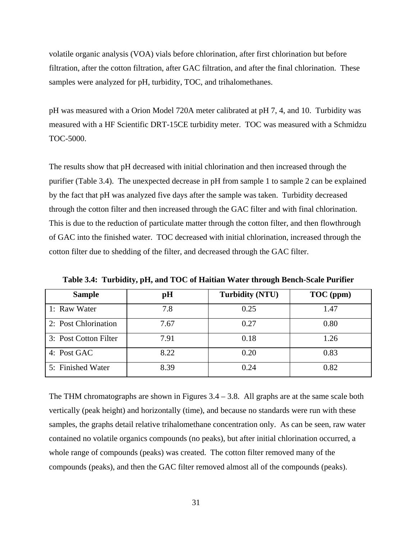volatile organic analysis (VOA) vials before chlorination, after first chlorination but before filtration, after the cotton filtration, after GAC filtration, and after the final chlorination. These samples were analyzed for pH, turbidity, TOC, and trihalomethanes.

pH was measured with a Orion Model 720A meter calibrated at pH 7, 4, and 10. Turbidity was measured with a HF Scientific DRT-15CE turbidity meter. TOC was measured with a Schmidzu TOC-5000.

The results show that pH decreased with initial chlorination and then increased through the purifier (Table 3.4). The unexpected decrease in pH from sample 1 to sample 2 can be explained by the fact that pH was analyzed five days after the sample was taken. Turbidity decreased through the cotton filter and then increased through the GAC filter and with final chlorination. This is due to the reduction of particulate matter through the cotton filter, and then flowthrough of GAC into the finished water. TOC decreased with initial chlorination, increased through the cotton filter due to shedding of the filter, and decreased through the GAC filter.

| <b>Sample</b>         | pH   | <b>Turbidity (NTU)</b> | TOC (ppm) |
|-----------------------|------|------------------------|-----------|
| 1: Raw Water          | 7.8  | 0.25                   | 1.47      |
| 2: Post Chlorination  | 7.67 | 0.27                   | 0.80      |
| 3: Post Cotton Filter | 7.91 | 0.18                   | 1.26      |
| 4: Post GAC           | 8.22 | 0.20                   | 0.83      |
| 5: Finished Water     | 8.39 | 0.24                   | 0.82      |

**Table 3.4: Turbidity, pH, and TOC of Haitian Water through Bench-Scale Purifier** 

The THM chromatographs are shown in Figures  $3.4 - 3.8$ . All graphs are at the same scale both vertically (peak height) and horizontally (time), and because no standards were run with these samples, the graphs detail relative trihalomethane concentration only. As can be seen, raw water contained no volatile organics compounds (no peaks), but after initial chlorination occurred, a whole range of compounds (peaks) was created. The cotton filter removed many of the compounds (peaks), and then the GAC filter removed almost all of the compounds (peaks).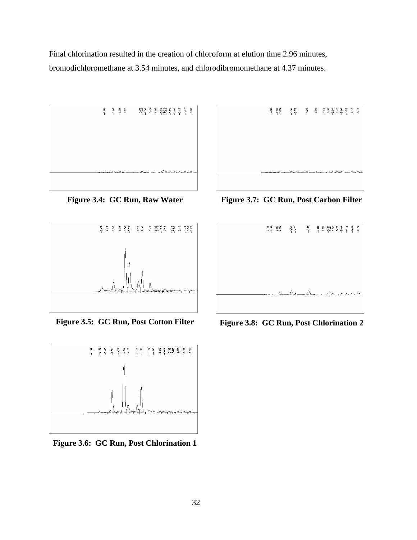Final chlorination resulted in the creation of chloroform at elution time 2.96 minutes, bromodichloromethane at 3.54 minutes, and chlorodibromomethane at 4.37 minutes.



**Figure 3.4: GC Run, Raw Water** 



**Figure 3.5: GC Run, Post Cotton Filter** 



**Figure 3.6: GC Run, Post Chlorination 1** 



**Figure 3.7: GC Run, Post Carbon Filter** 



**Figure 3.8: GC Run, Post Chlorination 2**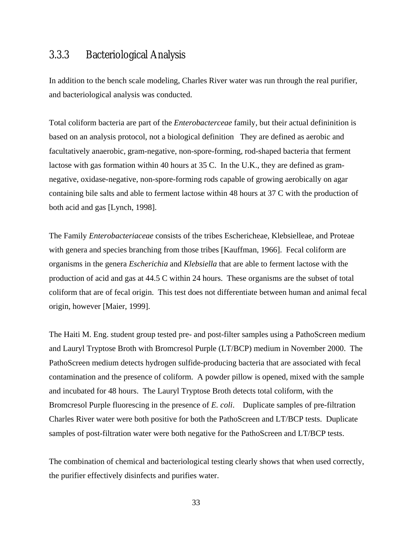#### 3.3.3 Bacteriological Analysis

In addition to the bench scale modeling, Charles River water was run through the real purifier, and bacteriological analysis was conducted.

Total coliform bacteria are part of the *Enterobacterceae* family, but their actual defininition is based on an analysis protocol, not a biological definition They are defined as aerobic and facultatively anaerobic, gram-negative, non-spore-forming, rod-shaped bacteria that ferment lactose with gas formation within 40 hours at 35 C. In the U.K., they are defined as gramnegative, oxidase-negative, non-spore-forming rods capable of growing aerobically on agar containing bile salts and able to ferment lactose within 48 hours at 37 C with the production of both acid and gas [Lynch, 1998].

The Family *Enterobacteriaceae* consists of the tribes Eschericheae, Klebsielleae, and Proteae with genera and species branching from those tribes [Kauffman, 1966]. Fecal coliform are organisms in the genera *Escherichia* and *Klebsiella* that are able to ferment lactose with the production of acid and gas at 44.5 C within 24 hours. These organisms are the subset of total coliform that are of fecal origin. This test does not differentiate between human and animal fecal origin, however [Maier, 1999].

The Haiti M. Eng. student group tested pre- and post-filter samples using a PathoScreen medium and Lauryl Tryptose Broth with Bromcresol Purple (LT/BCP) medium in November 2000. The PathoScreen medium detects hydrogen sulfide-producing bacteria that are associated with fecal contamination and the presence of coliform. A powder pillow is opened, mixed with the sample and incubated for 48 hours. The Lauryl Tryptose Broth detects total coliform, with the Bromcresol Purple fluorescing in the presence of *E. coli*. Duplicate samples of pre-filtration Charles River water were both positive for both the PathoScreen and LT/BCP tests. Duplicate samples of post-filtration water were both negative for the PathoScreen and LT/BCP tests.

The combination of chemical and bacteriological testing clearly shows that when used correctly, the purifier effectively disinfects and purifies water.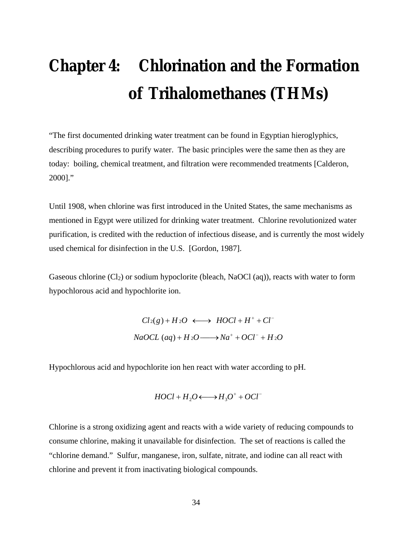# **Chapter 4: Chlorination and the Formation of Trihalomethanes (THMs)**

"The first documented drinking water treatment can be found in Egyptian hieroglyphics, describing procedures to purify water. The basic principles were the same then as they are today: boiling, chemical treatment, and filtration were recommended treatments [Calderon, 2000]."

Until 1908, when chlorine was first introduced in the United States, the same mechanisms as mentioned in Egypt were utilized for drinking water treatment. Chlorine revolutionized water purification, is credited with the reduction of infectious disease, and is currently the most widely used chemical for disinfection in the U.S. [Gordon, 1987].

Gaseous chlorine  $(Cl<sub>2</sub>)$  or sodium hypoclorite (bleach, NaOCl (aq)), reacts with water to form hypochlorous acid and hypochlorite ion.

> $Cl_2(g) + H_2O \longleftrightarrow HOCl + H^+ + Cl^ NaOCL$  (*aq*) +  $H_2O \longrightarrow Na^+ + OCl^- + H_2O$

Hypochlorous acid and hypochlorite ion hen react with water according to pH.

$$
H O Cl + H_2 O \longleftrightarrow H_3 O^+ + O Cl^-
$$

Chlorine is a strong oxidizing agent and reacts with a wide variety of reducing compounds to consume chlorine, making it unavailable for disinfection. The set of reactions is called the "chlorine demand." Sulfur, manganese, iron, sulfate, nitrate, and iodine can all react with chlorine and prevent it from inactivating biological compounds.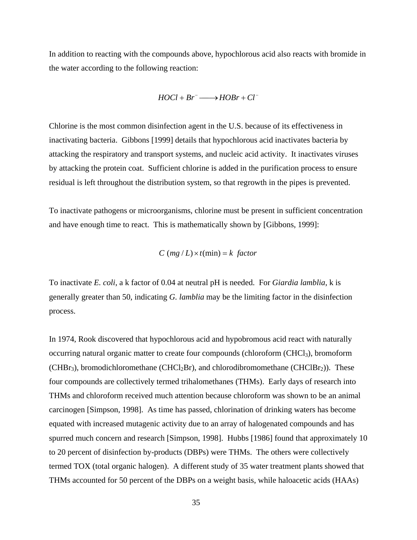In addition to reacting with the compounds above, hypochlorous acid also reacts with bromide in the water according to the following reaction:

$$
H O Cl + Br^- \longrightarrow H OBr + Cl^-
$$

Chlorine is the most common disinfection agent in the U.S. because of its effectiveness in inactivating bacteria. Gibbons [1999] details that hypochlorous acid inactivates bacteria by attacking the respiratory and transport systems, and nucleic acid activity. It inactivates viruses by attacking the protein coat. Sufficient chlorine is added in the purification process to ensure residual is left throughout the distribution system, so that regrowth in the pipes is prevented.

To inactivate pathogens or microorganisms, chlorine must be present in sufficient concentration and have enough time to react. This is mathematically shown by [Gibbons, 1999]:

$$
C(mg/L) \times t(min) = k factor
$$

To inactivate *E. coli*, a k factor of 0.04 at neutral pH is needed. For *Giardia lamblia*, k is generally greater than 50, indicating *G. lamblia* may be the limiting factor in the disinfection process.

In 1974, Rook discovered that hypochlorous acid and hypobromous acid react with naturally occurring natural organic matter to create four compounds (chloroform (CHCl<sub>3</sub>), bromoform  $(CHBr<sub>3</sub>)$ , bromodichloromethane  $(CHCl<sub>2</sub>Br)$ , and chlorodibromomethane  $(CHClBr<sub>2</sub>)$ ). These four compounds are collectively termed trihalomethanes (THMs). Early days of research into THMs and chloroform received much attention because chloroform was shown to be an animal carcinogen [Simpson, 1998]. As time has passed, chlorination of drinking waters has become equated with increased mutagenic activity due to an array of halogenated compounds and has spurred much concern and research [Simpson, 1998]. Hubbs [1986] found that approximately 10 to 20 percent of disinfection by-products (DBPs) were THMs. The others were collectively termed TOX (total organic halogen). A different study of 35 water treatment plants showed that THMs accounted for 50 percent of the DBPs on a weight basis, while haloacetic acids (HAAs)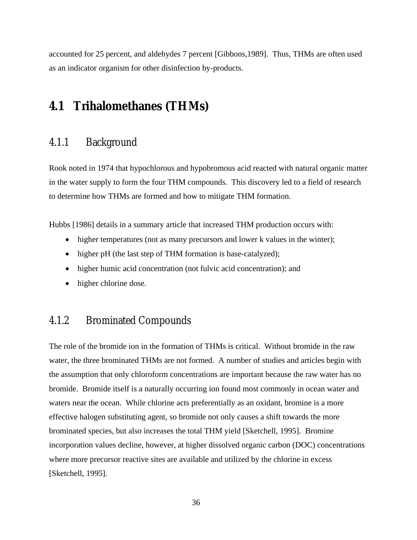accounted for 25 percent, and aldehydes 7 percent [Gibbons,1989]. Thus, THMs are often used as an indicator organism for other disinfection by-products.

#### **4.1 Trihalomethanes (THMs)**

#### 4.1.1 Background

Rook noted in 1974 that hypochlorous and hypobromous acid reacted with natural organic matter in the water supply to form the four THM compounds. This discovery led to a field of research to determine how THMs are formed and how to mitigate THM formation.

Hubbs [1986] details in a summary article that increased THM production occurs with:

- higher temperatures (not as many precursors and lower k values in the winter);
- higher pH (the last step of THM formation is base-catalyzed);
- higher humic acid concentration (not fulvic acid concentration); and
- higher chlorine dose.

#### 4.1.2 Brominated Compounds

The role of the bromide ion in the formation of THMs is critical. Without bromide in the raw water, the three brominated THMs are not formed. A number of studies and articles begin with the assumption that only chloroform concentrations are important because the raw water has no bromide. Bromide itself is a naturally occurring ion found most commonly in ocean water and waters near the ocean. While chlorine acts preferentially as an oxidant, bromine is a more effective halogen substituting agent, so bromide not only causes a shift towards the more brominated species, but also increases the total THM yield [Sketchell, 1995]. Bromine incorporation values decline, however, at higher dissolved organic carbon (DOC) concentrations where more precursor reactive sites are available and utilized by the chlorine in excess [Sketchell, 1995].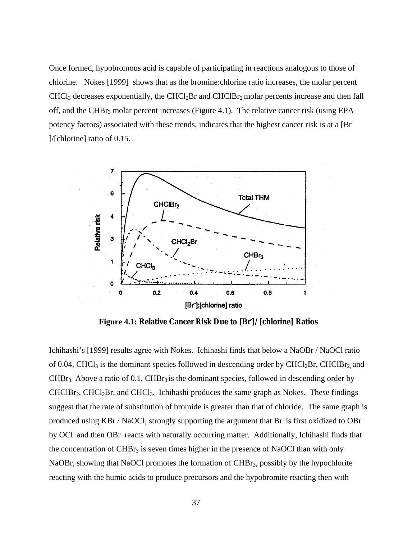Once formed, hypobromous acid is capable of participating in reactions analogous to those of chlorine. Nokes [1999] shows that as the bromine:chlorine ratio increases, the molar percent CHCl<sub>3</sub> decreases exponentially, the CHCl<sub>2</sub>Br and CHClBr<sub>2</sub> molar percents increase and then fall off, and the CHBr<sub>3</sub> molar percent increases (Figure 4.1). The relative cancer risk (using EPA potency factors) associated with these trends, indicates that the highest cancer risk is at a [Br- ]/[chlorine] ratio of 0.15.



**Figure 4.1: Relative Cancer Risk Due to [Br- ]/[chlorine] Ratios**

Ichihashi's [1999] results agree with Nokes. Ichihashi finds that below a NaOBr / NaOCl ratio of 0.04, CHCl<sub>3</sub> is the dominant species followed in descending order by CHCl<sub>2</sub>Br, CHClBr<sub>2</sub> and  $CHBr<sub>3</sub>$ . Above a ratio of 0.1,  $CHBr<sub>3</sub>$  is the dominant species, followed in descending order by  $CHClBr<sub>2</sub>, CHCl<sub>2</sub>Br, and CHCl<sub>3</sub>. Ichihashi produces the same graph as Notes. These findings$ suggest that the rate of substitution of bromide is greater than that of chloride. The same graph is produced using KBr / NaOCl, strongly supporting the argument that Br is first oxidized to OBr by OCI and then OBr reacts with naturally occurring matter. Additionally, Ichihashi finds that the concentration of  $CHBr<sub>3</sub>$  is seven times higher in the presence of NaOCl than with only NaOBr, showing that NaOCl promotes the formation of CHBr<sub>3</sub>, possibly by the hypochlorite reacting with the humic acids to produce precursors and the hypobromite reacting then with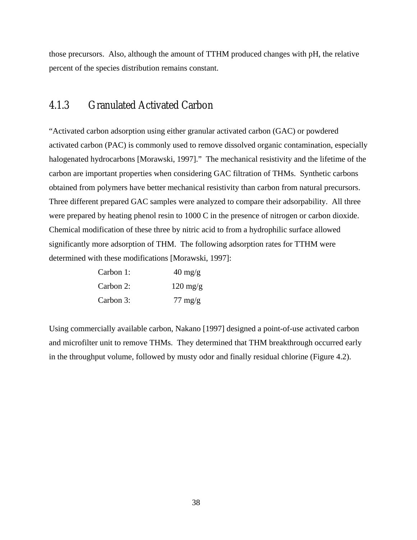those precursors. Also, although the amount of TTHM produced changes with pH, the relative percent of the species distribution remains constant.

### 4.1.3 Granulated Activated Carbon

"Activated carbon adsorption using either granular activated carbon (GAC) or powdered activated carbon (PAC) is commonly used to remove dissolved organic contamination, especially halogenated hydrocarbons [Morawski, 1997]." The mechanical resistivity and the lifetime of the carbon are important properties when considering GAC filtration of THMs. Synthetic carbons obtained from polymers have better mechanical resistivity than carbon from natural precursors. Three different prepared GAC samples were analyzed to compare their adsorpability. All three were prepared by heating phenol resin to 1000 C in the presence of nitrogen or carbon dioxide. Chemical modification of these three by nitric acid to from a hydrophilic surface allowed significantly more adsorption of THM. The following adsorption rates for TTHM were determined with these modifications [Morawski, 1997]:

| Carbon 1: | $40 \frac{\text{mg}}{\text{g}}$ |
|-----------|---------------------------------|
| Carbon 2: | $120 \text{ mg/g}$              |
| Carbon 3: | $77 \text{ mg/g}$               |

Using commercially available carbon, Nakano [1997] designed a point-of-use activated carbon and microfilter unit to remove THMs. They determined that THM breakthrough occurred early in the throughput volume, followed by musty odor and finally residual chlorine (Figure 4.2).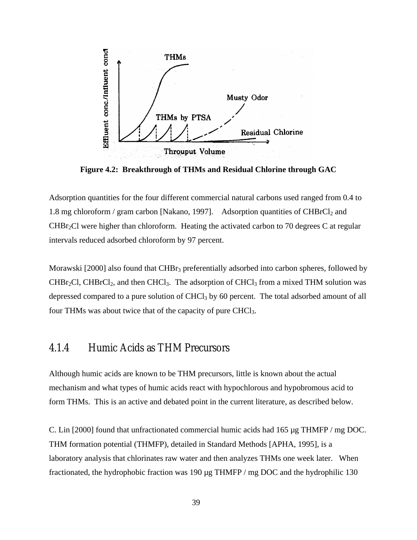

**Figure 4.2: Breakthrough of THMs and Residual Chlorine through GAC** 

Adsorption quantities for the four different commercial natural carbons used ranged from 0.4 to 1.8 mg chloroform / gram carbon [Nakano, 1997]. Adsorption quantities of  $CHBrCl<sub>2</sub>$  and  $CHBr<sub>2</sub>Cl$  were higher than chloroform. Heating the activated carbon to 70 degrees C at regular intervals reduced adsorbed chloroform by 97 percent.

Morawski  $[2000]$  also found that CHB $r_3$  preferentially adsorbed into carbon spheres, followed by  $CHBr<sub>2</sub>Cl$ ,  $CHBrCl<sub>2</sub>$ , and then  $CHCl<sub>3</sub>$ . The adsorption of  $CHCl<sub>3</sub>$  from a mixed THM solution was depressed compared to a pure solution of CHCl<sub>3</sub> by 60 percent. The total adsorbed amount of all four THMs was about twice that of the capacity of pure CHCl<sub>3</sub>.

# 4.1.4 Humic Acids as THM Precursors

Although humic acids are known to be THM precursors, little is known about the actual mechanism and what types of humic acids react with hypochlorous and hypobromous acid to form THMs. This is an active and debated point in the current literature, as described below.

C. Lin [2000] found that unfractionated commercial humic acids had  $165 \mu g$  THMFP / mg DOC. THM formation potential (THMFP), detailed in Standard Methods [APHA, 1995], is a laboratory analysis that chlorinates raw water and then analyzes THMs one week later. When fractionated, the hydrophobic fraction was 190 µg THMFP / mg DOC and the hydrophilic 130

39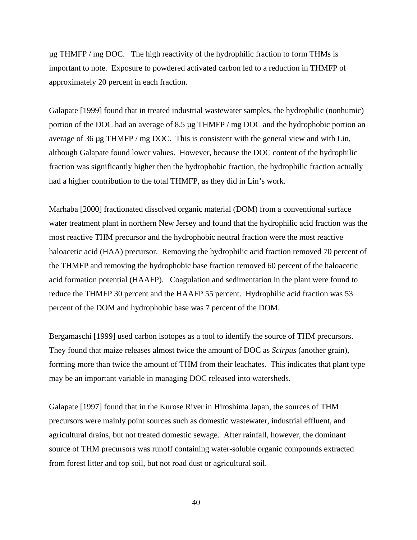$\mu$ g THMFP / mg DOC. The high reactivity of the hydrophilic fraction to form THMs is important to note. Exposure to powdered activated carbon led to a reduction in THMFP of approximately 20 percent in each fraction.

Galapate [1999] found that in treated industrial wastewater samples, the hydrophilic (nonhumic) portion of the DOC had an average of 8.5 µg THMFP / mg DOC and the hydrophobic portion an average of 36 µg THMFP / mg DOC. This is consistent with the general view and with Lin, although Galapate found lower values. However, because the DOC content of the hydrophilic fraction was significantly higher then the hydrophobic fraction, the hydrophilic fraction actually had a higher contribution to the total THMFP, as they did in Lin's work.

Marhaba [2000] fractionated dissolved organic material (DOM) from a conventional surface water treatment plant in northern New Jersey and found that the hydrophilic acid fraction was the most reactive THM precursor and the hydrophobic neutral fraction were the most reactive haloacetic acid (HAA) precursor. Removing the hydrophilic acid fraction removed 70 percent of the THMFP and removing the hydrophobic base fraction removed 60 percent of the haloacetic acid formation potential (HAAFP). Coagulation and sedimentation in the plant were found to reduce the THMFP 30 percent and the HAAFP 55 percent. Hydrophilic acid fraction was 53 percent of the DOM and hydrophobic base was 7 percent of the DOM.

Bergamaschi [1999] used carbon isotopes as a tool to identify the source of THM precursors. They found that maize releases almost twice the amount of DOC as *Scirpus* (another grain), forming more than twice the amount of THM from their leachates. This indicates that plant type may be an important variable in managing DOC released into watersheds.

Galapate [1997] found that in the Kurose River in Hiroshima Japan, the sources of THM precursors were mainly point sources such as domestic wastewater, industrial effluent, and agricultural drains, but not treated domestic sewage. After rainfall, however, the dominant source of THM precursors was runoff containing water-soluble organic compounds extracted from forest litter and top soil, but not road dust or agricultural soil.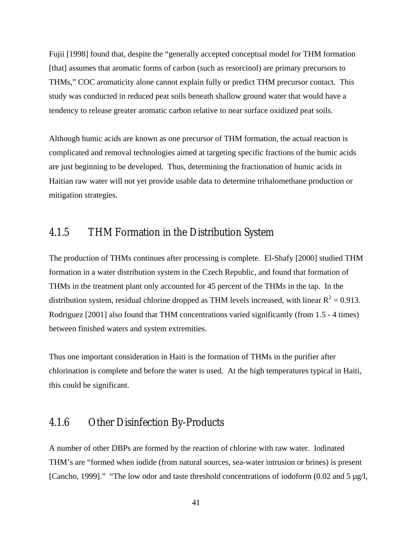Fujii [1998] found that, despite the "generally accepted conceptual model for THM formation [that] assumes that aromatic forms of carbon (such as resorcinol) are primary precursors to THMs," COC aromaticity alone cannot explain fully or predict THM precursor contact. This study was conducted in reduced peat soils beneath shallow ground water that would have a tendency to release greater aromatic carbon relative to near surface oxidized peat soils.

Although humic acids are known as one precursor of THM formation, the actual reaction is complicated and removal technologies aimed at targeting specific fractions of the humic acids are just beginning to be developed. Thus, determining the fractionation of humic acids in Haitian raw water will not yet provide usable data to determine trihalomethane production or mitigation strategies.

### 4.1.5 THM Formation in the Distribution System

The production of THMs continues after processing is complete. El-Shafy [2000] studied THM formation in a water distribution system in the Czech Republic, and found that formation of THMs in the treatment plant only accounted for 45 percent of the THMs in the tap. In the distribution system, residual chlorine dropped as THM levels increased, with linear  $R^2 = 0.913$ . Rodriguez [2001] also found that THM concentrations varied significantly (from 1.5 - 4 times) between finished waters and system extremities.

Thus one important consideration in Haiti is the formation of THMs in the purifier after chlorination is complete and before the water is used. At the high temperatures typical in Haiti, this could be significant.

### 4.1.6 Other Disinfection By-Products

A number of other DBPs are formed by the reaction of chlorine with raw water. Iodinated THM's are "formed when iodide (from natural sources, sea-water intrusion or brines) is present [Cancho, 1999]." "The low odor and taste threshold concentrations of iodoform (0.02 and 5 µg/l,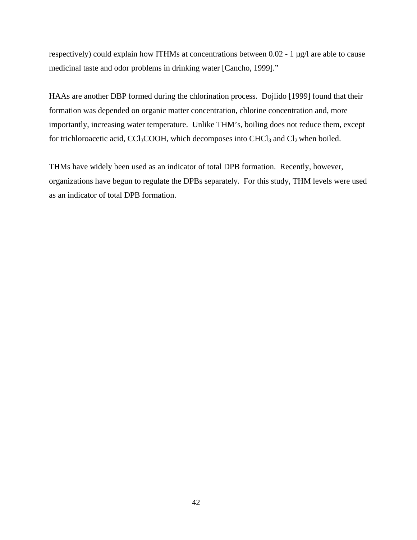respectively) could explain how ITHMs at concentrations between 0.02 - 1 µg/l are able to cause medicinal taste and odor problems in drinking water [Cancho, 1999]."

HAAs are another DBP formed during the chlorination process. Dojlido [1999] found that their formation was depended on organic matter concentration, chlorine concentration and, more importantly, increasing water temperature. Unlike THM's, boiling does not reduce them, except for trichloroacetic acid, CCl<sub>3</sub>COOH, which decomposes into CHCl<sub>3</sub> and Cl<sub>2</sub> when boiled.

THMs have widely been used as an indicator of total DPB formation. Recently, however, organizations have begun to regulate the DPBs separately. For this study, THM levels were used as an indicator of total DPB formation.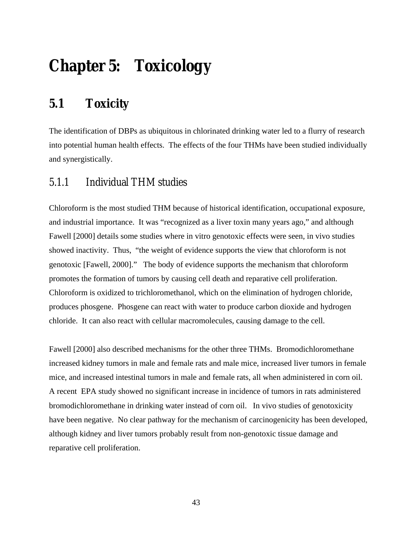# **Chapter 5: Toxicology**

# **5.1 Toxicity**

The identification of DBPs as ubiquitous in chlorinated drinking water led to a flurry of research into potential human health effects. The effects of the four THMs have been studied individually and synergistically.

### 5.1.1 Individual THM studies

Chloroform is the most studied THM because of historical identification, occupational exposure, and industrial importance. It was "recognized as a liver toxin many years ago," and although Fawell [2000] details some studies where in vitro genotoxic effects were seen, in vivo studies showed inactivity. Thus, "the weight of evidence supports the view that chloroform is not genotoxic [Fawell, 2000]." The body of evidence supports the mechanism that chloroform promotes the formation of tumors by causing cell death and reparative cell proliferation. Chloroform is oxidized to trichloromethanol, which on the elimination of hydrogen chloride, produces phosgene. Phosgene can react with water to produce carbon dioxide and hydrogen chloride. It can also react with cellular macromolecules, causing damage to the cell.

Fawell [2000] also described mechanisms for the other three THMs. Bromodichloromethane increased kidney tumors in male and female rats and male mice, increased liver tumors in female mice, and increased intestinal tumors in male and female rats, all when administered in corn oil. A recent EPA study showed no significant increase in incidence of tumors in rats administered bromodichloromethane in drinking water instead of corn oil. In vivo studies of genotoxicity have been negative. No clear pathway for the mechanism of carcinogenicity has been developed, although kidney and liver tumors probably result from non-genotoxic tissue damage and reparative cell proliferation.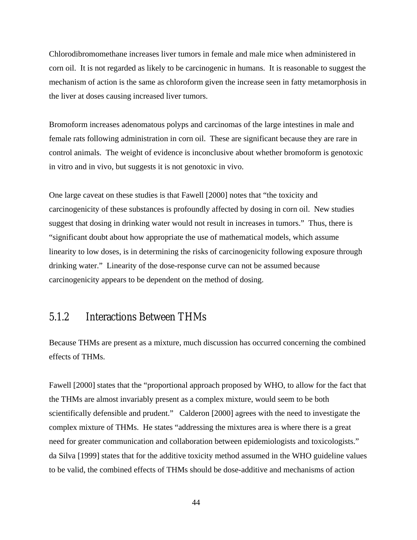Chlorodibromomethane increases liver tumors in female and male mice when administered in corn oil. It is not regarded as likely to be carcinogenic in humans. It is reasonable to suggest the mechanism of action is the same as chloroform given the increase seen in fatty metamorphosis in the liver at doses causing increased liver tumors.

Bromoform increases adenomatous polyps and carcinomas of the large intestines in male and female rats following administration in corn oil. These are significant because they are rare in control animals. The weight of evidence is inconclusive about whether bromoform is genotoxic in vitro and in vivo, but suggests it is not genotoxic in vivo.

One large caveat on these studies is that Fawell [2000] notes that "the toxicity and carcinogenicity of these substances is profoundly affected by dosing in corn oil. New studies suggest that dosing in drinking water would not result in increases in tumors." Thus, there is "significant doubt about how appropriate the use of mathematical models, which assume linearity to low doses, is in determining the risks of carcinogenicity following exposure through drinking water." Linearity of the dose-response curve can not be assumed because carcinogenicity appears to be dependent on the method of dosing.

# 5.1.2 Interactions Between THMs

Because THMs are present as a mixture, much discussion has occurred concerning the combined effects of THMs.

Fawell [2000] states that the "proportional approach proposed by WHO, to allow for the fact that the THMs are almost invariably present as a complex mixture, would seem to be both scientifically defensible and prudent." Calderon [2000] agrees with the need to investigate the complex mixture of THMs. He states "addressing the mixtures area is where there is a great need for greater communication and collaboration between epidemiologists and toxicologists." da Silva [1999] states that for the additive toxicity method assumed in the WHO guideline values to be valid, the combined effects of THMs should be dose-additive and mechanisms of action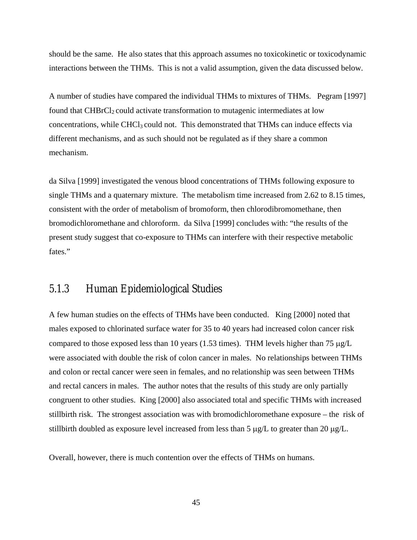should be the same. He also states that this approach assumes no toxicokinetic or toxicodynamic interactions between the THMs. This is not a valid assumption, given the data discussed below.

A number of studies have compared the individual THMs to mixtures of THMs. Pegram [1997] found that CHBrCl<sub>2</sub> could activate transformation to mutagenic intermediates at low concentrations, while CHCl<sub>3</sub> could not. This demonstrated that THMs can induce effects via different mechanisms, and as such should not be regulated as if they share a common mechanism.

da Silva [1999] investigated the venous blood concentrations of THMs following exposure to single THMs and a quaternary mixture. The metabolism time increased from 2.62 to 8.15 times, consistent with the order of metabolism of bromoform, then chlorodibromomethane, then bromodichloromethane and chloroform. da Silva [1999] concludes with: "the results of the present study suggest that co-exposure to THMs can interfere with their respective metabolic fates."

### 5.1.3 Human Epidemiological Studies

A few human studies on the effects of THMs have been conducted. King [2000] noted that males exposed to chlorinated surface water for 35 to 40 years had increased colon cancer risk compared to those exposed less than 10 years (1.53 times). THM levels higher than 75  $\mu$ g/L were associated with double the risk of colon cancer in males. No relationships between THMs and colon or rectal cancer were seen in females, and no relationship was seen between THMs and rectal cancers in males. The author notes that the results of this study are only partially congruent to other studies. King [2000] also associated total and specific THMs with increased stillbirth risk. The strongest association was with bromodichloromethane exposure – the risk of stillbirth doubled as exposure level increased from less than 5 µg/L to greater than 20 µg/L.

Overall, however, there is much contention over the effects of THMs on humans.

45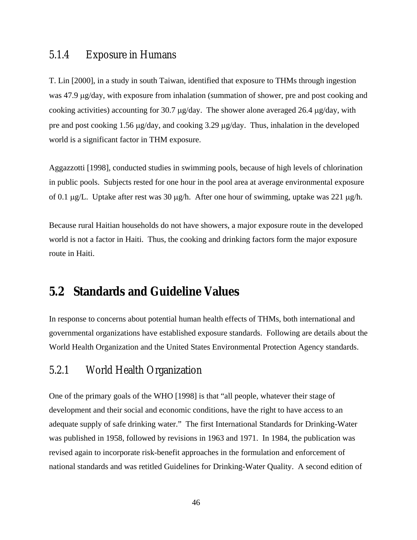### 5.1.4 Exposure in Humans

T. Lin [2000], in a study in south Taiwan, identified that exposure to THMs through ingestion was 47.9 µg/day, with exposure from inhalation (summation of shower, pre and post cooking and cooking activities) accounting for 30.7 µg/day. The shower alone averaged 26.4 µg/day, with pre and post cooking 1.56 µg/day, and cooking 3.29 µg/day. Thus, inhalation in the developed world is a significant factor in THM exposure.

Aggazzotti [1998], conducted studies in swimming pools, because of high levels of chlorination in public pools. Subjects rested for one hour in the pool area at average environmental exposure of 0.1  $\mu$ g/L. Uptake after rest was 30  $\mu$ g/h. After one hour of swimming, uptake was 221  $\mu$ g/h.

Because rural Haitian households do not have showers, a major exposure route in the developed world is not a factor in Haiti. Thus, the cooking and drinking factors form the major exposure route in Haiti.

# **5.2 Standards and Guideline Values**

In response to concerns about potential human health effects of THMs, both international and governmental organizations have established exposure standards. Following are details about the World Health Organization and the United States Environmental Protection Agency standards.

# 5.2.1 World Health Organization

One of the primary goals of the WHO [1998] is that "all people, whatever their stage of development and their social and economic conditions, have the right to have access to an adequate supply of safe drinking water." The first International Standards for Drinking-Water was published in 1958, followed by revisions in 1963 and 1971. In 1984, the publication was revised again to incorporate risk-benefit approaches in the formulation and enforcement of national standards and was retitled Guidelines for Drinking-Water Quality. A second edition of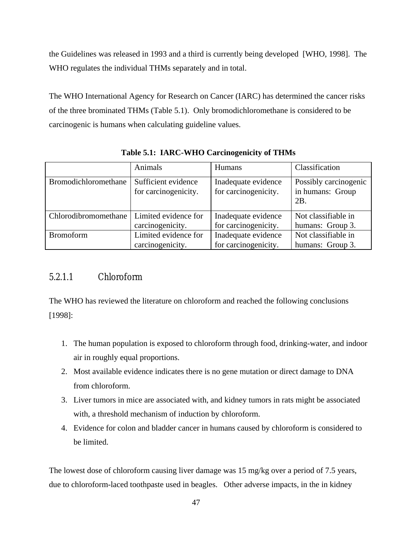the Guidelines was released in 1993 and a third is currently being developed [WHO, 1998]. The WHO regulates the individual THMs separately and in total.

The WHO International Agency for Research on Cancer (IARC) has determined the cancer risks of the three brominated THMs (Table 5.1). Only bromodichloromethane is considered to be carcinogenic is humans when calculating guideline values.

|                      | Animals                                     | <b>Humans</b>                               | Classification                                      |
|----------------------|---------------------------------------------|---------------------------------------------|-----------------------------------------------------|
| Bromodichloromethane | Sufficient evidence<br>for carcinogenicity. | Inadequate evidence<br>for carcinogenicity. | Possibly carcinogenic<br>in humans: Group<br>$2B$ . |
| Chlorodibromomethane | Limited evidence for                        | Inadequate evidence                         | Not classifiable in                                 |
|                      | carcinogenicity.                            | for carcinogenicity.                        | humans: Group 3.                                    |
| <b>Bromoform</b>     | Limited evidence for                        | Inadequate evidence                         | Not classifiable in                                 |
|                      | carcinogenicity.                            | for carcinogenicity.                        | humans: Group 3.                                    |

**Table 5.1: IARC-WHO Carcinogenicity of THMs** 

### 5.2.1.1 Chloroform

The WHO has reviewed the literature on chloroform and reached the following conclusions [1998]:

- 1. The human population is exposed to chloroform through food, drinking-water, and indoor air in roughly equal proportions.
- 2. Most available evidence indicates there is no gene mutation or direct damage to DNA from chloroform.
- 3. Liver tumors in mice are associated with, and kidney tumors in rats might be associated with, a threshold mechanism of induction by chloroform.
- 4. Evidence for colon and bladder cancer in humans caused by chloroform is considered to be limited.

The lowest dose of chloroform causing liver damage was 15 mg/kg over a period of 7.5 years, due to chloroform-laced toothpaste used in beagles. Other adverse impacts, in the in kidney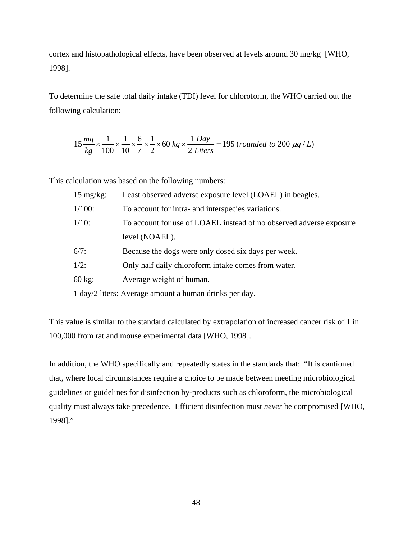cortex and histopathological effects, have been observed at levels around 30 mg/kg [WHO, 1998].

To determine the safe total daily intake (TDI) level for chloroform, the WHO carried out the following calculation:

$$
15\frac{mg}{kg} \times \frac{1}{100} \times \frac{1}{10} \times \frac{6}{7} \times \frac{1}{2} \times 60 kg \times \frac{1 \text{ Day}}{2 \text{ Liters}} = 195 \text{ (rounded to 200 \text{ µg} / L)}
$$

This calculation was based on the following numbers:

| $15 \text{ mg/kg}$ : | Least observed adverse exposure level (LOAEL) in beagles.           |
|----------------------|---------------------------------------------------------------------|
| $1/100$ :            | To account for intra- and interspecies variations.                  |
| $1/10$ :             | To account for use of LOAEL instead of no observed adverse exposure |
|                      | level (NOAEL).                                                      |
| $6/7$ :              | Because the dogs were only dosed six days per week.                 |
| $1/2$ :              | Only half daily chloroform intake comes from water.                 |
| $60 \text{ kg}$      | Average weight of human.                                            |
|                      | 1 day/2 liters: Average amount a human drinks per day.              |

This value is similar to the standard calculated by extrapolation of increased cancer risk of 1 in 100,000 from rat and mouse experimental data [WHO, 1998].

In addition, the WHO specifically and repeatedly states in the standards that: "It is cautioned that, where local circumstances require a choice to be made between meeting microbiological guidelines or guidelines for disinfection by-products such as chloroform, the microbiological quality must always take precedence. Efficient disinfection must *never* be compromised [WHO, 1998]."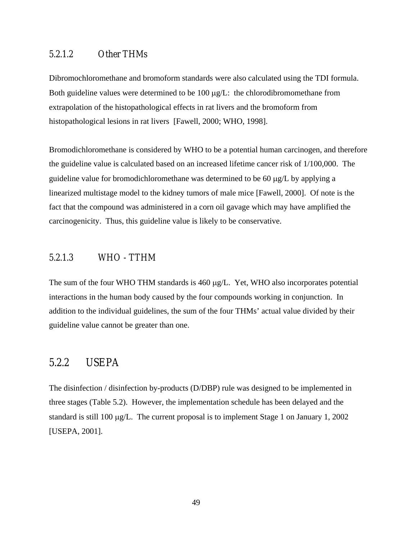### 5.2.1.2 Other THMs

Dibromochloromethane and bromoform standards were also calculated using the TDI formula. Both guideline values were determined to be 100  $\mu$ g/L: the chlorodibromomethane from extrapolation of the histopathological effects in rat livers and the bromoform from histopathological lesions in rat livers [Fawell, 2000; WHO, 1998].

Bromodichloromethane is considered by WHO to be a potential human carcinogen, and therefore the guideline value is calculated based on an increased lifetime cancer risk of 1/100,000. The guideline value for bromodichloromethane was determined to be 60 µg/L by applying a linearized multistage model to the kidney tumors of male mice [Fawell, 2000]. Of note is the fact that the compound was administered in a corn oil gavage which may have amplified the carcinogenicity. Thus, this guideline value is likely to be conservative.

### 5.2.1.3 WHO - TTHM

The sum of the four WHO THM standards is 460 µg/L. Yet, WHO also incorporates potential interactions in the human body caused by the four compounds working in conjunction. In addition to the individual guidelines, the sum of the four THMs' actual value divided by their guideline value cannot be greater than one.

### 5.2.2 USEPA

The disinfection / disinfection by-products (D/DBP) rule was designed to be implemented in three stages (Table 5.2). However, the implementation schedule has been delayed and the standard is still 100 µg/L. The current proposal is to implement Stage 1 on January 1, 2002 [USEPA, 2001].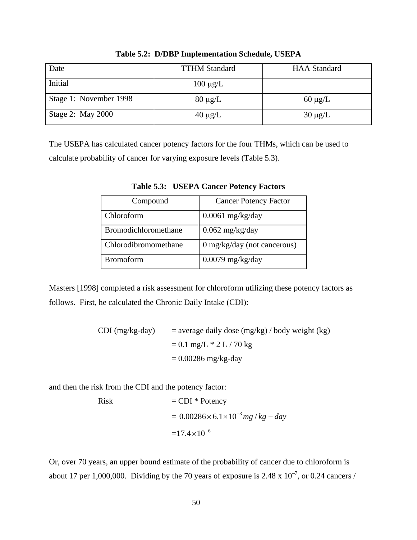| Date                   | <b>TTHM Standard</b> | <b>HAA</b> Standard |
|------------------------|----------------------|---------------------|
| Initial                | $100 \mu g/L$        |                     |
| Stage 1: November 1998 | $80 \mu g/L$         | $60 \mu g/L$        |
| Stage 2: May 2000      | $40 \mu g/L$         | $30 \mu g/L$        |

**Table 5.2: D/DBP Implementation Schedule, USEPA** 

The USEPA has calculated cancer potency factors for the four THMs, which can be used to calculate probability of cancer for varying exposure levels (Table 5.3).

| Compound             | <b>Cancer Potency Factor</b>  |
|----------------------|-------------------------------|
| Chloroform           | $0.0061$ mg/kg/day            |
| Bromodichloromethane | $0.062$ mg/kg/day             |
| Chlorodibromomethane | $0$ mg/kg/day (not cancerous) |
| <b>Bromoform</b>     | $0.0079$ mg/kg/day            |

**Table 5.3: USEPA Cancer Potency Factors** 

Masters [1998] completed a risk assessment for chloroform utilizing these potency factors as follows. First, he calculated the Chronic Daily Intake (CDI):

> CDI (mg/kg-day) = average daily dose (mg/kg) / body weight (kg)  $= 0.1$  mg/L  $*$  2 L / 70 kg  $= 0.00286$  mg/kg-day

and then the risk from the CDI and the potency factor:

Risk 
$$
= CDI * Potency
$$

$$
= 0.00286 \times 6.1 \times 10^{-3} mg/kg - day
$$

$$
= 17.4 \times 10^{-6}
$$

Or, over 70 years, an upper bound estimate of the probability of cancer due to chloroform is about 17 per 1,000,000. Dividing by the 70 years of exposure is 2.48 x  $10^{-7}$ , or 0.24 cancers /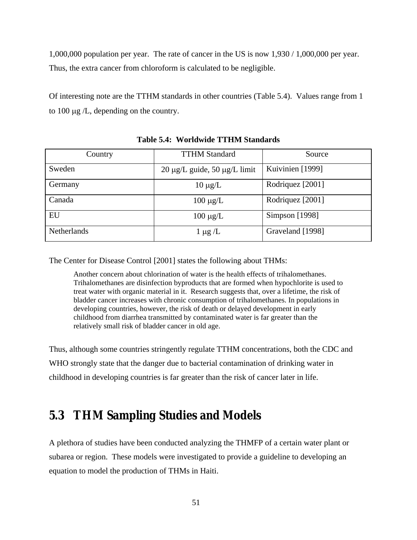1,000,000 population per year. The rate of cancer in the US is now 1,930 / 1,000,000 per year. Thus, the extra cancer from chloroform is calculated to be negligible.

Of interesting note are the TTHM standards in other countries (Table 5.4). Values range from 1 to 100 µg /L, depending on the country.

| Country            | <b>TTHM Standard</b>                   | Source           |  |
|--------------------|----------------------------------------|------------------|--|
| Sweden             | $20 \mu g/L$ guide, $50 \mu g/L$ limit | Kuivinien [1999] |  |
| Germany            | $10 \mu g/L$                           | Rodriquez [2001] |  |
| Canada             | $100 \mu g/L$                          | Rodriquez [2001] |  |
| EU                 | $100 \mu g/L$                          | Simpson [1998]   |  |
| <b>Netherlands</b> | $1 \mu g / L$                          | Graveland [1998] |  |

#### **Table 5.4: Worldwide TTHM Standards**

The Center for Disease Control [2001] states the following about THMs:

Another concern about chlorination of water is the health effects of trihalomethanes. Trihalomethanes are disinfection byproducts that are formed when hypochlorite is used to treat water with organic material in it. Research suggests that, over a lifetime, the risk of bladder cancer increases with chronic consumption of trihalomethanes. In populations in developing countries, however, the risk of death or delayed development in early childhood from diarrhea transmitted by contaminated water is far greater than the relatively small risk of bladder cancer in old age.

Thus, although some countries stringently regulate TTHM concentrations, both the CDC and WHO strongly state that the danger due to bacterial contamination of drinking water in childhood in developing countries is far greater than the risk of cancer later in life.

# **5.3 THM Sampling Studies and Models**

A plethora of studies have been conducted analyzing the THMFP of a certain water plant or subarea or region. These models were investigated to provide a guideline to developing an equation to model the production of THMs in Haiti.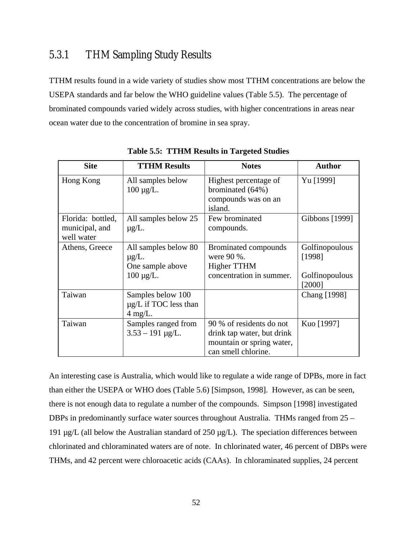# 5.3.1 THM Sampling Study Results

TTHM results found in a wide variety of studies show most TTHM concentrations are below the USEPA standards and far below the WHO guideline values (Table 5.5). The percentage of brominated compounds varied widely across studies, with higher concentrations in areas near ocean water due to the concentration of bromine in sea spray.

| <b>Site</b>                                       | <b>TTHM Results</b>                                                       | <b>Notes</b>                                                                                               | <b>Author</b>                                        |
|---------------------------------------------------|---------------------------------------------------------------------------|------------------------------------------------------------------------------------------------------------|------------------------------------------------------|
| Hong Kong                                         | All samples below<br>$100 \mu g/L$ .                                      | Highest percentage of<br>brominated (64%)<br>compounds was on an<br>island.                                | Yu [1999]                                            |
| Florida: bottled,<br>municipal, and<br>well water | All samples below 25<br>$\mu$ g/L.                                        | Few brominated<br>compounds.                                                                               | Gibbons [1999]                                       |
| Athens, Greece                                    | All samples below 80<br>$\mu$ g/L.<br>One sample above<br>$100 \mu g/L$ . | Brominated compounds<br>were 90 %.<br>Higher TTHM<br>concentration in summer.                              | Golfinopoulous<br>[1998]<br>Golfinopoulous<br>[2000] |
| Taiwan                                            | Samples below 100<br>$\mu$ g/L if TOC less than<br>$4 \text{ mg/L}.$      |                                                                                                            | <b>Chang</b> [1998]                                  |
| Taiwan                                            | Samples ranged from<br>$3.53 - 191 \mu g/L$ .                             | 90 % of residents do not<br>drink tap water, but drink<br>mountain or spring water,<br>can smell chlorine. | Kuo [1997]                                           |

**Table 5.5: TTHM Results in Targeted Studies** 

An interesting case is Australia, which would like to regulate a wide range of DPBs, more in fact than either the USEPA or WHO does (Table 5.6) [Simpson, 1998]. However, as can be seen, there is not enough data to regulate a number of the compounds. Simpson [1998] investigated DBPs in predominantly surface water sources throughout Australia. THMs ranged from 25 – 191  $\mu$ g/L (all below the Australian standard of 250  $\mu$ g/L). The speciation differences between chlorinated and chloraminated waters are of note. In chlorinated water, 46 percent of DBPs were THMs, and 42 percent were chloroacetic acids (CAAs). In chloraminated supplies, 24 percent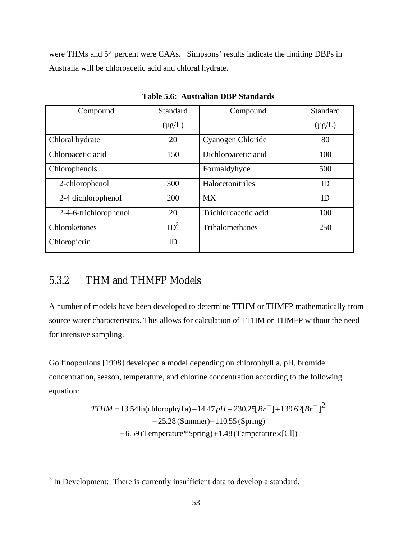were THMs and 54 percent were CAAs. Simpsons' results indicate the limiting DBPs in Australia will be chloroacetic acid and chloral hydrate.

| Compound              | Standard        | Compound             | Standard    |
|-----------------------|-----------------|----------------------|-------------|
|                       | $(\mu g/L)$     |                      | $(\mu g/L)$ |
| Chloral hydrate       | 20              | Cyanogen Chloride    | 80          |
| Chloroacetic acid     | 150             | Dichloroacetic acid  | 100         |
| Chlorophenols         |                 | Formaldyhyde         | 500         |
| 2-chlorophenol        | 300             | Halocetonitriles     | ID          |
| 2-4 dichlorophenol    | 200             | <b>MX</b>            | ID          |
| 2-4-6-trichlorophenol | 20              | Trichloroacetic acid | 100         |
| Chloroketones         | ID <sup>3</sup> | Trihalomethanes      | 250         |
| Chloropicrin          | ID              |                      |             |

**Table 5.6: Australian DBP Standards** 

# 5.3.2 THM and THMFP Models

 $\overline{a}$ 

A number of models have been developed to determine TTHM or THMFP mathematically from source water characteristics. This allows for calculation of TTHM or THMFP without the need for intensive sampling.

Golfinopoulous [1998] developed a model depending on chlorophyll a, pH, bromide concentration, season, temperature, and chlorine concentration according to the following equation:

*TTHM* = 13.54ln(chlorophyll a) – 14.47 
$$
pH
$$
 + 230.25[ $Br^-$ ] + 139.62[ $Br^-$ ]<sup>2</sup>  
– 25.28 (Summer)+110.55 (Spring)  
– 6.59 (Temperature\*Spring)+1.48 (Temperature×[CI])

 $3$  In Development: There is currently insufficient data to develop a standard.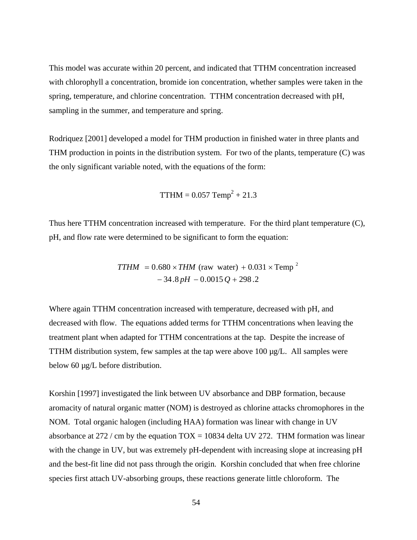This model was accurate within 20 percent, and indicated that TTHM concentration increased with chlorophyll a concentration, bromide ion concentration, whether samples were taken in the spring, temperature, and chlorine concentration. TTHM concentration decreased with pH, sampling in the summer, and temperature and spring.

Rodriquez [2001] developed a model for THM production in finished water in three plants and THM production in points in the distribution system. For two of the plants, temperature (C) was the only significant variable noted, with the equations of the form:

$$
THM = 0.057 \text{ Temp}^2 + 21.3
$$

Thus here TTHM concentration increased with temperature. For the third plant temperature (C), pH, and flow rate were determined to be significant to form the equation:

$$
TTHM = 0.680 \times THM \text{ (raw water)} + 0.031 \times \text{Temp}^2
$$

$$
-34.8 \, pH - 0.0015 \, Q + 298.2
$$

Where again TTHM concentration increased with temperature, decreased with pH, and decreased with flow. The equations added terms for TTHM concentrations when leaving the treatment plant when adapted for TTHM concentrations at the tap. Despite the increase of TTHM distribution system, few samples at the tap were above  $100 \mu g/L$ . All samples were below 60 µg/L before distribution.

Korshin [1997] investigated the link between UV absorbance and DBP formation, because aromacity of natural organic matter (NOM) is destroyed as chlorine attacks chromophores in the NOM. Total organic halogen (including HAA) formation was linear with change in UV absorbance at 272 / cm by the equation  $TOX = 10834$  delta UV 272. THM formation was linear with the change in UV, but was extremely pH-dependent with increasing slope at increasing pH and the best-fit line did not pass through the origin. Korshin concluded that when free chlorine species first attach UV-absorbing groups, these reactions generate little chloroform. The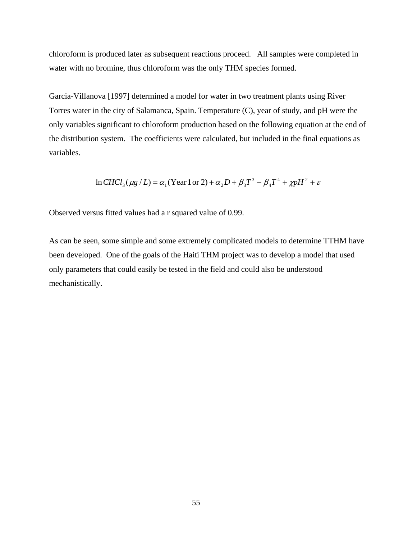chloroform is produced later as subsequent reactions proceed. All samples were completed in water with no bromine, thus chloroform was the only THM species formed.

Garcia-Villanova [1997] determined a model for water in two treatment plants using River Torres water in the city of Salamanca, Spain. Temperature (C), year of study, and pH were the only variables significant to chloroform production based on the following equation at the end of the distribution system. The coefficients were calculated, but included in the final equations as variables.

$$
\ln CHCl_3(\mu g/L) = \alpha_1 (\text{Year 1 or 2}) + \alpha_2 D + \beta_3 T^3 - \beta_4 T^4 + \chi pH^2 + \varepsilon
$$

Observed versus fitted values had a r squared value of 0.99.

As can be seen, some simple and some extremely complicated models to determine TTHM have been developed. One of the goals of the Haiti THM project was to develop a model that used only parameters that could easily be tested in the field and could also be understood mechanistically.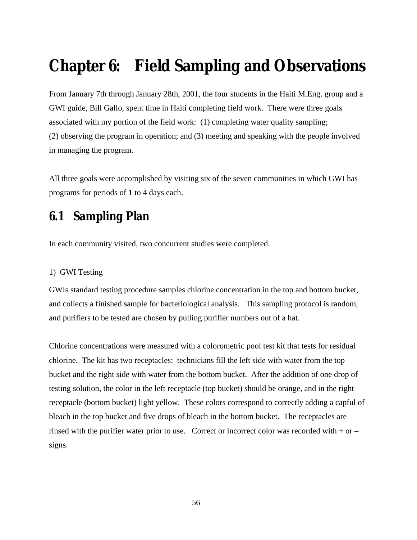# **Chapter 6: Field Sampling and Observations**

From January 7th through January 28th, 2001, the four students in the Haiti M.Eng. group and a GWI guide, Bill Gallo, spent time in Haiti completing field work. There were three goals associated with my portion of the field work: (1) completing water quality sampling; (2) observing the program in operation; and (3) meeting and speaking with the people involved in managing the program.

All three goals were accomplished by visiting six of the seven communities in which GWI has programs for periods of 1 to 4 days each.

# **6.1 Sampling Plan**

In each community visited, two concurrent studies were completed.

#### 1) GWI Testing

GWIs standard testing procedure samples chlorine concentration in the top and bottom bucket, and collects a finished sample for bacteriological analysis. This sampling protocol is random, and purifiers to be tested are chosen by pulling purifier numbers out of a hat.

Chlorine concentrations were measured with a colorometric pool test kit that tests for residual chlorine. The kit has two receptacles: technicians fill the left side with water from the top bucket and the right side with water from the bottom bucket. After the addition of one drop of testing solution, the color in the left receptacle (top bucket) should be orange, and in the right receptacle (bottom bucket) light yellow. These colors correspond to correctly adding a capful of bleach in the top bucket and five drops of bleach in the bottom bucket. The receptacles are rinsed with the purifier water prior to use. Correct or incorrect color was recorded with  $+$  or  $$ signs.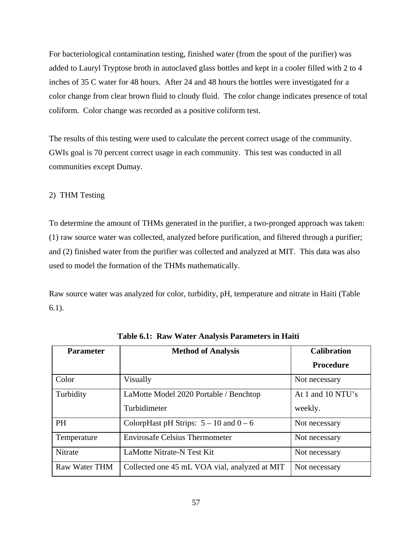For bacteriological contamination testing, finished water (from the spout of the purifier) was added to Lauryl Tryptose broth in autoclaved glass bottles and kept in a cooler filled with 2 to 4 inches of 35 C water for 48 hours. After 24 and 48 hours the bottles were investigated for a color change from clear brown fluid to cloudy fluid. The color change indicates presence of total coliform. Color change was recorded as a positive coliform test.

The results of this testing were used to calculate the percent correct usage of the community. GWIs goal is 70 percent correct usage in each community. This test was conducted in all communities except Dumay.

#### 2) THM Testing

To determine the amount of THMs generated in the purifier, a two-pronged approach was taken: (1) raw source water was collected, analyzed before purification, and filtered through a purifier; and (2) finished water from the purifier was collected and analyzed at MIT. This data was also used to model the formation of the THMs mathematically.

Raw source water was analyzed for color, turbidity, pH, temperature and nitrate in Haiti (Table 6.1).

| <b>Parameter</b> | <b>Method of Analysis</b>                     | <b>Calibration</b> |
|------------------|-----------------------------------------------|--------------------|
|                  |                                               | <b>Procedure</b>   |
| Color            | Visually                                      | Not necessary      |
| Turbidity        | LaMotte Model 2020 Portable / Benchtop        | At 1 and 10 NTU's  |
|                  | Turbidimeter                                  | weekly.            |
| <b>PH</b>        | ColorpHast pH Strips: $5 - 10$ and $0 - 6$    | Not necessary      |
| Temperature      | <b>Envirosafe Celsius Thermometer</b>         | Not necessary      |
| Nitrate          | LaMotte Nitrate-N Test Kit                    | Not necessary      |
| Raw Water THM    | Collected one 45 mL VOA vial, analyzed at MIT | Not necessary      |

**Table 6.1: Raw Water Analysis Parameters in Haiti**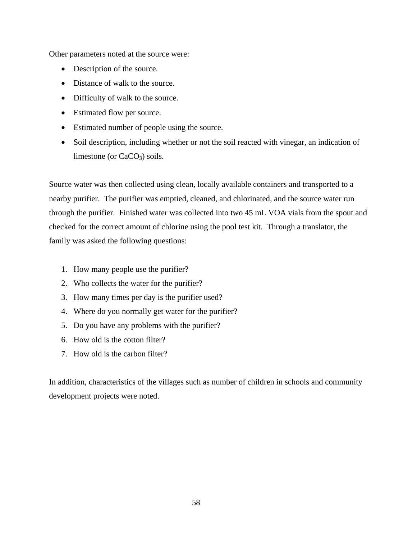Other parameters noted at the source were:

- Description of the source.
- Distance of walk to the source.
- Difficulty of walk to the source.
- Estimated flow per source.
- Estimated number of people using the source.
- Soil description, including whether or not the soil reacted with vinegar, an indication of limestone (or  $CaCO<sub>3</sub>$ ) soils.

Source water was then collected using clean, locally available containers and transported to a nearby purifier. The purifier was emptied, cleaned, and chlorinated, and the source water run through the purifier. Finished water was collected into two 45 mL VOA vials from the spout and checked for the correct amount of chlorine using the pool test kit. Through a translator, the family was asked the following questions:

- 1. How many people use the purifier?
- 2. Who collects the water for the purifier?
- 3. How many times per day is the purifier used?
- 4. Where do you normally get water for the purifier?
- 5. Do you have any problems with the purifier?
- 6. How old is the cotton filter?
- 7. How old is the carbon filter?

In addition, characteristics of the villages such as number of children in schools and community development projects were noted.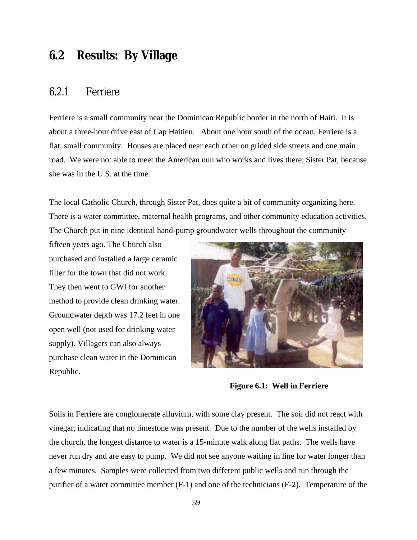# **6.2 Results: By Village**

### 6.2.1 Ferriere

Ferriere is a small community near the Dominican Republic border in the north of Haiti. It is about a three-hour drive east of Cap Haitien. About one hour south of the ocean, Ferriere is a flat, small community. Houses are placed near each other on grided side streets and one main road. We were not able to meet the American nun who works and lives there, Sister Pat, because she was in the U.S. at the time.

The local Catholic Church, through Sister Pat, does quite a bit of community organizing here. There is a water committee, maternal health programs, and other community education activities. The Church put in nine identical hand-pump groundwater wells throughout the community

fifteen years ago. The Church also purchased and installed a large ceramic filter for the town that did not work. They then went to GWI for another method to provide clean drinking water. Groundwater depth was 17.2 feet in one open well (not used for drinking water supply). Villagers can also always purchase clean water in the Dominican Republic.



**Figure 6.1: Well in Ferriere** 

Soils in Ferriere are conglomerate alluvium, with some clay present. The soil did not react with vinegar, indicating that no limestone was present. Due to the number of the wells installed by the church, the longest distance to water is a 15-minute walk along flat paths. The wells have never run dry and are easy to pump. We did not see anyone waiting in line for water longer than a few minutes. Samples were collected from two different public wells and run through the purifier of a water committee member (F-1) and one of the technicians (F-2). Temperature of the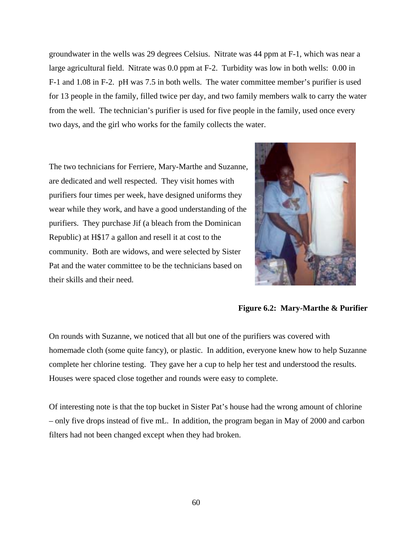groundwater in the wells was 29 degrees Celsius. Nitrate was 44 ppm at F-1, which was near a large agricultural field. Nitrate was 0.0 ppm at F-2. Turbidity was low in both wells: 0.00 in F-1 and 1.08 in F-2. pH was 7.5 in both wells. The water committee member's purifier is used for 13 people in the family, filled twice per day, and two family members walk to carry the water from the well. The technician's purifier is used for five people in the family, used once every two days, and the girl who works for the family collects the water.

The two technicians for Ferriere, Mary-Marthe and Suzanne, are dedicated and well respected. They visit homes with purifiers four times per week, have designed uniforms they wear while they work, and have a good understanding of the purifiers. They purchase Jif (a bleach from the Dominican Republic) at H\$17 a gallon and resell it at cost to the community. Both are widows, and were selected by Sister Pat and the water committee to be the technicians based on their skills and their need.



#### **Figure 6.2: Mary-Marthe & Purifier**

On rounds with Suzanne, we noticed that all but one of the purifiers was covered with homemade cloth (some quite fancy), or plastic. In addition, everyone knew how to help Suzanne complete her chlorine testing. They gave her a cup to help her test and understood the results. Houses were spaced close together and rounds were easy to complete.

Of interesting note is that the top bucket in Sister Pat's house had the wrong amount of chlorine – only five drops instead of five mL. In addition, the program began in May of 2000 and carbon filters had not been changed except when they had broken.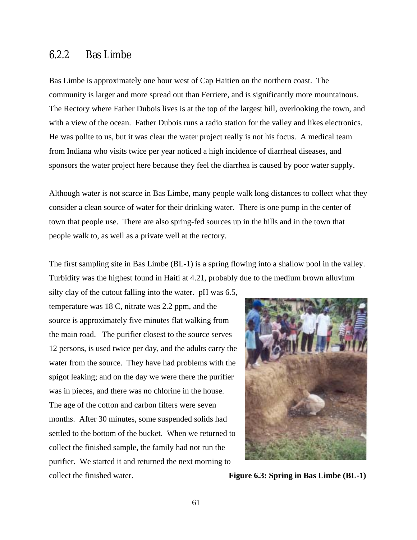### 6.2.2 Bas Limbe

Bas Limbe is approximately one hour west of Cap Haitien on the northern coast. The community is larger and more spread out than Ferriere, and is significantly more mountainous. The Rectory where Father Dubois lives is at the top of the largest hill, overlooking the town, and with a view of the ocean. Father Dubois runs a radio station for the valley and likes electronics. He was polite to us, but it was clear the water project really is not his focus. A medical team from Indiana who visits twice per year noticed a high incidence of diarrheal diseases, and sponsors the water project here because they feel the diarrhea is caused by poor water supply.

Although water is not scarce in Bas Limbe, many people walk long distances to collect what they consider a clean source of water for their drinking water. There is one pump in the center of town that people use. There are also spring-fed sources up in the hills and in the town that people walk to, as well as a private well at the rectory.

The first sampling site in Bas Limbe (BL-1) is a spring flowing into a shallow pool in the valley. Turbidity was the highest found in Haiti at 4.21, probably due to the medium brown alluvium

silty clay of the cutout falling into the water. pH was 6.5, temperature was 18 C, nitrate was 2.2 ppm, and the source is approximately five minutes flat walking from the main road. The purifier closest to the source serves 12 persons, is used twice per day, and the adults carry the water from the source. They have had problems with the spigot leaking; and on the day we were there the purifier was in pieces, and there was no chlorine in the house. The age of the cotton and carbon filters were seven months. After 30 minutes, some suspended solids had settled to the bottom of the bucket. When we returned to collect the finished sample, the family had not run the purifier. We started it and returned the next morning to collect the finished water. **Figure 6.3: Spring in Bas Limbe (BL-1)** 

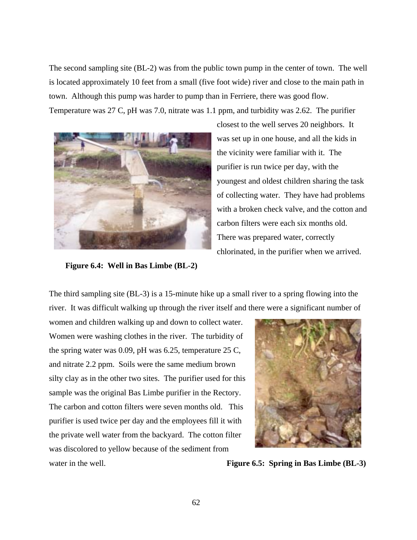The second sampling site (BL-2) was from the public town pump in the center of town. The well is located approximately 10 feet from a small (five foot wide) river and close to the main path in town. Although this pump was harder to pump than in Ferriere, there was good flow. Temperature was 27 C, pH was 7.0, nitrate was 1.1 ppm, and turbidity was 2.62. The purifier



closest to the well serves 20 neighbors. It was set up in one house, and all the kids in the vicinity were familiar with it. The purifier is run twice per day, with the youngest and oldest children sharing the task of collecting water. They have had problems with a broken check valve, and the cotton and carbon filters were each six months old. There was prepared water, correctly chlorinated, in the purifier when we arrived.

 **Figure 6.4: Well in Bas Limbe (BL-2)**

The third sampling site (BL-3) is a 15-minute hike up a small river to a spring flowing into the river. It was difficult walking up through the river itself and there were a significant number of

women and children walking up and down to collect water. Women were washing clothes in the river. The turbidity of the spring water was 0.09, pH was 6.25, temperature 25 C, and nitrate 2.2 ppm. Soils were the same medium brown silty clay as in the other two sites. The purifier used for this sample was the original Bas Limbe purifier in the Rectory. The carbon and cotton filters were seven months old. This purifier is used twice per day and the employees fill it with the private well water from the backyard. The cotton filter was discolored to yellow because of the sediment from



water in the well. **Figure 6.5: Spring in Bas Limbe (BL-3)**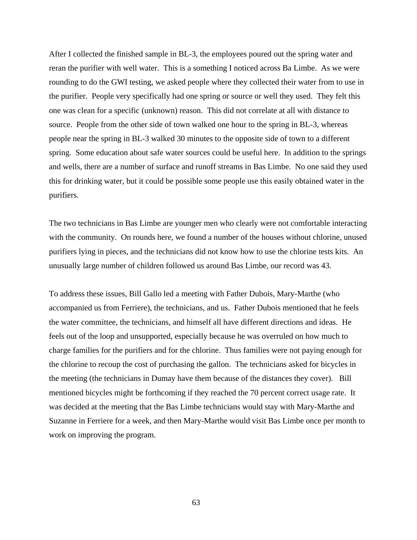After I collected the finished sample in BL-3, the employees poured out the spring water and reran the purifier with well water. This is a something I noticed across Ba Limbe. As we were rounding to do the GWI testing, we asked people where they collected their water from to use in the purifier. People very specifically had one spring or source or well they used. They felt this one was clean for a specific (unknown) reason. This did not correlate at all with distance to source. People from the other side of town walked one hour to the spring in BL-3, whereas people near the spring in BL-3 walked 30 minutes to the opposite side of town to a different spring. Some education about safe water sources could be useful here. In addition to the springs and wells, there are a number of surface and runoff streams in Bas Limbe. No one said they used this for drinking water, but it could be possible some people use this easily obtained water in the purifiers.

The two technicians in Bas Limbe are younger men who clearly were not comfortable interacting with the community. On rounds here, we found a number of the houses without chlorine, unused purifiers lying in pieces, and the technicians did not know how to use the chlorine tests kits. An unusually large number of children followed us around Bas Limbe, our record was 43.

To address these issues, Bill Gallo led a meeting with Father Dubois, Mary-Marthe (who accompanied us from Ferriere), the technicians, and us. Father Dubois mentioned that he feels the water committee, the technicians, and himself all have different directions and ideas. He feels out of the loop and unsupported, especially because he was overruled on how much to charge families for the purifiers and for the chlorine. Thus families were not paying enough for the chlorine to recoup the cost of purchasing the gallon. The technicians asked for bicycles in the meeting (the technicians in Dumay have them because of the distances they cover). Bill mentioned bicycles might be forthcoming if they reached the 70 percent correct usage rate. It was decided at the meeting that the Bas Limbe technicians would stay with Mary-Marthe and Suzanne in Ferriere for a week, and then Mary-Marthe would visit Bas Limbe once per month to work on improving the program.

63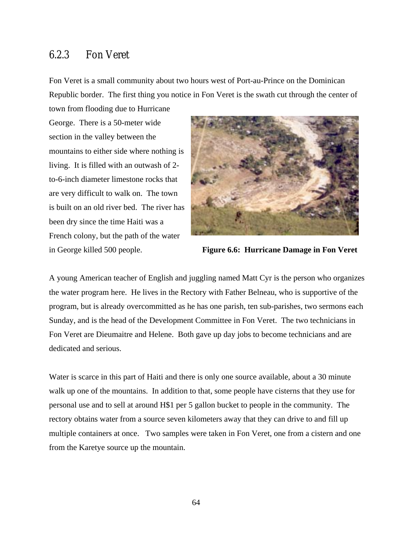### 6.2.3 Fon Veret

Fon Veret is a small community about two hours west of Port-au-Prince on the Dominican Republic border. The first thing you notice in Fon Veret is the swath cut through the center of town from flooding due to Hurricane

George. There is a 50-meter wide section in the valley between the mountains to either side where nothing is living. It is filled with an outwash of 2 to-6-inch diameter limestone rocks that are very difficult to walk on. The town is built on an old river bed. The river has been dry since the time Haiti was a French colony, but the path of the water



in George killed 500 people. **Figure 6.6: Hurricane Damage in Fon Veret**

A young American teacher of English and juggling named Matt Cyr is the person who organizes the water program here. He lives in the Rectory with Father Belneau, who is supportive of the program, but is already overcommitted as he has one parish, ten sub-parishes, two sermons each Sunday, and is the head of the Development Committee in Fon Veret. The two technicians in Fon Veret are Dieumaitre and Helene. Both gave up day jobs to become technicians and are dedicated and serious.

Water is scarce in this part of Haiti and there is only one source available, about a 30 minute walk up one of the mountains. In addition to that, some people have cisterns that they use for personal use and to sell at around H\$1 per 5 gallon bucket to people in the community. The rectory obtains water from a source seven kilometers away that they can drive to and fill up multiple containers at once. Two samples were taken in Fon Veret, one from a cistern and one from the Karetye source up the mountain.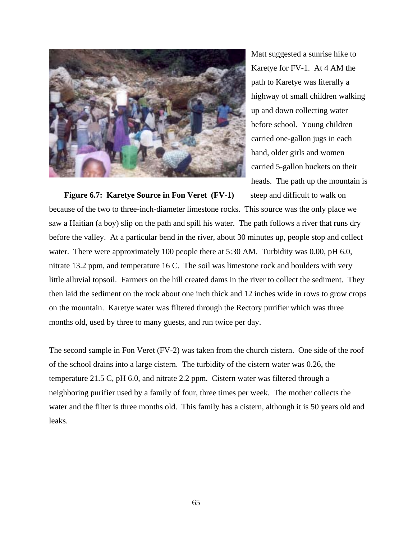

Matt suggested a sunrise hike to Karetye for FV-1. At 4 AM the path to Karetye was literally a highway of small children walking up and down collecting water before school. Young children carried one-gallon jugs in each hand, older girls and women carried 5-gallon buckets on their heads. The path up the mountain is

**Figure 6.7: Karetye Source in Fon Veret (FV-1)** steep and difficult to walk on because of the two to three-inch-diameter limestone rocks. This source was the only place we saw a Haitian (a boy) slip on the path and spill his water. The path follows a river that runs dry before the valley. At a particular bend in the river, about 30 minutes up, people stop and collect water. There were approximately 100 people there at 5:30 AM. Turbidity was 0.00, pH 6.0, nitrate 13.2 ppm, and temperature 16 C. The soil was limestone rock and boulders with very little alluvial topsoil. Farmers on the hill created dams in the river to collect the sediment. They then laid the sediment on the rock about one inch thick and 12 inches wide in rows to grow crops on the mountain. Karetye water was filtered through the Rectory purifier which was three months old, used by three to many guests, and run twice per day.

The second sample in Fon Veret (FV-2) was taken from the church cistern. One side of the roof of the school drains into a large cistern. The turbidity of the cistern water was 0.26, the temperature 21.5 C, pH 6.0, and nitrate 2.2 ppm. Cistern water was filtered through a neighboring purifier used by a family of four, three times per week. The mother collects the water and the filter is three months old. This family has a cistern, although it is 50 years old and leaks.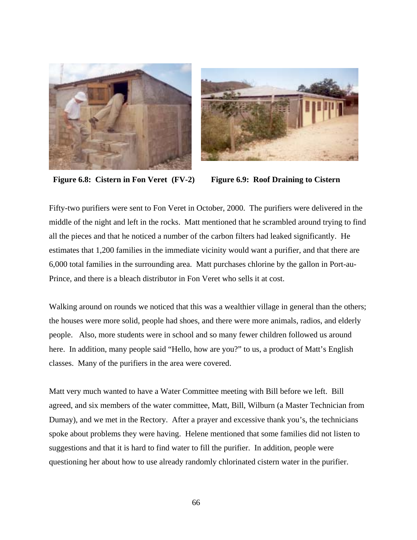



**Figure 6.8: Cistern in Fon Veret (FV-2) Figure 6.9: Roof Draining to Cistern** 

Fifty-two purifiers were sent to Fon Veret in October, 2000. The purifiers were delivered in the middle of the night and left in the rocks. Matt mentioned that he scrambled around trying to find all the pieces and that he noticed a number of the carbon filters had leaked significantly. He estimates that 1,200 families in the immediate vicinity would want a purifier, and that there are 6,000 total families in the surrounding area. Matt purchases chlorine by the gallon in Port-au-Prince, and there is a bleach distributor in Fon Veret who sells it at cost.

Walking around on rounds we noticed that this was a wealthier village in general than the others; the houses were more solid, people had shoes, and there were more animals, radios, and elderly people. Also, more students were in school and so many fewer children followed us around here. In addition, many people said "Hello, how are you?" to us, a product of Matt's English classes. Many of the purifiers in the area were covered.

Matt very much wanted to have a Water Committee meeting with Bill before we left. Bill agreed, and six members of the water committee, Matt, Bill, Wilburn (a Master Technician from Dumay), and we met in the Rectory. After a prayer and excessive thank you's, the technicians spoke about problems they were having. Helene mentioned that some families did not listen to suggestions and that it is hard to find water to fill the purifier. In addition, people were questioning her about how to use already randomly chlorinated cistern water in the purifier.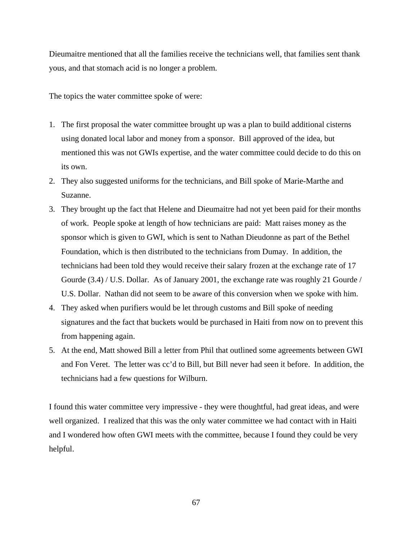Dieumaitre mentioned that all the families receive the technicians well, that families sent thank yous, and that stomach acid is no longer a problem.

The topics the water committee spoke of were:

- 1. The first proposal the water committee brought up was a plan to build additional cisterns using donated local labor and money from a sponsor. Bill approved of the idea, but mentioned this was not GWIs expertise, and the water committee could decide to do this on its own.
- 2. They also suggested uniforms for the technicians, and Bill spoke of Marie-Marthe and Suzanne.
- 3. They brought up the fact that Helene and Dieumaitre had not yet been paid for their months of work. People spoke at length of how technicians are paid: Matt raises money as the sponsor which is given to GWI, which is sent to Nathan Dieudonne as part of the Bethel Foundation, which is then distributed to the technicians from Dumay. In addition, the technicians had been told they would receive their salary frozen at the exchange rate of 17 Gourde (3.4) / U.S. Dollar. As of January 2001, the exchange rate was roughly 21 Gourde / U.S. Dollar. Nathan did not seem to be aware of this conversion when we spoke with him.
- 4. They asked when purifiers would be let through customs and Bill spoke of needing signatures and the fact that buckets would be purchased in Haiti from now on to prevent this from happening again.
- 5. At the end, Matt showed Bill a letter from Phil that outlined some agreements between GWI and Fon Veret. The letter was cc'd to Bill, but Bill never had seen it before. In addition, the technicians had a few questions for Wilburn.

I found this water committee very impressive - they were thoughtful, had great ideas, and were well organized. I realized that this was the only water committee we had contact with in Haiti and I wondered how often GWI meets with the committee, because I found they could be very helpful.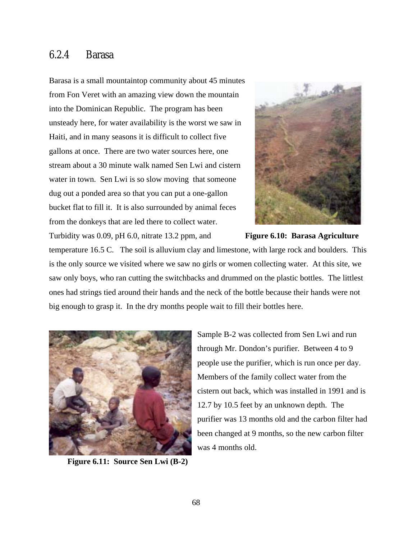### 6.2.4 Barasa

Barasa is a small mountaintop community about 45 minutes from Fon Veret with an amazing view down the mountain into the Dominican Republic. The program has been unsteady here, for water availability is the worst we saw in Haiti, and in many seasons it is difficult to collect five gallons at once. There are two water sources here, one stream about a 30 minute walk named Sen Lwi and cistern water in town. Sen Lwi is so slow moving that someone dug out a ponded area so that you can put a one-gallon bucket flat to fill it. It is also surrounded by animal feces from the donkeys that are led there to collect water. Turbidity was 0.09, pH 6.0, nitrate 13.2 ppm, and **Figure 6.10: Barasa Agriculture** 



temperature 16.5 C. The soil is alluvium clay and limestone, with large rock and boulders. This is the only source we visited where we saw no girls or women collecting water. At this site, we saw only boys, who ran cutting the switchbacks and drummed on the plastic bottles. The littlest ones had strings tied around their hands and the neck of the bottle because their hands were not big enough to grasp it. In the dry months people wait to fill their bottles here.



 **Figure 6.11: Source Sen Lwi (B-2)** 

Sample B-2 was collected from Sen Lwi and run through Mr. Dondon's purifier. Between 4 to 9 people use the purifier, which is run once per day. Members of the family collect water from the cistern out back, which was installed in 1991 and is 12.7 by 10.5 feet by an unknown depth. The purifier was 13 months old and the carbon filter had been changed at 9 months, so the new carbon filter was 4 months old.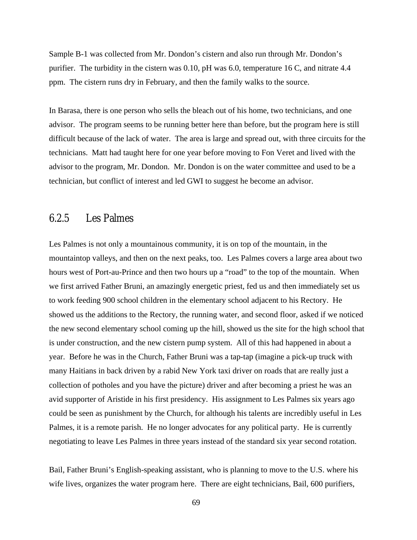Sample B-1 was collected from Mr. Dondon's cistern and also run through Mr. Dondon's purifier. The turbidity in the cistern was 0.10, pH was 6.0, temperature 16 C, and nitrate 4.4 ppm. The cistern runs dry in February, and then the family walks to the source.

In Barasa, there is one person who sells the bleach out of his home, two technicians, and one advisor. The program seems to be running better here than before, but the program here is still difficult because of the lack of water. The area is large and spread out, with three circuits for the technicians. Matt had taught here for one year before moving to Fon Veret and lived with the advisor to the program, Mr. Dondon. Mr. Dondon is on the water committee and used to be a technician, but conflict of interest and led GWI to suggest he become an advisor.

### 6.2.5 Les Palmes

Les Palmes is not only a mountainous community, it is on top of the mountain, in the mountaintop valleys, and then on the next peaks, too. Les Palmes covers a large area about two hours west of Port-au-Prince and then two hours up a "road" to the top of the mountain. When we first arrived Father Bruni, an amazingly energetic priest, fed us and then immediately set us to work feeding 900 school children in the elementary school adjacent to his Rectory. He showed us the additions to the Rectory, the running water, and second floor, asked if we noticed the new second elementary school coming up the hill, showed us the site for the high school that is under construction, and the new cistern pump system. All of this had happened in about a year. Before he was in the Church, Father Bruni was a tap-tap (imagine a pick-up truck with many Haitians in back driven by a rabid New York taxi driver on roads that are really just a collection of potholes and you have the picture) driver and after becoming a priest he was an avid supporter of Aristide in his first presidency. His assignment to Les Palmes six years ago could be seen as punishment by the Church, for although his talents are incredibly useful in Les Palmes, it is a remote parish. He no longer advocates for any political party. He is currently negotiating to leave Les Palmes in three years instead of the standard six year second rotation.

Bail, Father Bruni's English-speaking assistant, who is planning to move to the U.S. where his wife lives, organizes the water program here. There are eight technicians, Bail, 600 purifiers,

69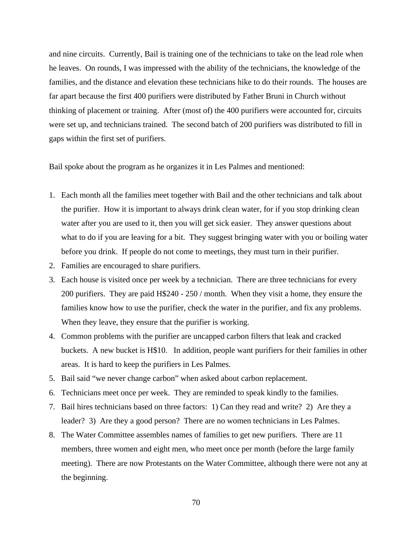and nine circuits. Currently, Bail is training one of the technicians to take on the lead role when he leaves. On rounds, I was impressed with the ability of the technicians, the knowledge of the families, and the distance and elevation these technicians hike to do their rounds. The houses are far apart because the first 400 purifiers were distributed by Father Bruni in Church without thinking of placement or training. After (most of) the 400 purifiers were accounted for, circuits were set up, and technicians trained. The second batch of 200 purifiers was distributed to fill in gaps within the first set of purifiers.

Bail spoke about the program as he organizes it in Les Palmes and mentioned:

- 1. Each month all the families meet together with Bail and the other technicians and talk about the purifier. How it is important to always drink clean water, for if you stop drinking clean water after you are used to it, then you will get sick easier. They answer questions about what to do if you are leaving for a bit. They suggest bringing water with you or boiling water before you drink. If people do not come to meetings, they must turn in their purifier.
- 2. Families are encouraged to share purifiers.
- 3. Each house is visited once per week by a technician. There are three technicians for every 200 purifiers. They are paid H\$240 - 250 / month. When they visit a home, they ensure the families know how to use the purifier, check the water in the purifier, and fix any problems. When they leave, they ensure that the purifier is working.
- 4. Common problems with the purifier are uncapped carbon filters that leak and cracked buckets. A new bucket is H\$10. In addition, people want purifiers for their families in other areas. It is hard to keep the purifiers in Les Palmes.
- 5. Bail said "we never change carbon" when asked about carbon replacement.
- 6. Technicians meet once per week. They are reminded to speak kindly to the families.
- 7. Bail hires technicians based on three factors: 1) Can they read and write? 2) Are they a leader? 3) Are they a good person? There are no women technicians in Les Palmes.
- 8. The Water Committee assembles names of families to get new purifiers. There are 11 members, three women and eight men, who meet once per month (before the large family meeting). There are now Protestants on the Water Committee, although there were not any at the beginning.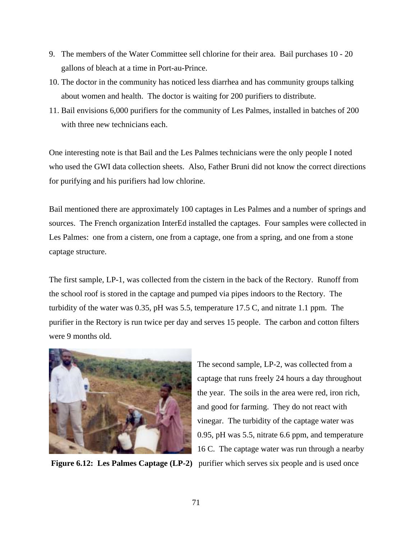- 9. The members of the Water Committee sell chlorine for their area. Bail purchases 10 20 gallons of bleach at a time in Port-au-Prince.
- 10. The doctor in the community has noticed less diarrhea and has community groups talking about women and health. The doctor is waiting for 200 purifiers to distribute.
- 11. Bail envisions 6,000 purifiers for the community of Les Palmes, installed in batches of 200 with three new technicians each.

One interesting note is that Bail and the Les Palmes technicians were the only people I noted who used the GWI data collection sheets. Also, Father Bruni did not know the correct directions for purifying and his purifiers had low chlorine.

Bail mentioned there are approximately 100 captages in Les Palmes and a number of springs and sources. The French organization InterEd installed the captages. Four samples were collected in Les Palmes: one from a cistern, one from a captage, one from a spring, and one from a stone captage structure.

The first sample, LP-1, was collected from the cistern in the back of the Rectory. Runoff from the school roof is stored in the captage and pumped via pipes indoors to the Rectory. The turbidity of the water was 0.35, pH was 5.5, temperature 17.5 C, and nitrate 1.1 ppm. The purifier in the Rectory is run twice per day and serves 15 people. The carbon and cotton filters were 9 months old.



**Figure 6.12: Les Palmes Captage (LP-2)** purifier which serves six people and is used once

The second sample, LP-2, was collected from a captage that runs freely 24 hours a day throughout the year. The soils in the area were red, iron rich, and good for farming. They do not react with vinegar. The turbidity of the captage water was 0.95, pH was 5.5, nitrate 6.6 ppm, and temperature 16 C. The captage water was run through a nearby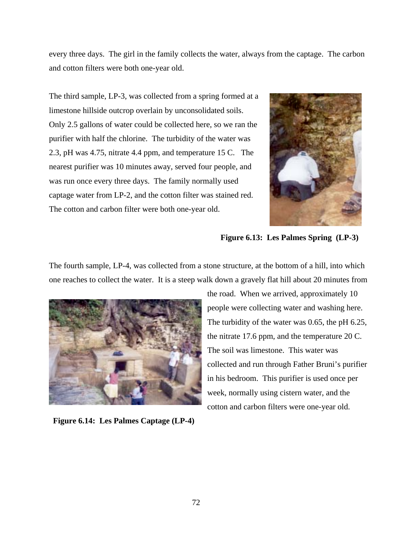every three days. The girl in the family collects the water, always from the captage. The carbon and cotton filters were both one-year old.

The third sample, LP-3, was collected from a spring formed at a limestone hillside outcrop overlain by unconsolidated soils. Only 2.5 gallons of water could be collected here, so we ran the purifier with half the chlorine. The turbidity of the water was 2.3, pH was 4.75, nitrate 4.4 ppm, and temperature 15 C. The nearest purifier was 10 minutes away, served four people, and was run once every three days. The family normally used captage water from LP-2, and the cotton filter was stained red. The cotton and carbon filter were both one-year old.



**Figure 6.13: Les Palmes Spring (LP-3)** 

The fourth sample, LP-4, was collected from a stone structure, at the bottom of a hill, into which one reaches to collect the water. It is a steep walk down a gravely flat hill about 20 minutes from



**Figure 6.14: Les Palmes Captage (LP-4)** 

the road. When we arrived, approximately 10 people were collecting water and washing here. The turbidity of the water was 0.65, the pH 6.25, the nitrate 17.6 ppm, and the temperature 20 C. The soil was limestone. This water was collected and run through Father Bruni's purifier in his bedroom. This purifier is used once per week, normally using cistern water, and the cotton and carbon filters were one-year old.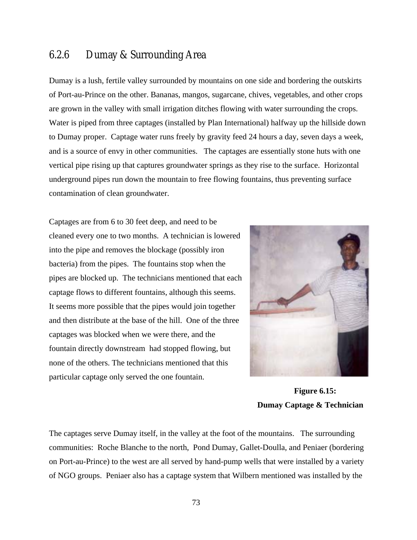### 6.2.6 Dumay & Surrounding Area

Dumay is a lush, fertile valley surrounded by mountains on one side and bordering the outskirts of Port-au-Prince on the other. Bananas, mangos, sugarcane, chives, vegetables, and other crops are grown in the valley with small irrigation ditches flowing with water surrounding the crops. Water is piped from three captages (installed by Plan International) halfway up the hillside down to Dumay proper. Captage water runs freely by gravity feed 24 hours a day, seven days a week, and is a source of envy in other communities. The captages are essentially stone huts with one vertical pipe rising up that captures groundwater springs as they rise to the surface. Horizontal underground pipes run down the mountain to free flowing fountains, thus preventing surface contamination of clean groundwater.

Captages are from 6 to 30 feet deep, and need to be cleaned every one to two months. A technician is lowered into the pipe and removes the blockage (possibly iron bacteria) from the pipes. The fountains stop when the pipes are blocked up. The technicians mentioned that each captage flows to different fountains, although this seems. It seems more possible that the pipes would join together and then distribute at the base of the hill. One of the three captages was blocked when we were there, and the fountain directly downstream had stopped flowing, but none of the others. The technicians mentioned that this particular captage only served the one fountain.



 **Figure 6.15: Dumay Captage & Technician** 

The captages serve Dumay itself, in the valley at the foot of the mountains. The surrounding communities: Roche Blanche to the north, Pond Dumay, Gallet-Doulla, and Peniaer (bordering on Port-au-Prince) to the west are all served by hand-pump wells that were installed by a variety of NGO groups. Peniaer also has a captage system that Wilbern mentioned was installed by the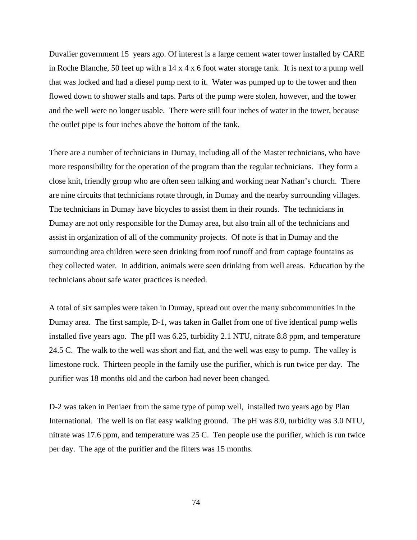Duvalier government 15 years ago. Of interest is a large cement water tower installed by CARE in Roche Blanche, 50 feet up with a 14 x 4 x 6 foot water storage tank. It is next to a pump well that was locked and had a diesel pump next to it. Water was pumped up to the tower and then flowed down to shower stalls and taps. Parts of the pump were stolen, however, and the tower and the well were no longer usable. There were still four inches of water in the tower, because the outlet pipe is four inches above the bottom of the tank.

There are a number of technicians in Dumay, including all of the Master technicians, who have more responsibility for the operation of the program than the regular technicians. They form a close knit, friendly group who are often seen talking and working near Nathan's church. There are nine circuits that technicians rotate through, in Dumay and the nearby surrounding villages. The technicians in Dumay have bicycles to assist them in their rounds. The technicians in Dumay are not only responsible for the Dumay area, but also train all of the technicians and assist in organization of all of the community projects. Of note is that in Dumay and the surrounding area children were seen drinking from roof runoff and from captage fountains as they collected water. In addition, animals were seen drinking from well areas. Education by the technicians about safe water practices is needed.

A total of six samples were taken in Dumay, spread out over the many subcommunities in the Dumay area. The first sample, D-1, was taken in Gallet from one of five identical pump wells installed five years ago. The pH was 6.25, turbidity 2.1 NTU, nitrate 8.8 ppm, and temperature 24.5 C. The walk to the well was short and flat, and the well was easy to pump. The valley is limestone rock. Thirteen people in the family use the purifier, which is run twice per day. The purifier was 18 months old and the carbon had never been changed.

D-2 was taken in Peniaer from the same type of pump well, installed two years ago by Plan International. The well is on flat easy walking ground. The pH was 8.0, turbidity was 3.0 NTU, nitrate was 17.6 ppm, and temperature was 25 C. Ten people use the purifier, which is run twice per day. The age of the purifier and the filters was 15 months.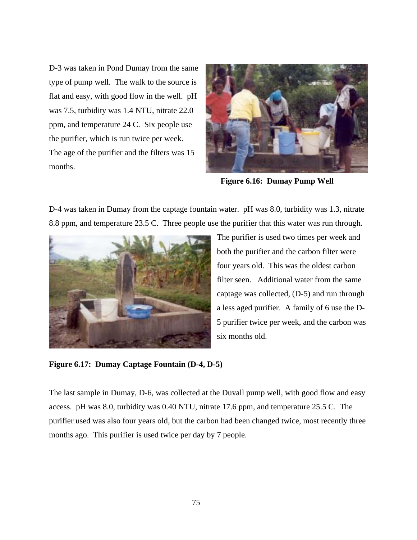D-3 was taken in Pond Dumay from the same type of pump well. The walk to the source is flat and easy, with good flow in the well. pH was 7.5, turbidity was 1.4 NTU, nitrate 22.0 ppm, and temperature 24 C. Six people use the purifier, which is run twice per week. The age of the purifier and the filters was 15 months.



**Figure 6.16: Dumay Pump Well** 

D-4 was taken in Dumay from the captage fountain water. pH was 8.0, turbidity was 1.3, nitrate 8.8 ppm, and temperature 23.5 C. Three people use the purifier that this water was run through.



The purifier is used two times per week and both the purifier and the carbon filter were four years old. This was the oldest carbon filter seen. Additional water from the same captage was collected, (D-5) and run through a less aged purifier. A family of 6 use the D-5 purifier twice per week, and the carbon was six months old.

**Figure 6.17: Dumay Captage Fountain (D-4, D-5)** 

The last sample in Dumay, D-6, was collected at the Duvall pump well, with good flow and easy access. pH was 8.0, turbidity was 0.40 NTU, nitrate 17.6 ppm, and temperature 25.5 C. The purifier used was also four years old, but the carbon had been changed twice, most recently three months ago. This purifier is used twice per day by 7 people.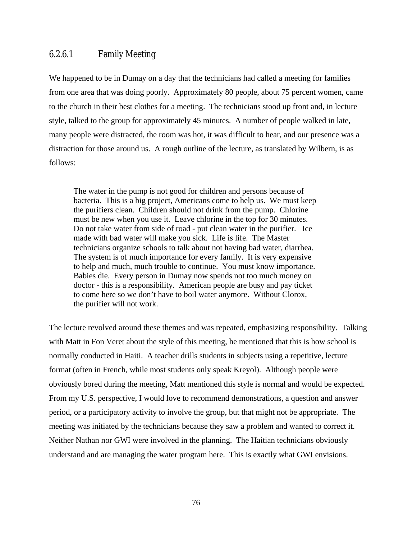#### 6.2.6.1 Family Meeting

We happened to be in Dumay on a day that the technicians had called a meeting for families from one area that was doing poorly. Approximately 80 people, about 75 percent women, came to the church in their best clothes for a meeting. The technicians stood up front and, in lecture style, talked to the group for approximately 45 minutes. A number of people walked in late, many people were distracted, the room was hot, it was difficult to hear, and our presence was a distraction for those around us. A rough outline of the lecture, as translated by Wilbern, is as follows:

The water in the pump is not good for children and persons because of bacteria. This is a big project, Americans come to help us. We must keep the purifiers clean. Children should not drink from the pump. Chlorine must be new when you use it. Leave chlorine in the top for 30 minutes. Do not take water from side of road - put clean water in the purifier. Ice made with bad water will make you sick. Life is life. The Master technicians organize schools to talk about not having bad water, diarrhea. The system is of much importance for every family. It is very expensive to help and much, much trouble to continue. You must know importance. Babies die. Every person in Dumay now spends not too much money on doctor - this is a responsibility. American people are busy and pay ticket to come here so we don't have to boil water anymore. Without Clorox, the purifier will not work.

The lecture revolved around these themes and was repeated, emphasizing responsibility. Talking with Matt in Fon Veret about the style of this meeting, he mentioned that this is how school is normally conducted in Haiti. A teacher drills students in subjects using a repetitive, lecture format (often in French, while most students only speak Kreyol). Although people were obviously bored during the meeting, Matt mentioned this style is normal and would be expected. From my U.S. perspective, I would love to recommend demonstrations, a question and answer period, or a participatory activity to involve the group, but that might not be appropriate. The meeting was initiated by the technicians because they saw a problem and wanted to correct it. Neither Nathan nor GWI were involved in the planning. The Haitian technicians obviously understand and are managing the water program here. This is exactly what GWI envisions.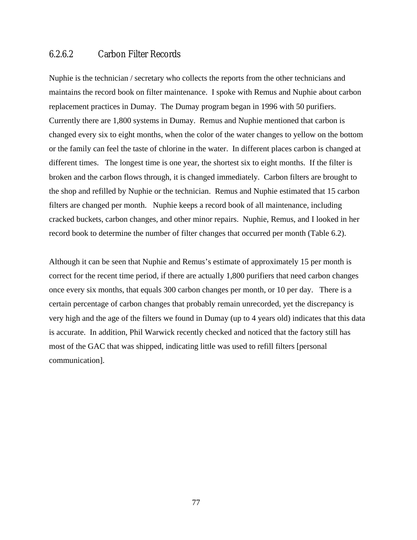#### 6.2.6.2 Carbon Filter Records

Nuphie is the technician / secretary who collects the reports from the other technicians and maintains the record book on filter maintenance. I spoke with Remus and Nuphie about carbon replacement practices in Dumay. The Dumay program began in 1996 with 50 purifiers. Currently there are 1,800 systems in Dumay. Remus and Nuphie mentioned that carbon is changed every six to eight months, when the color of the water changes to yellow on the bottom or the family can feel the taste of chlorine in the water. In different places carbon is changed at different times. The longest time is one year, the shortest six to eight months. If the filter is broken and the carbon flows through, it is changed immediately. Carbon filters are brought to the shop and refilled by Nuphie or the technician. Remus and Nuphie estimated that 15 carbon filters are changed per month. Nuphie keeps a record book of all maintenance, including cracked buckets, carbon changes, and other minor repairs. Nuphie, Remus, and I looked in her record book to determine the number of filter changes that occurred per month (Table 6.2).

Although it can be seen that Nuphie and Remus's estimate of approximately 15 per month is correct for the recent time period, if there are actually 1,800 purifiers that need carbon changes once every six months, that equals 300 carbon changes per month, or 10 per day. There is a certain percentage of carbon changes that probably remain unrecorded, yet the discrepancy is very high and the age of the filters we found in Dumay (up to 4 years old) indicates that this data is accurate. In addition, Phil Warwick recently checked and noticed that the factory still has most of the GAC that was shipped, indicating little was used to refill filters [personal communication].

77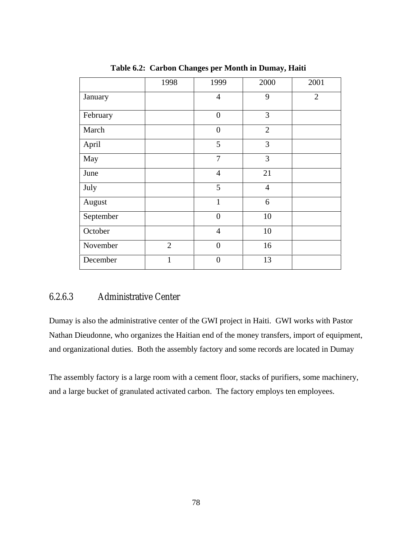|           | 1998           | 1999             | 2000           | 2001         |
|-----------|----------------|------------------|----------------|--------------|
| January   |                | $\overline{4}$   | 9              | $\mathbf{2}$ |
| February  |                | $\boldsymbol{0}$ | 3              |              |
| March     |                | $\overline{0}$   | $\overline{2}$ |              |
| April     |                | 5                | 3              |              |
| May       |                | 7                | 3              |              |
| June      |                | $\overline{4}$   | 21             |              |
| July      |                | 5                | $\overline{4}$ |              |
| August    |                | 1                | 6              |              |
| September |                | $\overline{0}$   | 10             |              |
| October   |                | $\overline{4}$   | 10             |              |
| November  | $\overline{2}$ | $\overline{0}$   | 16             |              |
| December  | 1              | $\overline{0}$   | 13             |              |

**Table 6.2: Carbon Changes per Month in Dumay, Haiti** 

#### 6.2.6.3 Administrative Center

Dumay is also the administrative center of the GWI project in Haiti. GWI works with Pastor Nathan Dieudonne, who organizes the Haitian end of the money transfers, import of equipment, and organizational duties. Both the assembly factory and some records are located in Dumay

The assembly factory is a large room with a cement floor, stacks of purifiers, some machinery, and a large bucket of granulated activated carbon. The factory employs ten employees.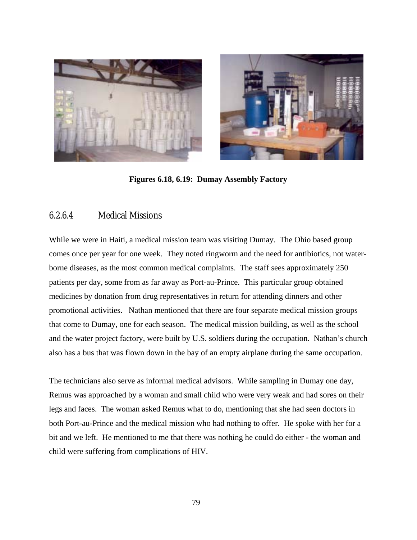



**Figures 6.18, 6.19: Dumay Assembly Factory** 

#### 6.2.6.4 Medical Missions

While we were in Haiti, a medical mission team was visiting Dumay. The Ohio based group comes once per year for one week. They noted ringworm and the need for antibiotics, not waterborne diseases, as the most common medical complaints. The staff sees approximately 250 patients per day, some from as far away as Port-au-Prince. This particular group obtained medicines by donation from drug representatives in return for attending dinners and other promotional activities. Nathan mentioned that there are four separate medical mission groups that come to Dumay, one for each season. The medical mission building, as well as the school and the water project factory, were built by U.S. soldiers during the occupation. Nathan's church also has a bus that was flown down in the bay of an empty airplane during the same occupation.

The technicians also serve as informal medical advisors. While sampling in Dumay one day, Remus was approached by a woman and small child who were very weak and had sores on their legs and faces. The woman asked Remus what to do, mentioning that she had seen doctors in both Port-au-Prince and the medical mission who had nothing to offer. He spoke with her for a bit and we left. He mentioned to me that there was nothing he could do either - the woman and child were suffering from complications of HIV.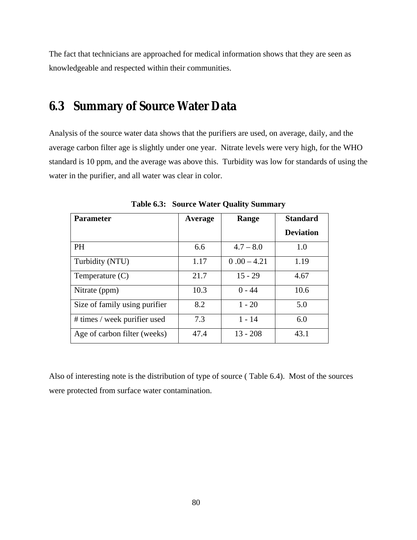The fact that technicians are approached for medical information shows that they are seen as knowledgeable and respected within their communities.

# **6.3 Summary of Source Water Data**

Analysis of the source water data shows that the purifiers are used, on average, daily, and the average carbon filter age is slightly under one year. Nitrate levels were very high, for the WHO standard is 10 ppm, and the average was above this. Turbidity was low for standards of using the water in the purifier, and all water was clear in color.

| <b>Parameter</b>              | Average | Range         | <b>Standard</b>  |
|-------------------------------|---------|---------------|------------------|
|                               |         |               | <b>Deviation</b> |
| <b>PH</b>                     | 6.6     | $4.7 - 8.0$   | 1.0              |
| Turbidity (NTU)               | 1.17    | $0.00 - 4.21$ | 1.19             |
| Temperature $(C)$             | 21.7    | $15 - 29$     | 4.67             |
| Nitrate (ppm)                 | 10.3    | $0 - 44$      | 10.6             |
| Size of family using purifier | 8.2     | $1 - 20$      | 5.0              |
| # times / week purifier used  | 7.3     | $1 - 14$      | 6.0              |
| Age of carbon filter (weeks)  | 47.4    | $13 - 208$    | 43.1             |

**Table 6.3: Source Water Quality Summary** 

Also of interesting note is the distribution of type of source ( Table 6.4). Most of the sources were protected from surface water contamination.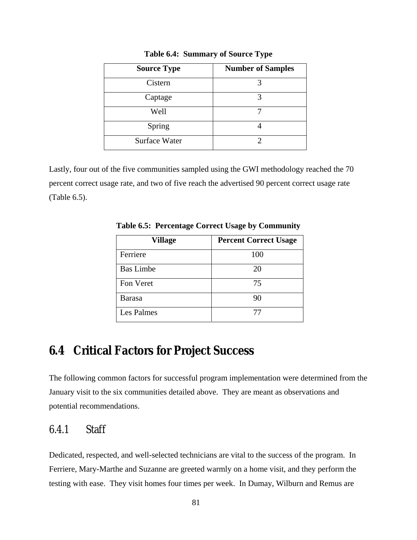| <b>Source Type</b>   | <b>Number of Samples</b> |
|----------------------|--------------------------|
| Cistern              |                          |
| Captage              |                          |
| Well                 |                          |
| Spring               |                          |
| <b>Surface Water</b> |                          |

**Table 6.4: Summary of Source Type** 

Lastly, four out of the five communities sampled using the GWI methodology reached the 70 percent correct usage rate, and two of five reach the advertised 90 percent correct usage rate (Table 6.5).

| Village          | <b>Percent Correct Usage</b> |
|------------------|------------------------------|
| Ferriere         | 100                          |
| <b>Bas Limbe</b> | 20                           |
| Fon Veret        | 75                           |
| <b>Barasa</b>    | 90                           |
| Les Palmes       | 77                           |

**Table 6.5: Percentage Correct Usage by Community** 

## **6.4 Critical Factors for Project Success**

The following common factors for successful program implementation were determined from the January visit to the six communities detailed above. They are meant as observations and potential recommendations.

### 6.4.1 Staff

Dedicated, respected, and well-selected technicians are vital to the success of the program. In Ferriere, Mary-Marthe and Suzanne are greeted warmly on a home visit, and they perform the testing with ease. They visit homes four times per week. In Dumay, Wilburn and Remus are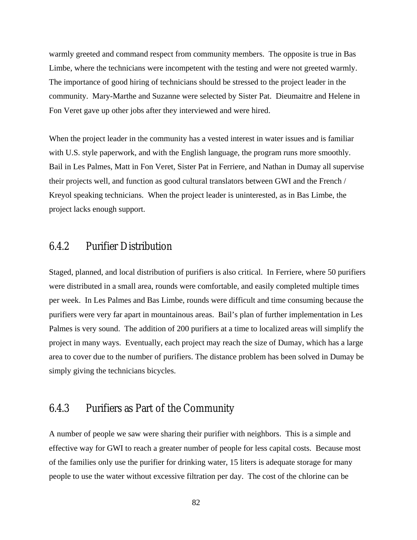warmly greeted and command respect from community members. The opposite is true in Bas Limbe, where the technicians were incompetent with the testing and were not greeted warmly. The importance of good hiring of technicians should be stressed to the project leader in the community. Mary-Marthe and Suzanne were selected by Sister Pat. Dieumaitre and Helene in Fon Veret gave up other jobs after they interviewed and were hired.

When the project leader in the community has a vested interest in water issues and is familiar with U.S. style paperwork, and with the English language, the program runs more smoothly. Bail in Les Palmes, Matt in Fon Veret, Sister Pat in Ferriere, and Nathan in Dumay all supervise their projects well, and function as good cultural translators between GWI and the French / Kreyol speaking technicians. When the project leader is uninterested, as in Bas Limbe, the project lacks enough support.

### 6.4.2 Purifier Distribution

Staged, planned, and local distribution of purifiers is also critical. In Ferriere, where 50 purifiers were distributed in a small area, rounds were comfortable, and easily completed multiple times per week. In Les Palmes and Bas Limbe, rounds were difficult and time consuming because the purifiers were very far apart in mountainous areas. Bail's plan of further implementation in Les Palmes is very sound. The addition of 200 purifiers at a time to localized areas will simplify the project in many ways. Eventually, each project may reach the size of Dumay, which has a large area to cover due to the number of purifiers. The distance problem has been solved in Dumay be simply giving the technicians bicycles.

#### 6.4.3 Purifiers as Part of the Community

A number of people we saw were sharing their purifier with neighbors. This is a simple and effective way for GWI to reach a greater number of people for less capital costs. Because most of the families only use the purifier for drinking water, 15 liters is adequate storage for many people to use the water without excessive filtration per day. The cost of the chlorine can be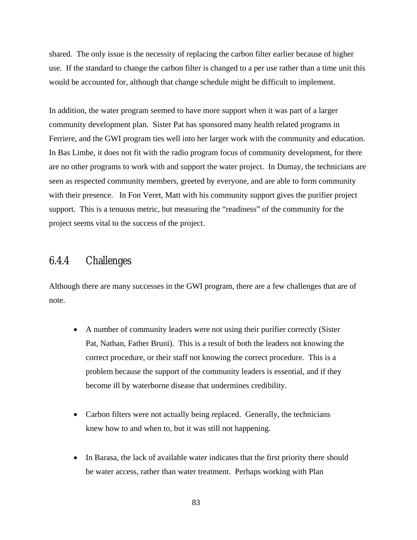shared. The only issue is the necessity of replacing the carbon filter earlier because of higher use. If the standard to change the carbon filter is changed to a per use rather than a time unit this would be accounted for, although that change schedule might be difficult to implement.

In addition, the water program seemed to have more support when it was part of a larger community development plan. Sister Pat has sponsored many health related programs in Ferriere, and the GWI program ties well into her larger work with the community and education. In Bas Limbe, it does not fit with the radio program focus of community development, for there are no other programs to work with and support the water project. In Dumay, the technicians are seen as respected community members, greeted by everyone, and are able to form community with their presence. In Fon Veret, Matt with his community support gives the purifier project support. This is a tenuous metric, but measuring the "readiness" of the community for the project seems vital to the success of the project.

### 6.4.4 Challenges

Although there are many successes in the GWI program, there are a few challenges that are of note.

- A number of community leaders were not using their purifier correctly (Sister Pat, Nathan, Father Bruni). This is a result of both the leaders not knowing the correct procedure, or their staff not knowing the correct procedure. This is a problem because the support of the community leaders is essential, and if they become ill by waterborne disease that undermines credibility.
- Carbon filters were not actually being replaced. Generally, the technicians knew how to and when to, but it was still not happening.
- In Barasa, the lack of available water indicates that the first priority there should be water access, rather than water treatment. Perhaps working with Plan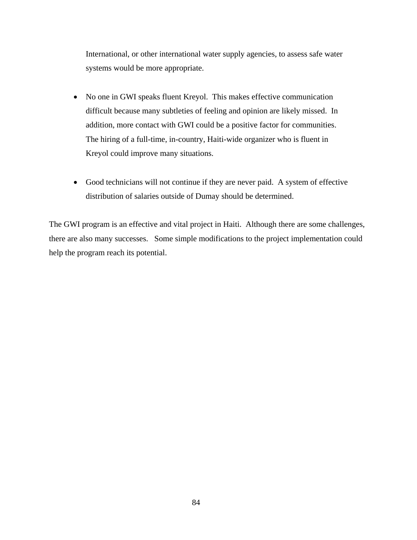International, or other international water supply agencies, to assess safe water systems would be more appropriate.

- No one in GWI speaks fluent Kreyol. This makes effective communication difficult because many subtleties of feeling and opinion are likely missed. In addition, more contact with GWI could be a positive factor for communities. The hiring of a full-time, in-country, Haiti-wide organizer who is fluent in Kreyol could improve many situations.
- Good technicians will not continue if they are never paid. A system of effective distribution of salaries outside of Dumay should be determined.

The GWI program is an effective and vital project in Haiti. Although there are some challenges, there are also many successes. Some simple modifications to the project implementation could help the program reach its potential.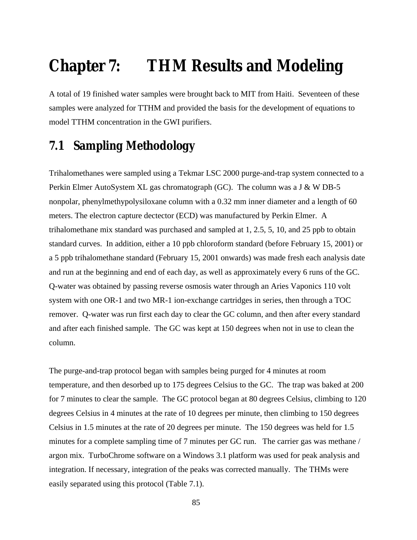# **Chapter 7: THM Results and Modeling**

A total of 19 finished water samples were brought back to MIT from Haiti. Seventeen of these samples were analyzed for TTHM and provided the basis for the development of equations to model TTHM concentration in the GWI purifiers.

# **7.1 Sampling Methodology**

Trihalomethanes were sampled using a Tekmar LSC 2000 purge-and-trap system connected to a Perkin Elmer AutoSystem XL gas chromatograph (GC). The column was a J & W DB-5 nonpolar, phenylmethypolysiloxane column with a 0.32 mm inner diameter and a length of 60 meters. The electron capture dectector (ECD) was manufactured by Perkin Elmer. A trihalomethane mix standard was purchased and sampled at 1, 2.5, 5, 10, and 25 ppb to obtain standard curves. In addition, either a 10 ppb chloroform standard (before February 15, 2001) or a 5 ppb trihalomethane standard (February 15, 2001 onwards) was made fresh each analysis date and run at the beginning and end of each day, as well as approximately every 6 runs of the GC. Q-water was obtained by passing reverse osmosis water through an Aries Vaponics 110 volt system with one OR-1 and two MR-1 ion-exchange cartridges in series, then through a TOC remover. Q-water was run first each day to clear the GC column, and then after every standard and after each finished sample. The GC was kept at 150 degrees when not in use to clean the column.

The purge-and-trap protocol began with samples being purged for 4 minutes at room temperature, and then desorbed up to 175 degrees Celsius to the GC. The trap was baked at 200 for 7 minutes to clear the sample. The GC protocol began at 80 degrees Celsius, climbing to 120 degrees Celsius in 4 minutes at the rate of 10 degrees per minute, then climbing to 150 degrees Celsius in 1.5 minutes at the rate of 20 degrees per minute. The 150 degrees was held for 1.5 minutes for a complete sampling time of 7 minutes per GC run. The carrier gas was methane / argon mix. TurboChrome software on a Windows 3.1 platform was used for peak analysis and integration. If necessary, integration of the peaks was corrected manually. The THMs were easily separated using this protocol (Table 7.1).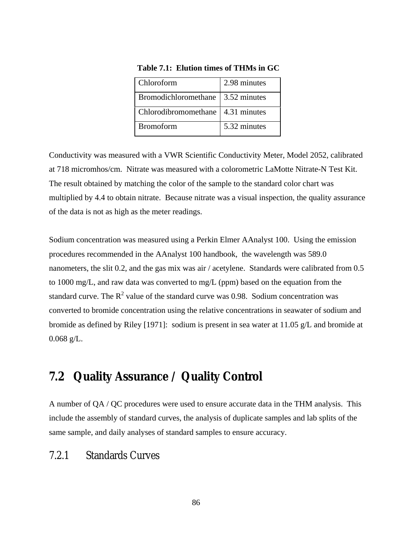| Chloroform                          | 2.98 minutes |
|-------------------------------------|--------------|
| Bromodichloromethane   3.52 minutes |              |
| Chlorodibromomethane   4.31 minutes |              |
| <b>Bromoform</b>                    | 5.32 minutes |

**Table 7.1: Elution times of THMs in GC** 

Conductivity was measured with a VWR Scientific Conductivity Meter, Model 2052, calibrated at 718 micromhos/cm. Nitrate was measured with a colorometric LaMotte Nitrate-N Test Kit. The result obtained by matching the color of the sample to the standard color chart was multiplied by 4.4 to obtain nitrate. Because nitrate was a visual inspection, the quality assurance of the data is not as high as the meter readings.

Sodium concentration was measured using a Perkin Elmer AAnalyst 100. Using the emission procedures recommended in the AAnalyst 100 handbook, the wavelength was 589.0 nanometers, the slit 0.2, and the gas mix was air / acetylene. Standards were calibrated from 0.5 to 1000 mg/L, and raw data was converted to mg/L (ppm) based on the equation from the standard curve. The  $R^2$  value of the standard curve was 0.98. Sodium concentration was converted to bromide concentration using the relative concentrations in seawater of sodium and bromide as defined by Riley [1971]: sodium is present in sea water at 11.05 g/L and bromide at  $0.068$  g/L.

# **7.2 Quality Assurance / Quality Control**

A number of QA / QC procedures were used to ensure accurate data in the THM analysis. This include the assembly of standard curves, the analysis of duplicate samples and lab splits of the same sample, and daily analyses of standard samples to ensure accuracy.

### 7.2.1 Standards Curves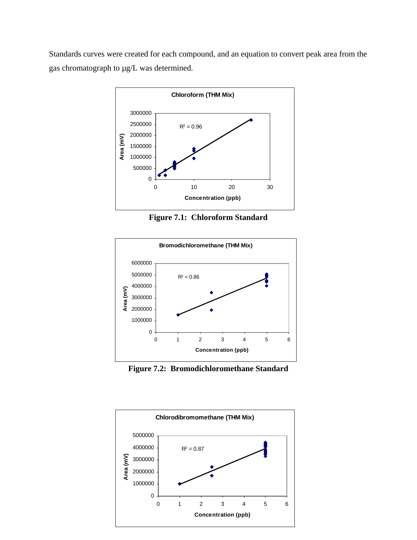Standards curves were created for each compound, and an equation to convert peak area from the gas chromatograph to µg/L was determined.



**Figure 7.1: Chloroform Standard**



**Figure 7.2: Bromodichloromethane Standard** 

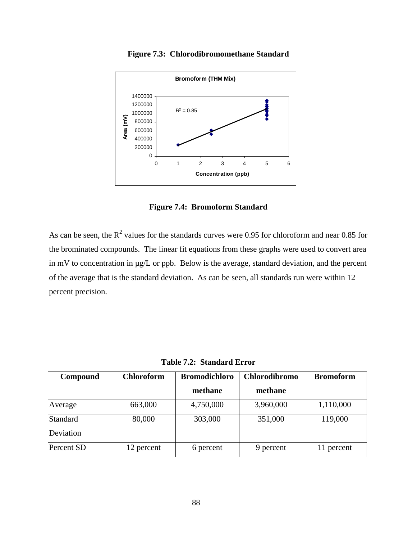

**Figure 7.3: Chlorodibromomethane Standard** 

**Figure 7.4: Bromoform Standard** 

As can be seen, the  $R^2$  values for the standards curves were 0.95 for chloroform and near 0.85 for the brominated compounds. The linear fit equations from these graphs were used to convert area in mV to concentration in µg/L or ppb. Below is the average, standard deviation, and the percent of the average that is the standard deviation. As can be seen, all standards run were within 12 percent precision.

| Compound   | <b>Chloroform</b> | <b>Bromodichloro</b> | <b>Chlorodibromo</b> | <b>Bromoform</b> |
|------------|-------------------|----------------------|----------------------|------------------|
|            |                   | methane              | methane              |                  |
| Average    | 663,000           | 4,750,000            | 3,960,000            | 1,110,000        |
| Standard   | 80,000            | 303,000              | 351,000              | 119,000          |
| Deviation  |                   |                      |                      |                  |
| Percent SD | 12 percent        | 6 percent            | 9 percent            | 11 percent       |

**Table 7.2: Standard Error**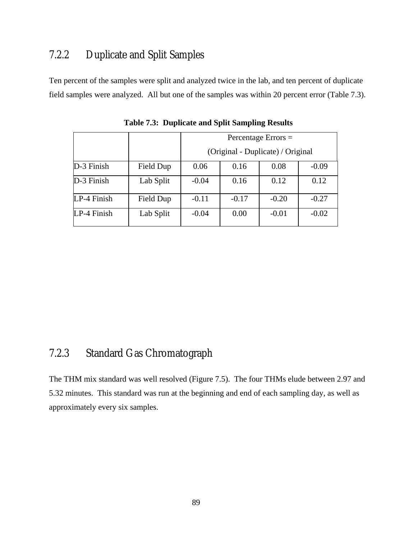## 7.2.2 Duplicate and Split Samples

Ten percent of the samples were split and analyzed twice in the lab, and ten percent of duplicate field samples were analyzed. All but one of the samples was within 20 percent error (Table 7.3).

|             |           | Percentage Errors $=$             |         |         |         |
|-------------|-----------|-----------------------------------|---------|---------|---------|
|             |           | (Original - Duplicate) / Original |         |         |         |
| D-3 Finish  | Field Dup | 0.06                              | 0.16    | 0.08    | $-0.09$ |
| D-3 Finish  | Lab Split | $-0.04$                           | 0.16    | 0.12    | 0.12    |
| LP-4 Finish | Field Dup | $-0.11$                           | $-0.17$ | $-0.20$ | $-0.27$ |
| LP-4 Finish | Lab Split | $-0.04$                           | 0.00    | $-0.01$ | $-0.02$ |

**Table 7.3: Duplicate and Split Sampling Results** 

### 7.2.3 Standard Gas Chromatograph

The THM mix standard was well resolved (Figure 7.5). The four THMs elude between 2.97 and 5.32 minutes. This standard was run at the beginning and end of each sampling day, as well as approximately every six samples.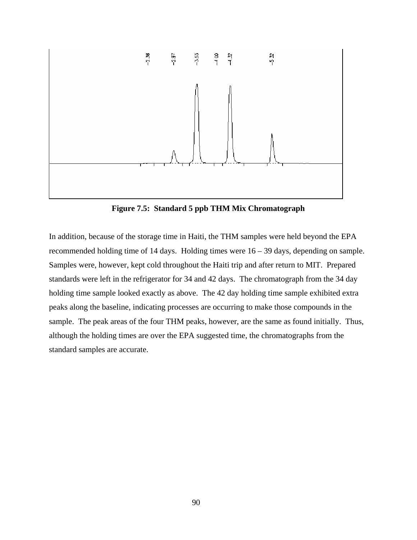

**Figure 7.5: Standard 5 ppb THM Mix Chromatograph** 

In addition, because of the storage time in Haiti, the THM samples were held beyond the EPA recommended holding time of 14 days. Holding times were 16 – 39 days, depending on sample. Samples were, however, kept cold throughout the Haiti trip and after return to MIT. Prepared standards were left in the refrigerator for 34 and 42 days. The chromatograph from the 34 day holding time sample looked exactly as above. The 42 day holding time sample exhibited extra peaks along the baseline, indicating processes are occurring to make those compounds in the sample. The peak areas of the four THM peaks, however, are the same as found initially. Thus, although the holding times are over the EPA suggested time, the chromatographs from the standard samples are accurate.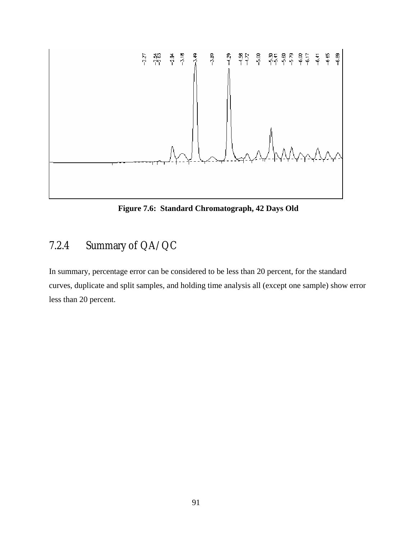

**Figure 7.6: Standard Chromatograph, 42 Days Old** 

# 7.2.4 Summary of QA/QC

In summary, percentage error can be considered to be less than 20 percent, for the standard curves, duplicate and split samples, and holding time analysis all (except one sample) show error less than 20 percent.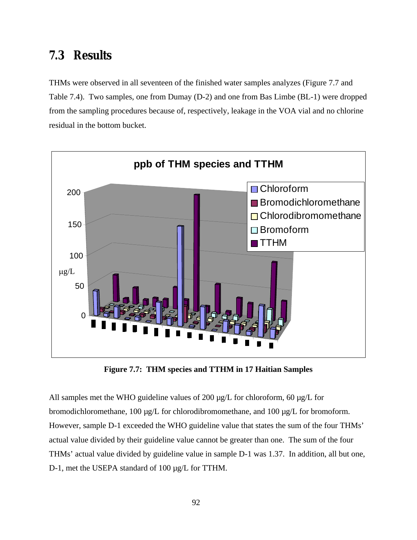### **7.3 Results**

THMs were observed in all seventeen of the finished water samples analyzes (Figure 7.7 and Table 7.4). Two samples, one from Dumay (D-2) and one from Bas Limbe (BL-1) were dropped from the sampling procedures because of, respectively, leakage in the VOA vial and no chlorine residual in the bottom bucket.



**Figure 7.7: THM species and TTHM in 17 Haitian Samples** 

All samples met the WHO guideline values of 200  $\mu$ g/L for chloroform, 60  $\mu$ g/L for bromodichloromethane, 100 µg/L for chlorodibromomethane, and 100 µg/L for bromoform. However, sample D-1 exceeded the WHO guideline value that states the sum of the four THMs' actual value divided by their guideline value cannot be greater than one. The sum of the four THMs' actual value divided by guideline value in sample D-1 was 1.37. In addition, all but one, D-1, met the USEPA standard of 100 µg/L for TTHM.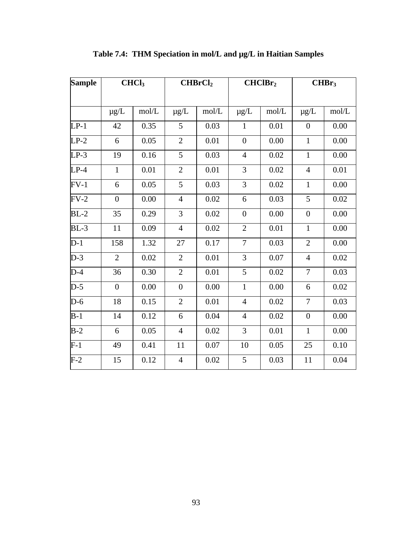| <b>Sample</b> |                | CHCl <sub>3</sub> |                  | CHBrCl <sub>2</sub> |                  | CHClBr <sub>2</sub> |                  | CHBr <sub>3</sub> |
|---------------|----------------|-------------------|------------------|---------------------|------------------|---------------------|------------------|-------------------|
|               | $\mu$ g/L      | mol/L             | $\mu$ g/L        | mol/L               | $\mu$ g/L        | mol/L               | $\mu$ g/L        | mol/L             |
| $LP-1$        | 42             | 0.35              | 5                | 0.03                | $\mathbf{1}$     | 0.01                | $\boldsymbol{0}$ | 0.00              |
| $LP-2$        | 6              | 0.05              | $\overline{2}$   | 0.01                | $\overline{0}$   | 0.00                | $\mathbf{1}$     | 0.00              |
| $LP-3$        | 19             | 0.16              | 5                | 0.03                | $\overline{4}$   | 0.02                | $\mathbf{1}$     | 0.00              |
| $LP-4$        | $\mathbf{1}$   | 0.01              | $\mathbf{2}$     | 0.01                | 3                | 0.02                | $\overline{4}$   | 0.01              |
| $FV-1$        | 6              | 0.05              | 5                | 0.03                | 3                | 0.02                | $\mathbf{1}$     | 0.00              |
| $FV-2$        | $\overline{0}$ | 0.00              | $\overline{4}$   | 0.02                | 6                | 0.03                | 5                | 0.02              |
| $BL-2$        | 35             | 0.29              | 3                | 0.02                | $\boldsymbol{0}$ | 0.00                | $\boldsymbol{0}$ | 0.00              |
| $BL-3$        | 11             | 0.09              | $\overline{4}$   | 0.02                | $\overline{2}$   | 0.01                | $\mathbf{1}$     | 0.00              |
| $D-1$         | 158            | 1.32              | 27               | 0.17                | $\overline{7}$   | 0.03                | $\overline{2}$   | 0.00              |
| $D-3$         | $\overline{2}$ | 0.02              | $\overline{2}$   | 0.01                | 3                | $0.07\,$            | $\overline{4}$   | 0.02              |
| $D-4$         | 36             | 0.30              | $\overline{2}$   | $0.01\,$            | 5                | 0.02                | $\overline{7}$   | 0.03              |
| $D-5$         | $\overline{0}$ | 0.00              | $\boldsymbol{0}$ | 0.00                | $\mathbf{1}$     | 0.00                | 6                | 0.02              |
| $D-6$         | 18             | 0.15              | $\overline{2}$   | 0.01                | $\overline{4}$   | 0.02                | $\overline{7}$   | 0.03              |
| $B-1$         | 14             | 0.12              | 6                | 0.04                | $\overline{4}$   | 0.02                | $\boldsymbol{0}$ | 0.00              |
| $B-2$         | 6              | 0.05              | $\overline{4}$   | 0.02                | 3                | 0.01                | $\mathbf{1}$     | 0.00              |
| $F-1$         | 49             | 0.41              | 11               | 0.07                | 10               | 0.05                | 25               | 0.10              |
| $F-2$         | 15             | 0.12              | $\overline{4}$   | 0.02                | 5                | 0.03                | 11               | 0.04              |

**Table 7.4: THM Speciation in mol/L and µg/L in Haitian Samples**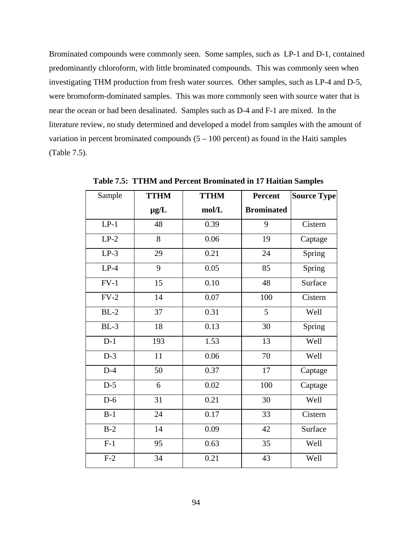Brominated compounds were commonly seen. Some samples, such as LP-1 and D-1, contained predominantly chloroform, with little brominated compounds. This was commonly seen when investigating THM production from fresh water sources. Other samples, such as LP-4 and D-5, were bromoform-dominated samples. This was more commonly seen with source water that is near the ocean or had been desalinated. Samples such as D-4 and F-1 are mixed. In the literature review, no study determined and developed a model from samples with the amount of variation in percent brominated compounds  $(5 - 100$  percent) as found in the Haiti samples (Table 7.5).

| Sample | <b>TTHM</b> | <b>TTHM</b> | <b>Percent</b>    | <b>Source Type</b> |
|--------|-------------|-------------|-------------------|--------------------|
|        | $\mu$ g/L   | mol/L       | <b>Brominated</b> |                    |
| $LP-1$ | 48          | 0.39        | 9                 | Cistern            |
| $LP-2$ | 8           | 0.06        | 19                | Captage            |
| $LP-3$ | 29          | 0.21        | 24                | Spring             |
| $LP-4$ | 9           | 0.05        | 85                | Spring             |
| $FV-1$ | 15          | 0.10        | 48                | Surface            |
| $FV-2$ | 14          | 0.07        | 100               | Cistern            |
| $BL-2$ | 37          | 0.31        | 5                 | Well               |
| $BL-3$ | 18          | 0.13        | 30                | Spring             |
| $D-1$  | 193         | 1.53        | 13                | Well               |
| $D-3$  | 11          | 0.06        | 70                | Well               |
| $D-4$  | 50          | 0.37        | 17                | Captage            |
| $D-5$  | 6           | 0.02        | 100               | Captage            |
| $D-6$  | 31          | 0.21        | 30                | Well               |
| $B-1$  | 24          | 0.17        | 33                | Cistern            |
| $B-2$  | 14          | 0.09        | 42                | Surface            |
| $F-1$  | 95          | 0.63        | 35                | Well               |
| $F-2$  | 34          | 0.21        | 43                | Well               |

**Table 7.5: TTHM and Percent Brominated in 17 Haitian Samples**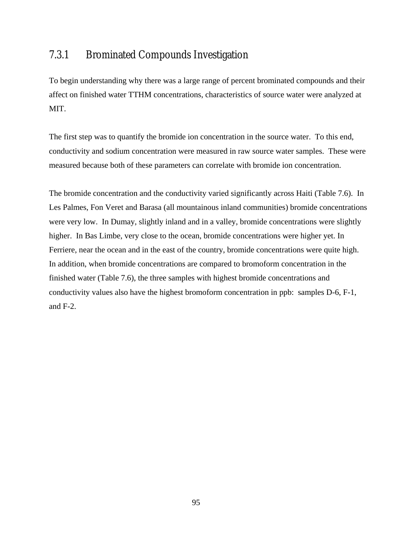### 7.3.1 Brominated Compounds Investigation

To begin understanding why there was a large range of percent brominated compounds and their affect on finished water TTHM concentrations, characteristics of source water were analyzed at MIT.

The first step was to quantify the bromide ion concentration in the source water. To this end, conductivity and sodium concentration were measured in raw source water samples. These were measured because both of these parameters can correlate with bromide ion concentration.

The bromide concentration and the conductivity varied significantly across Haiti (Table 7.6). In Les Palmes, Fon Veret and Barasa (all mountainous inland communities) bromide concentrations were very low. In Dumay, slightly inland and in a valley, bromide concentrations were slightly higher. In Bas Limbe, very close to the ocean, bromide concentrations were higher yet. In Ferriere, near the ocean and in the east of the country, bromide concentrations were quite high. In addition, when bromide concentrations are compared to bromoform concentration in the finished water (Table 7.6), the three samples with highest bromide concentrations and conductivity values also have the highest bromoform concentration in ppb: samples D-6, F-1, and F-2.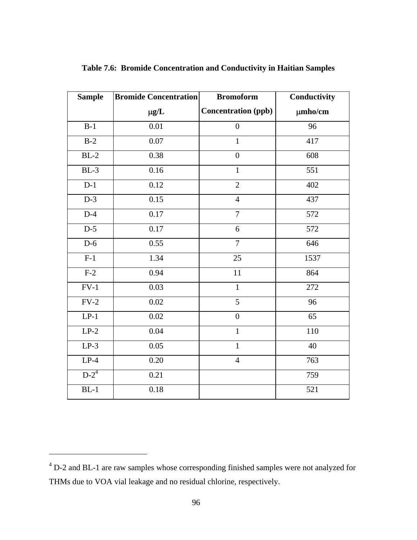| <b>Sample</b> | <b>Bromide Concentration</b> | <b>Bromoform</b>           | Conductivity |
|---------------|------------------------------|----------------------------|--------------|
|               | $\mu g/L$                    | <b>Concentration (ppb)</b> | $\mu$ mho/cm |
| $B-1$         | $0.01\,$                     | $\overline{0}$             | 96           |
| $B-2$         | 0.07                         | $\mathbf{1}$               | 417          |
| $BL-2$        | 0.38                         | $\overline{0}$             | 608          |
| $BL-3$        | $0.16\,$                     | $\mathbf{1}$               | 551          |
| $D-1$         | 0.12                         | $\overline{2}$             | 402          |
| $D-3$         | 0.15                         | $\overline{4}$             | 437          |
| $D-4$         | 0.17                         | $\overline{7}$             | 572          |
| $D-5$         | 0.17                         | 6                          | 572          |
| $D-6$         | 0.55                         | $\overline{7}$             | 646          |
| $F-1$         | 1.34                         | 25                         | 1537         |
| $F-2$         | 0.94                         | 11                         | 864          |
| $FV-1$        | 0.03                         | $\mathbf{1}$               | 272          |
| $FV-2$        | 0.02                         | 5                          | 96           |
| $LP-1$        | 0.02                         | $\overline{0}$             | 65           |
| $LP-2$        | 0.04                         | $\mathbf{1}$               | 110          |
| $LP-3$        | 0.05                         | $\overline{1}$             | 40           |
| $LP-4$        | $0.20\,$                     | $\overline{4}$             | 763          |
| $D-2^4$       | 0.21                         |                            | 759          |
| $BL-1$        | 0.18                         |                            | 521          |

**Table 7.6: Bromide Concentration and Conductivity in Haitian Samples** 

 $\overline{a}$ 

 $4$  D-2 and BL-1 are raw samples whose corresponding finished samples were not analyzed for THMs due to VOA vial leakage and no residual chlorine, respectively.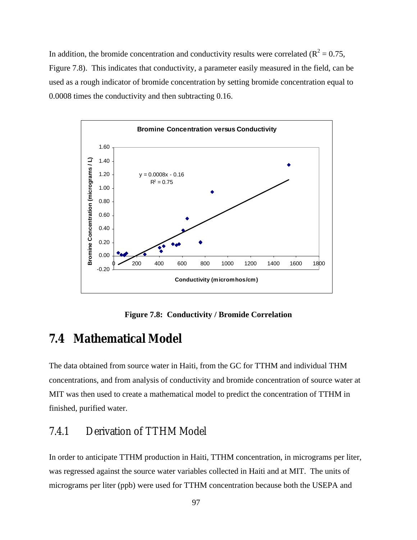In addition, the bromide concentration and conductivity results were correlated ( $R^2 = 0.75$ , Figure 7.8). This indicates that conductivity, a parameter easily measured in the field, can be used as a rough indicator of bromide concentration by setting bromide concentration equal to 0.0008 times the conductivity and then subtracting 0.16.



**Figure 7.8: Conductivity / Bromide Correlation**

# **7.4 Mathematical Model**

The data obtained from source water in Haiti, from the GC for TTHM and individual THM concentrations, and from analysis of conductivity and bromide concentration of source water at MIT was then used to create a mathematical model to predict the concentration of TTHM in finished, purified water.

### 7.4.1 Derivation of TTHM Model

In order to anticipate TTHM production in Haiti, TTHM concentration, in micrograms per liter, was regressed against the source water variables collected in Haiti and at MIT. The units of micrograms per liter (ppb) were used for TTHM concentration because both the USEPA and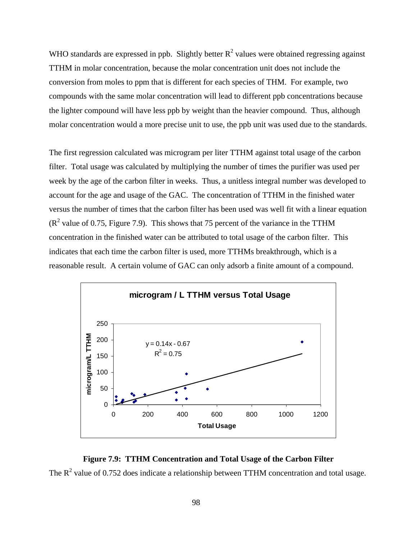WHO standards are expressed in ppb. Slightly better  $R^2$  values were obtained regressing against TTHM in molar concentration, because the molar concentration unit does not include the conversion from moles to ppm that is different for each species of THM. For example, two compounds with the same molar concentration will lead to different ppb concentrations because the lighter compound will have less ppb by weight than the heavier compound. Thus, although molar concentration would a more precise unit to use, the ppb unit was used due to the standards.

The first regression calculated was microgram per liter TTHM against total usage of the carbon filter. Total usage was calculated by multiplying the number of times the purifier was used per week by the age of the carbon filter in weeks. Thus, a unitless integral number was developed to account for the age and usage of the GAC. The concentration of TTHM in the finished water versus the number of times that the carbon filter has been used was well fit with a linear equation  $(R<sup>2</sup>$  value of 0.75, Figure 7.9). This shows that 75 percent of the variance in the TTHM concentration in the finished water can be attributed to total usage of the carbon filter. This indicates that each time the carbon filter is used, more TTHMs breakthrough, which is a reasonable result. A certain volume of GAC can only adsorb a finite amount of a compound.



**Figure 7.9: TTHM Concentration and Total Usage of the Carbon Filter** The  $R^2$  value of 0.752 does indicate a relationship between TTHM concentration and total usage.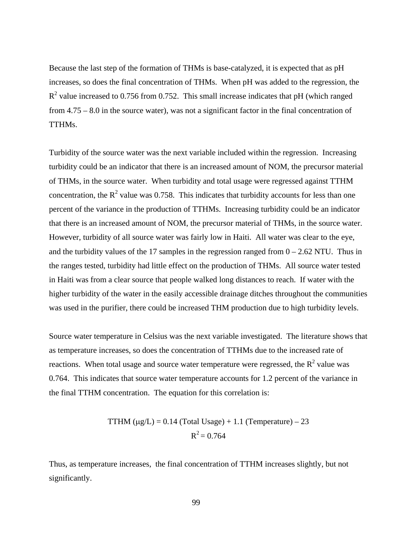Because the last step of the formation of THMs is base-catalyzed, it is expected that as pH increases, so does the final concentration of THMs. When pH was added to the regression, the  $R<sup>2</sup>$  value increased to 0.756 from 0.752. This small increase indicates that pH (which ranged from 4.75 – 8.0 in the source water), was not a significant factor in the final concentration of TTHMs.

Turbidity of the source water was the next variable included within the regression. Increasing turbidity could be an indicator that there is an increased amount of NOM, the precursor material of THMs, in the source water. When turbidity and total usage were regressed against TTHM concentration, the  $R^2$  value was 0.758. This indicates that turbidity accounts for less than one percent of the variance in the production of TTHMs. Increasing turbidity could be an indicator that there is an increased amount of NOM, the precursor material of THMs, in the source water. However, turbidity of all source water was fairly low in Haiti. All water was clear to the eye, and the turbidity values of the 17 samples in the regression ranged from  $0 - 2.62$  NTU. Thus in the ranges tested, turbidity had little effect on the production of THMs. All source water tested in Haiti was from a clear source that people walked long distances to reach. If water with the higher turbidity of the water in the easily accessible drainage ditches throughout the communities was used in the purifier, there could be increased THM production due to high turbidity levels.

Source water temperature in Celsius was the next variable investigated. The literature shows that as temperature increases, so does the concentration of TTHMs due to the increased rate of reactions. When total usage and source water temperature were regressed, the  $R^2$  value was 0.764. This indicates that source water temperature accounts for 1.2 percent of the variance in the final TTHM concentration. The equation for this correlation is:

TTHM (
$$
\mu
$$
g/L) = 0.14 (Total Usage) + 1.1 (Temperature) – 23  
 $R^2$  = 0.764

Thus, as temperature increases, the final concentration of TTHM increases slightly, but not significantly.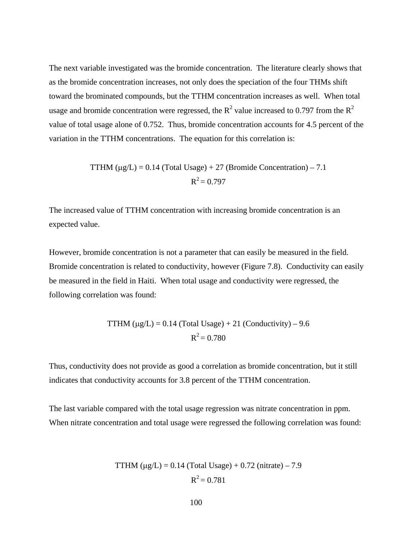The next variable investigated was the bromide concentration. The literature clearly shows that as the bromide concentration increases, not only does the speciation of the four THMs shift toward the brominated compounds, but the TTHM concentration increases as well. When total usage and bromide concentration were regressed, the  $R^2$  value increased to 0.797 from the  $R^2$ value of total usage alone of 0.752. Thus, bromide concentration accounts for 4.5 percent of the variation in the TTHM concentrations. The equation for this correlation is:

TTHM (μg/L) = 0.14 (Total Usage) + 27 (Bromide Concentration) – 7.1  

$$
R^2 = 0.797
$$

The increased value of TTHM concentration with increasing bromide concentration is an expected value.

However, bromide concentration is not a parameter that can easily be measured in the field. Bromide concentration is related to conductivity, however (Figure 7.8). Conductivity can easily be measured in the field in Haiti. When total usage and conductivity were regressed, the following correlation was found:

TTHM (
$$
\mu
$$
g/L) = 0.14 (Total Usage) + 21 (Conductivity) – 9.6  
 $R^2$  = 0.780

Thus, conductivity does not provide as good a correlation as bromide concentration, but it still indicates that conductivity accounts for 3.8 percent of the TTHM concentration.

The last variable compared with the total usage regression was nitrate concentration in ppm. When nitrate concentration and total usage were regressed the following correlation was found:

TTHM (μg/L) = 0.14 (Total Usage) + 0.72 (nitrate) – 7.9  

$$
R^2 = 0.781
$$

$$
100\,
$$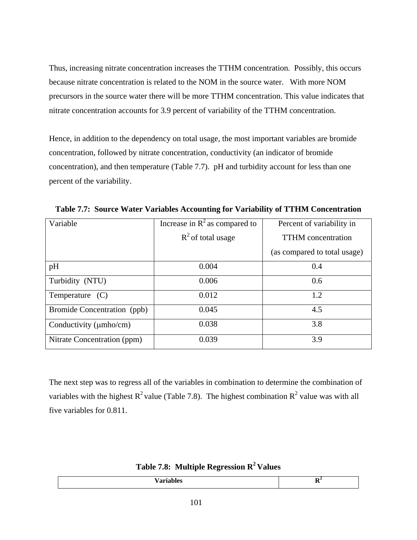Thus, increasing nitrate concentration increases the TTHM concentration. Possibly, this occurs because nitrate concentration is related to the NOM in the source water. With more NOM precursors in the source water there will be more TTHM concentration. This value indicates that nitrate concentration accounts for 3.9 percent of variability of the TTHM concentration.

Hence, in addition to the dependency on total usage, the most important variables are bromide concentration, followed by nitrate concentration, conductivity (an indicator of bromide concentration), and then temperature (Table 7.7). pH and turbidity account for less than one percent of the variability.

| Variable                     | Increase in $R^2$ as compared to | Percent of variability in    |
|------------------------------|----------------------------------|------------------------------|
|                              | $R^2$ of total usage             | <b>TTHM</b> concentration    |
|                              |                                  | (as compared to total usage) |
| pH                           | 0.004                            | 0.4                          |
| Turbidity (NTU)              | 0.006                            | 0.6                          |
| Temperature $(C)$            | 0.012                            | 1.2                          |
| Bromide Concentration (ppb)  | 0.045                            | 4.5                          |
| Conductivity ( $\mu$ mho/cm) | 0.038                            | 3.8                          |
| Nitrate Concentration (ppm)  | 0.039                            | 3.9                          |

**Table 7.7: Source Water Variables Accounting for Variability of TTHM Concentration**

The next step was to regress all of the variables in combination to determine the combination of variables with the highest  $R^2$  value (Table 7.8). The highest combination  $R^2$  value was with all five variables for 0.811.

**Table 7.8: Multiple Regression R2 Values**

| -- | . |
|----|---|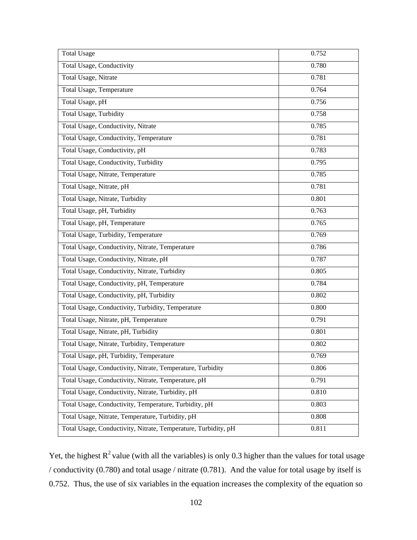| <b>Total Usage</b>                                             | 0.752 |
|----------------------------------------------------------------|-------|
| Total Usage, Conductivity                                      | 0.780 |
| Total Usage, Nitrate                                           | 0.781 |
| Total Usage, Temperature                                       | 0.764 |
| Total Usage, pH                                                | 0.756 |
| <b>Total Usage, Turbidity</b>                                  | 0.758 |
| Total Usage, Conductivity, Nitrate                             | 0.785 |
| Total Usage, Conductivity, Temperature                         | 0.781 |
| Total Usage, Conductivity, pH                                  | 0.783 |
| Total Usage, Conductivity, Turbidity                           | 0.795 |
| Total Usage, Nitrate, Temperature                              | 0.785 |
| Total Usage, Nitrate, pH                                       | 0.781 |
| Total Usage, Nitrate, Turbidity                                | 0.801 |
| Total Usage, pH, Turbidity                                     | 0.763 |
| Total Usage, pH, Temperature                                   | 0.765 |
| Total Usage, Turbidity, Temperature                            | 0.769 |
| Total Usage, Conductivity, Nitrate, Temperature                | 0.786 |
| Total Usage, Conductivity, Nitrate, pH                         | 0.787 |
| Total Usage, Conductivity, Nitrate, Turbidity                  | 0.805 |
| Total Usage, Conductivity, pH, Temperature                     | 0.784 |
| Total Usage, Conductivity, pH, Turbidity                       | 0.802 |
| Total Usage, Conductivity, Turbidity, Temperature              | 0.800 |
| Total Usage, Nitrate, pH, Temperature                          | 0.791 |
| Total Usage, Nitrate, pH, Turbidity                            | 0.801 |
| Total Usage, Nitrate, Turbidity, Temperature                   | 0.802 |
| Total Usage, pH, Turbidity, Temperature                        | 0.769 |
| Total Usage, Conductivity, Nitrate, Temperature, Turbidity     | 0.806 |
| Total Usage, Conductivity, Nitrate, Temperature, pH            | 0.791 |
| Total Usage, Conductivity, Nitrate, Turbidity, pH              | 0.810 |
| Total Usage, Conductivity, Temperature, Turbidity, pH          | 0.803 |
| Total Usage, Nitrate, Temperature, Turbidity, pH               | 0.808 |
| Total Usage, Conductivity, Nitrate, Temperature, Turbidity, pH | 0.811 |

Yet, the highest  $R^2$  value (with all the variables) is only 0.3 higher than the values for total usage / conductivity (0.780) and total usage / nitrate (0.781). And the value for total usage by itself is 0.752. Thus, the use of six variables in the equation increases the complexity of the equation so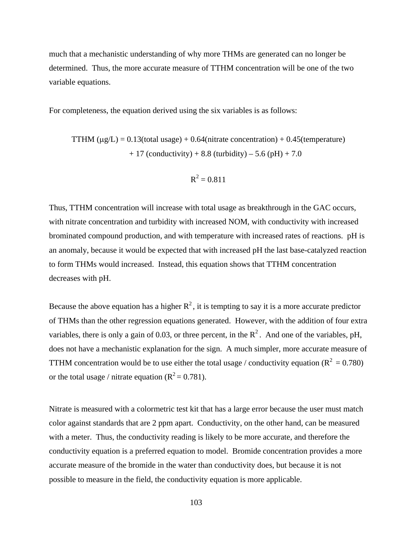much that a mechanistic understanding of why more THMs are generated can no longer be determined. Thus, the more accurate measure of TTHM concentration will be one of the two variable equations.

For completeness, the equation derived using the six variables is as follows:

$$
TTHM (μg/L) = 0.13 (total usage) + 0.64 (nitrate concentration) + 0.45 (temperature)
$$
  
+ 17 (conductivity) + 8.8 (turbidity) – 5.6 (pH) + 7.0

$$
R^2=0.811
$$

Thus, TTHM concentration will increase with total usage as breakthrough in the GAC occurs, with nitrate concentration and turbidity with increased NOM, with conductivity with increased brominated compound production, and with temperature with increased rates of reactions. pH is an anomaly, because it would be expected that with increased pH the last base-catalyzed reaction to form THMs would increased. Instead, this equation shows that TTHM concentration decreases with pH.

Because the above equation has a higher  $R^2$ , it is tempting to say it is a more accurate predictor of THMs than the other regression equations generated. However, with the addition of four extra variables, there is only a gain of 0.03, or three percent, in the  $R^2$ . And one of the variables, pH, does not have a mechanistic explanation for the sign. A much simpler, more accurate measure of TTHM concentration would be to use either the total usage / conductivity equation ( $R^2 = 0.780$ ) or the total usage / nitrate equation  $(R^2 = 0.781)$ .

Nitrate is measured with a colormetric test kit that has a large error because the user must match color against standards that are 2 ppm apart. Conductivity, on the other hand, can be measured with a meter. Thus, the conductivity reading is likely to be more accurate, and therefore the conductivity equation is a preferred equation to model. Bromide concentration provides a more accurate measure of the bromide in the water than conductivity does, but because it is not possible to measure in the field, the conductivity equation is more applicable.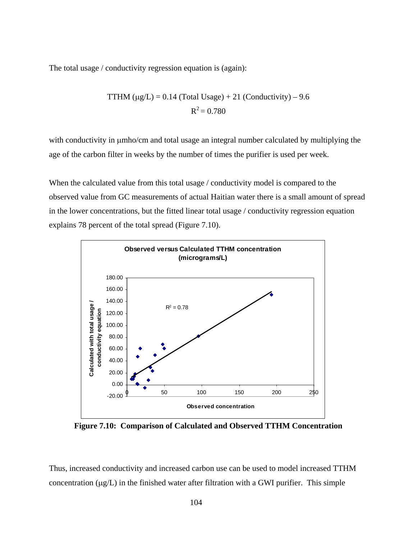The total usage / conductivity regression equation is (again):

TTHM (
$$
\mu
$$
g/L) = 0.14 (Total Usage) + 21 (Conductivity) – 9.6  
 $R^2$  = 0.780

with conductivity in  $\mu$ mho/cm and total usage an integral number calculated by multiplying the age of the carbon filter in weeks by the number of times the purifier is used per week.

When the calculated value from this total usage / conductivity model is compared to the observed value from GC measurements of actual Haitian water there is a small amount of spread in the lower concentrations, but the fitted linear total usage / conductivity regression equation explains 78 percent of the total spread (Figure 7.10).



**Figure 7.10: Comparison of Calculated and Observed TTHM Concentration**

Thus, increased conductivity and increased carbon use can be used to model increased TTHM concentration  $(\mu g/L)$  in the finished water after filtration with a GWI purifier. This simple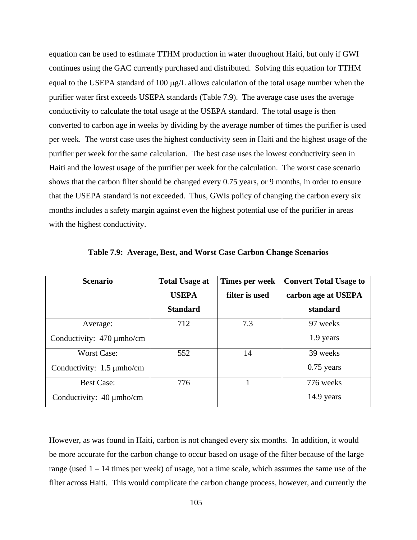equation can be used to estimate TTHM production in water throughout Haiti, but only if GWI continues using the GAC currently purchased and distributed. Solving this equation for TTHM equal to the USEPA standard of 100 µg/L allows calculation of the total usage number when the purifier water first exceeds USEPA standards (Table 7.9). The average case uses the average conductivity to calculate the total usage at the USEPA standard. The total usage is then converted to carbon age in weeks by dividing by the average number of times the purifier is used per week. The worst case uses the highest conductivity seen in Haiti and the highest usage of the purifier per week for the same calculation. The best case uses the lowest conductivity seen in Haiti and the lowest usage of the purifier per week for the calculation. The worst case scenario shows that the carbon filter should be changed every 0.75 years, or 9 months, in order to ensure that the USEPA standard is not exceeded. Thus, GWIs policy of changing the carbon every six months includes a safety margin against even the highest potential use of the purifier in areas with the highest conductivity.

| <b>Scenario</b>                | <b>Total Usage at</b> | Times per week | <b>Convert Total Usage to</b> |
|--------------------------------|-----------------------|----------------|-------------------------------|
|                                | <b>USEPA</b>          | filter is used | carbon age at USEPA           |
|                                | <b>Standard</b>       |                | standard                      |
| Average:                       | 712                   | 7.3            | 97 weeks                      |
| Conductivity: 470 µmho/cm      |                       |                | 1.9 years                     |
| <b>Worst Case:</b>             | 552                   | 14             | 39 weeks                      |
| Conductivity: $1.5 \mu$ mho/cm |                       |                | $0.75$ years                  |
| <b>Best Case:</b>              | 776                   |                | 776 weeks                     |
| Conductivity: $40 \mu mho/cm$  |                       |                | 14.9 years                    |

**Table 7.9: Average, Best, and Worst Case Carbon Change Scenarios** 

However, as was found in Haiti, carbon is not changed every six months. In addition, it would be more accurate for the carbon change to occur based on usage of the filter because of the large range (used 1 – 14 times per week) of usage, not a time scale, which assumes the same use of the filter across Haiti. This would complicate the carbon change process, however, and currently the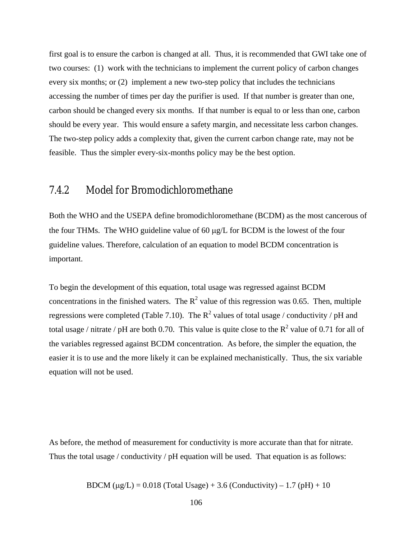first goal is to ensure the carbon is changed at all. Thus, it is recommended that GWI take one of two courses: (1) work with the technicians to implement the current policy of carbon changes every six months; or (2) implement a new two-step policy that includes the technicians accessing the number of times per day the purifier is used. If that number is greater than one, carbon should be changed every six months. If that number is equal to or less than one, carbon should be every year. This would ensure a safety margin, and necessitate less carbon changes. The two-step policy adds a complexity that, given the current carbon change rate, may not be feasible. Thus the simpler every-six-months policy may be the best option.

#### 7.4.2 Model for Bromodichloromethane

Both the WHO and the USEPA define bromodichloromethane (BCDM) as the most cancerous of the four THMs. The WHO guideline value of 60  $\mu$ g/L for BCDM is the lowest of the four guideline values. Therefore, calculation of an equation to model BCDM concentration is important.

To begin the development of this equation, total usage was regressed against BCDM concentrations in the finished waters. The  $R^2$  value of this regression was 0.65. Then, multiple regressions were completed (Table 7.10). The  $R^2$  values of total usage / conductivity / pH and total usage / nitrate / pH are both 0.70. This value is quite close to the  $R^2$  value of 0.71 for all of the variables regressed against BCDM concentration. As before, the simpler the equation, the easier it is to use and the more likely it can be explained mechanistically. Thus, the six variable equation will not be used.

As before, the method of measurement for conductivity is more accurate than that for nitrate. Thus the total usage / conductivity / pH equation will be used. That equation is as follows:

BDCM ( $\mu$ g/L) = 0.018 (Total Usage) + 3.6 (Conductivity) – 1.7 (pH) + 10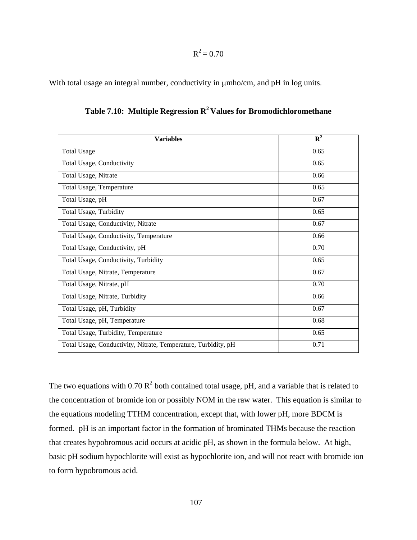$R^2 = 0.70$ 

With total usage an integral number, conductivity in  $\mu$ mho/cm, and pH in log units.

| <b>Variables</b>                                               | $R^2$ |
|----------------------------------------------------------------|-------|
| <b>Total Usage</b>                                             | 0.65  |
| Total Usage, Conductivity                                      | 0.65  |
| Total Usage, Nitrate                                           | 0.66  |
| Total Usage, Temperature                                       | 0.65  |
| Total Usage, pH                                                | 0.67  |
| Total Usage, Turbidity                                         | 0.65  |
| Total Usage, Conductivity, Nitrate                             | 0.67  |
| Total Usage, Conductivity, Temperature                         | 0.66  |
| Total Usage, Conductivity, pH                                  | 0.70  |
| Total Usage, Conductivity, Turbidity                           | 0.65  |
| Total Usage, Nitrate, Temperature                              | 0.67  |
| Total Usage, Nitrate, pH                                       | 0.70  |
| Total Usage, Nitrate, Turbidity                                | 0.66  |
| Total Usage, pH, Turbidity                                     | 0.67  |
| Total Usage, pH, Temperature                                   | 0.68  |
| Total Usage, Turbidity, Temperature                            | 0.65  |
| Total Usage, Conductivity, Nitrate, Temperature, Turbidity, pH | 0.71  |

Table 7.10: Multiple Regression R<sup>2</sup> Values for Bromodichloromethane

The two equations with  $0.70 \text{ R}^2$  both contained total usage, pH, and a variable that is related to the concentration of bromide ion or possibly NOM in the raw water. This equation is similar to the equations modeling TTHM concentration, except that, with lower pH, more BDCM is formed. pH is an important factor in the formation of brominated THMs because the reaction that creates hypobromous acid occurs at acidic pH, as shown in the formula below. At high, basic pH sodium hypochlorite will exist as hypochlorite ion, and will not react with bromide ion to form hypobromous acid.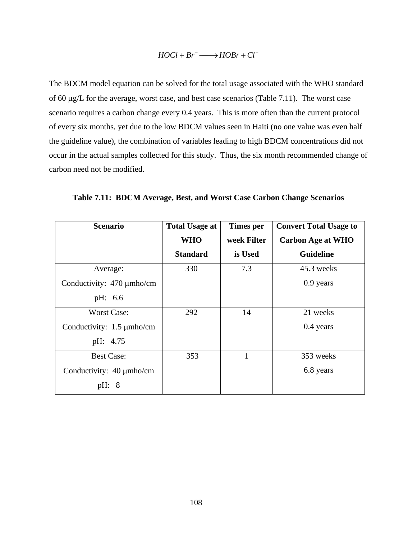#### $HOCl + Br^- \longrightarrow HOBr + Cl^-$

The BDCM model equation can be solved for the total usage associated with the WHO standard of 60 µg/L for the average, worst case, and best case scenarios (Table 7.11). The worst case scenario requires a carbon change every 0.4 years. This is more often than the current protocol of every six months, yet due to the low BDCM values seen in Haiti (no one value was even half the guideline value), the combination of variables leading to high BDCM concentrations did not occur in the actual samples collected for this study. Thus, the six month recommended change of carbon need not be modified.

| <b>Scenario</b>                | <b>Total Usage at</b> | Times per   | <b>Convert Total Usage to</b> |
|--------------------------------|-----------------------|-------------|-------------------------------|
|                                | <b>WHO</b>            | week Filter | <b>Carbon Age at WHO</b>      |
|                                | <b>Standard</b>       | is Used     | <b>Guideline</b>              |
| Average:                       | 330                   | 7.3         | 45.3 weeks                    |
| Conductivity: 470 µmho/cm      |                       |             | 0.9 years                     |
| pH: 6.6                        |                       |             |                               |
| <b>Worst Case:</b>             | 292                   | 14          | 21 weeks                      |
| Conductivity: $1.5 \mu$ mho/cm |                       |             | $0.4$ years                   |
| pH: 4.75                       |                       |             |                               |
| <b>Best Case:</b>              | 353                   | 1           | 353 weeks                     |
| Conductivity: 40 µmho/cm       |                       |             | 6.8 years                     |
| 8<br>pH:                       |                       |             |                               |

**Table 7.11: BDCM Average, Best, and Worst Case Carbon Change Scenarios**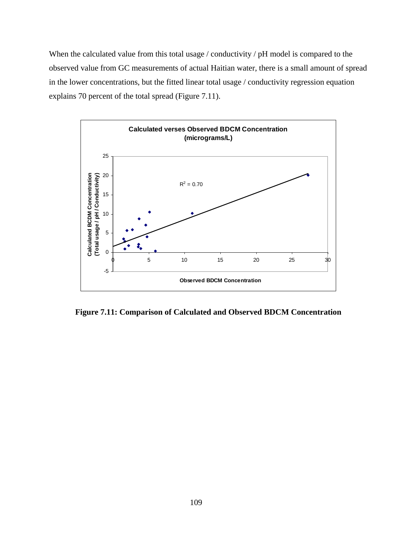When the calculated value from this total usage / conductivity / pH model is compared to the observed value from GC measurements of actual Haitian water, there is a small amount of spread in the lower concentrations, but the fitted linear total usage / conductivity regression equation explains 70 percent of the total spread (Figure 7.11).



**Figure 7.11: Comparison of Calculated and Observed BDCM Concentration**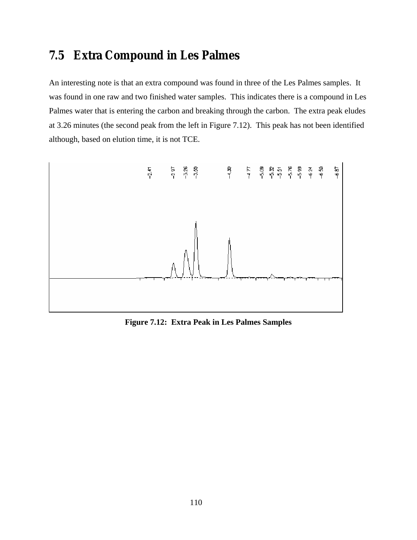## **7.5 Extra Compound in Les Palmes**

An interesting note is that an extra compound was found in three of the Les Palmes samples. It was found in one raw and two finished water samples. This indicates there is a compound in Les Palmes water that is entering the carbon and breaking through the carbon. The extra peak eludes at 3.26 minutes (the second peak from the left in Figure 7.12). This peak has not been identified although, based on elution time, it is not TCE.



**Figure 7.12: Extra Peak in Les Palmes Samples**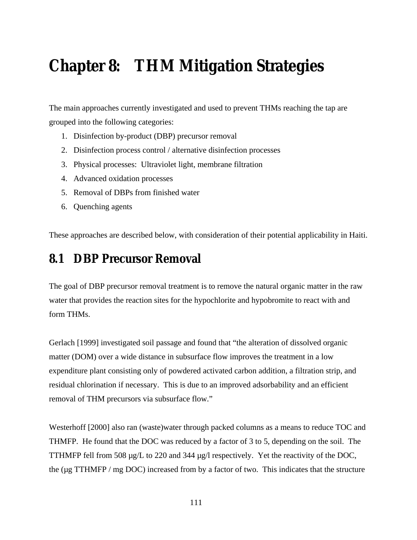# **Chapter 8: THM Mitigation Strategies**

The main approaches currently investigated and used to prevent THMs reaching the tap are grouped into the following categories:

- 1. Disinfection by-product (DBP) precursor removal
- 2. Disinfection process control / alternative disinfection processes
- 3. Physical processes: Ultraviolet light, membrane filtration
- 4. Advanced oxidation processes
- 5. Removal of DBPs from finished water
- 6. Quenching agents

These approaches are described below, with consideration of their potential applicability in Haiti.

## **8.1 DBP Precursor Removal**

The goal of DBP precursor removal treatment is to remove the natural organic matter in the raw water that provides the reaction sites for the hypochlorite and hypobromite to react with and form THMs.

Gerlach [1999] investigated soil passage and found that "the alteration of dissolved organic matter (DOM) over a wide distance in subsurface flow improves the treatment in a low expenditure plant consisting only of powdered activated carbon addition, a filtration strip, and residual chlorination if necessary. This is due to an improved adsorbability and an efficient removal of THM precursors via subsurface flow."

Westerhoff [2000] also ran (waste)water through packed columns as a means to reduce TOC and THMFP. He found that the DOC was reduced by a factor of 3 to 5, depending on the soil. The TTHMFP fell from 508 µg/L to 220 and 344 µg/l respectively. Yet the reactivity of the DOC, the ( $\mu$ g TTHMFP / mg DOC) increased from by a factor of two. This indicates that the structure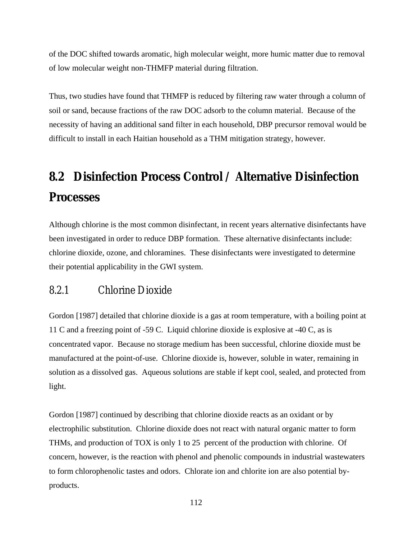of the DOC shifted towards aromatic, high molecular weight, more humic matter due to removal of low molecular weight non-THMFP material during filtration.

Thus, two studies have found that THMFP is reduced by filtering raw water through a column of soil or sand, because fractions of the raw DOC adsorb to the column material. Because of the necessity of having an additional sand filter in each household, DBP precursor removal would be difficult to install in each Haitian household as a THM mitigation strategy, however.

# **8.2 Disinfection Process Control / Alternative Disinfection Processes**

Although chlorine is the most common disinfectant, in recent years alternative disinfectants have been investigated in order to reduce DBP formation. These alternative disinfectants include: chlorine dioxide, ozone, and chloramines. These disinfectants were investigated to determine their potential applicability in the GWI system.

### 8.2.1 Chlorine Dioxide

Gordon [1987] detailed that chlorine dioxide is a gas at room temperature, with a boiling point at 11 C and a freezing point of -59 C. Liquid chlorine dioxide is explosive at -40 C, as is concentrated vapor. Because no storage medium has been successful, chlorine dioxide must be manufactured at the point-of-use. Chlorine dioxide is, however, soluble in water, remaining in solution as a dissolved gas. Aqueous solutions are stable if kept cool, sealed, and protected from light.

Gordon [1987] continued by describing that chlorine dioxide reacts as an oxidant or by electrophilic substitution. Chlorine dioxide does not react with natural organic matter to form THMs, and production of TOX is only 1 to 25 percent of the production with chlorine. Of concern, however, is the reaction with phenol and phenolic compounds in industrial wastewaters to form chlorophenolic tastes and odors. Chlorate ion and chlorite ion are also potential byproducts.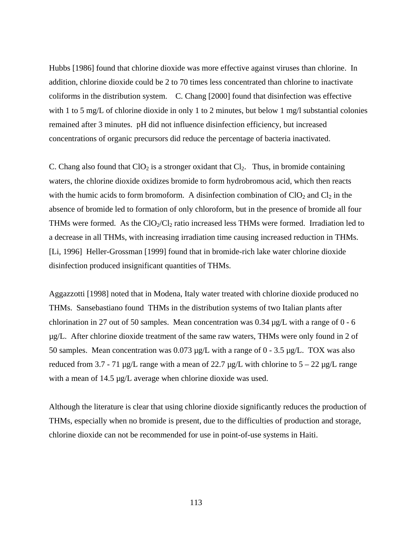Hubbs [1986] found that chlorine dioxide was more effective against viruses than chlorine. In addition, chlorine dioxide could be 2 to 70 times less concentrated than chlorine to inactivate coliforms in the distribution system. C. Chang [2000] found that disinfection was effective with 1 to 5 mg/L of chlorine dioxide in only 1 to 2 minutes, but below 1 mg/l substantial colonies remained after 3 minutes. pH did not influence disinfection efficiency, but increased concentrations of organic precursors did reduce the percentage of bacteria inactivated.

C. Chang also found that  $ClO<sub>2</sub>$  is a stronger oxidant that  $Cl<sub>2</sub>$ . Thus, in bromide containing waters, the chlorine dioxide oxidizes bromide to form hydrobromous acid, which then reacts with the humic acids to form bromoform. A disinfection combination of  $ClO<sub>2</sub>$  and  $Cl<sub>2</sub>$  in the absence of bromide led to formation of only chloroform, but in the presence of bromide all four THMs were formed. As the  $ClO<sub>2</sub>/Cl<sub>2</sub>$  ratio increased less THMs were formed. Irradiation led to a decrease in all THMs, with increasing irradiation time causing increased reduction in THMs. [Li, 1996] Heller-Grossman [1999] found that in bromide-rich lake water chlorine dioxide disinfection produced insignificant quantities of THMs.

Aggazzotti [1998] noted that in Modena, Italy water treated with chlorine dioxide produced no THMs. Sansebastiano found THMs in the distribution systems of two Italian plants after chlorination in 27 out of 50 samples. Mean concentration was  $0.34 \mu g/L$  with a range of  $0 - 6$ µg/L. After chlorine dioxide treatment of the same raw waters, THMs were only found in 2 of 50 samples. Mean concentration was 0.073 µg/L with a range of 0 - 3.5 µg/L. TOX was also reduced from 3.7 - 71  $\mu$ g/L range with a mean of 22.7  $\mu$ g/L with chlorine to 5 – 22  $\mu$ g/L range with a mean of 14.5 µg/L average when chlorine dioxide was used.

Although the literature is clear that using chlorine dioxide significantly reduces the production of THMs, especially when no bromide is present, due to the difficulties of production and storage, chlorine dioxide can not be recommended for use in point-of-use systems in Haiti.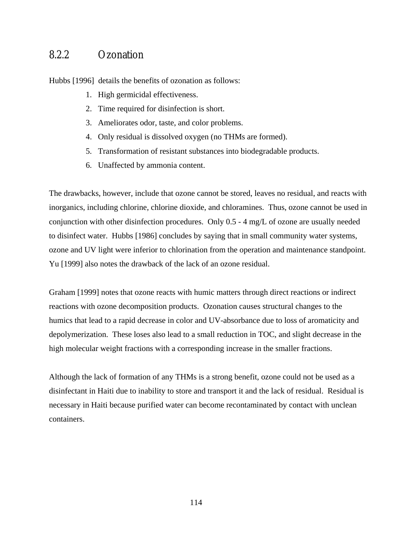### 8.2.2 Ozonation

Hubbs [1996] details the benefits of ozonation as follows:

- 1. High germicidal effectiveness.
- 2. Time required for disinfection is short.
- 3. Ameliorates odor, taste, and color problems.
- 4. Only residual is dissolved oxygen (no THMs are formed).
- 5. Transformation of resistant substances into biodegradable products.
- 6. Unaffected by ammonia content.

The drawbacks, however, include that ozone cannot be stored, leaves no residual, and reacts with inorganics, including chlorine, chlorine dioxide, and chloramines. Thus, ozone cannot be used in conjunction with other disinfection procedures. Only 0.5 - 4 mg/L of ozone are usually needed to disinfect water. Hubbs [1986] concludes by saying that in small community water systems, ozone and UV light were inferior to chlorination from the operation and maintenance standpoint. Yu [1999] also notes the drawback of the lack of an ozone residual.

Graham [1999] notes that ozone reacts with humic matters through direct reactions or indirect reactions with ozone decomposition products. Ozonation causes structural changes to the humics that lead to a rapid decrease in color and UV-absorbance due to loss of aromaticity and depolymerization. These loses also lead to a small reduction in TOC, and slight decrease in the high molecular weight fractions with a corresponding increase in the smaller fractions.

Although the lack of formation of any THMs is a strong benefit, ozone could not be used as a disinfectant in Haiti due to inability to store and transport it and the lack of residual. Residual is necessary in Haiti because purified water can become recontaminated by contact with unclean containers.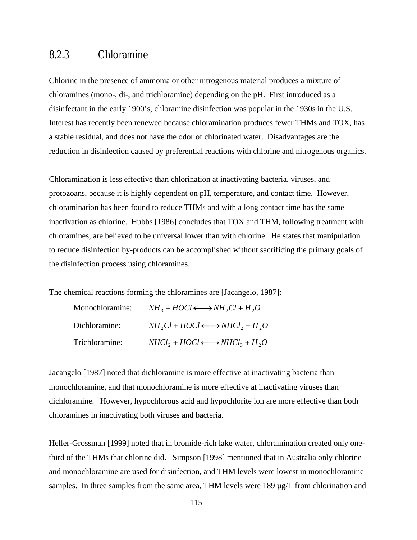### 8.2.3 Chloramine

Chlorine in the presence of ammonia or other nitrogenous material produces a mixture of chloramines (mono-, di-, and trichloramine) depending on the pH. First introduced as a disinfectant in the early 1900's, chloramine disinfection was popular in the 1930s in the U.S. Interest has recently been renewed because chloramination produces fewer THMs and TOX, has a stable residual, and does not have the odor of chlorinated water. Disadvantages are the reduction in disinfection caused by preferential reactions with chlorine and nitrogenous organics.

Chloramination is less effective than chlorination at inactivating bacteria, viruses, and protozoans, because it is highly dependent on pH, temperature, and contact time. However, chloramination has been found to reduce THMs and with a long contact time has the same inactivation as chlorine. Hubbs [1986] concludes that TOX and THM, following treatment with chloramines, are believed to be universal lower than with chlorine. He states that manipulation to reduce disinfection by-products can be accomplished without sacrificing the primary goals of the disinfection process using chloramines.

The chemical reactions forming the chloramines are [Jacangelo, 1987]:

| Monochloramine: | $NH_3 + HOCl \longleftrightarrow NH_2Cl + H_2O$   |
|-----------------|---------------------------------------------------|
| Dichloramine:   | $NH, Cl + HOCl \longleftrightarrow NHCl_2 + H_2O$ |
| Trichloramine:  | $NHCl_2 + HOCl \longleftrightarrow NHCl_3 + H_2O$ |

Jacangelo [1987] noted that dichloramine is more effective at inactivating bacteria than monochloramine, and that monochloramine is more effective at inactivating viruses than dichloramine. However, hypochlorous acid and hypochlorite ion are more effective than both chloramines in inactivating both viruses and bacteria.

Heller-Grossman [1999] noted that in bromide-rich lake water, chloramination created only onethird of the THMs that chlorine did. Simpson [1998] mentioned that in Australia only chlorine and monochloramine are used for disinfection, and THM levels were lowest in monochloramine samples. In three samples from the same area, THM levels were 189  $\mu$ g/L from chlorination and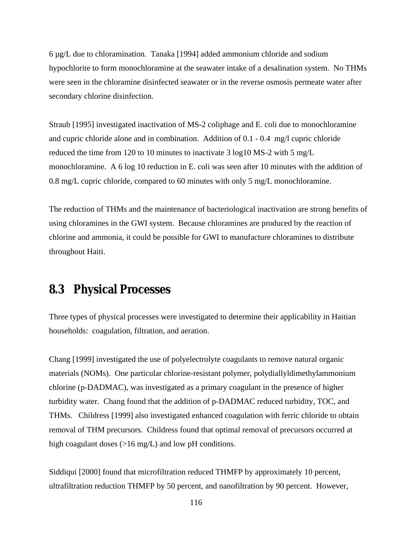$6 \mu g/L$  due to chloramination. Tanaka [1994] added ammonium chloride and sodium hypochlorite to form monochloramine at the seawater intake of a desalination system. No THMs were seen in the chloramine disinfected seawater or in the reverse osmosis permeate water after secondary chlorine disinfection.

Straub [1995] investigated inactivation of MS-2 coliphage and E. coli due to monochloramine and cupric chloride alone and in combination. Addition of 0.1 - 0.4 mg/l cupric chloride reduced the time from 120 to 10 minutes to inactivate 3 log10 MS-2 with 5 mg/L monochloramine. A 6 log 10 reduction in E. coli was seen after 10 minutes with the addition of 0.8 mg/L cupric chloride, compared to 60 minutes with only 5 mg/L monochloramine.

The reduction of THMs and the maintenance of bacteriological inactivation are strong benefits of using chloramines in the GWI system. Because chloramines are produced by the reaction of chlorine and ammonia, it could be possible for GWI to manufacture chloramines to distribute throughout Haiti.

### **8.3 Physical Processes**

Three types of physical processes were investigated to determine their applicability in Haitian households: coagulation, filtration, and aeration.

Chang [1999] investigated the use of polyelectrolyte coagulants to remove natural organic materials (NOMs). One particular chlorine-resistant polymer, polydiallyldimethylammonium chlorine (p-DADMAC), was investigated as a primary coagulant in the presence of higher turbidity water. Chang found that the addition of p-DADMAC reduced turbidity, TOC, and THMs. Childress [1999] also investigated enhanced coagulation with ferric chloride to obtain removal of THM precursors. Childress found that optimal removal of precursors occurred at high coagulant doses (>16 mg/L) and low pH conditions.

Siddiqui [2000] found that microfiltration reduced THMFP by approximately 10 percent, ultrafiltration reduction THMFP by 50 percent, and nanofiltration by 90 percent. However,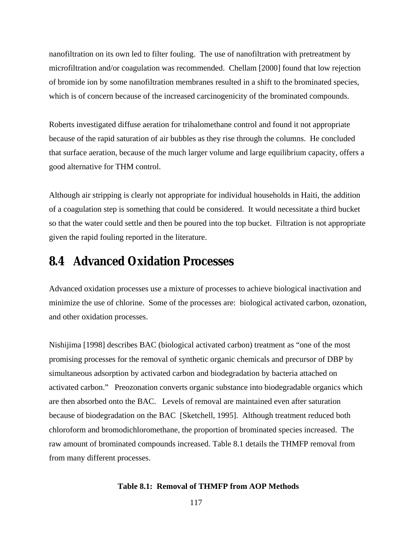nanofiltration on its own led to filter fouling. The use of nanofiltration with pretreatment by microfiltration and/or coagulation was recommended. Chellam [2000] found that low rejection of bromide ion by some nanofiltration membranes resulted in a shift to the brominated species, which is of concern because of the increased carcinogenicity of the brominated compounds.

Roberts investigated diffuse aeration for trihalomethane control and found it not appropriate because of the rapid saturation of air bubbles as they rise through the columns. He concluded that surface aeration, because of the much larger volume and large equilibrium capacity, offers a good alternative for THM control.

Although air stripping is clearly not appropriate for individual households in Haiti, the addition of a coagulation step is something that could be considered. It would necessitate a third bucket so that the water could settle and then be poured into the top bucket. Filtration is not appropriate given the rapid fouling reported in the literature.

## **8.4 Advanced Oxidation Processes**

Advanced oxidation processes use a mixture of processes to achieve biological inactivation and minimize the use of chlorine. Some of the processes are: biological activated carbon, ozonation, and other oxidation processes.

Nishijima [1998] describes BAC (biological activated carbon) treatment as "one of the most promising processes for the removal of synthetic organic chemicals and precursor of DBP by simultaneous adsorption by activated carbon and biodegradation by bacteria attached on activated carbon." Preozonation converts organic substance into biodegradable organics which are then absorbed onto the BAC. Levels of removal are maintained even after saturation because of biodegradation on the BAC [Sketchell, 1995]. Although treatment reduced both chloroform and bromodichloromethane, the proportion of brominated species increased. The raw amount of brominated compounds increased. Table 8.1 details the THMFP removal from from many different processes.

#### **Table 8.1: Removal of THMFP from AOP Methods**

117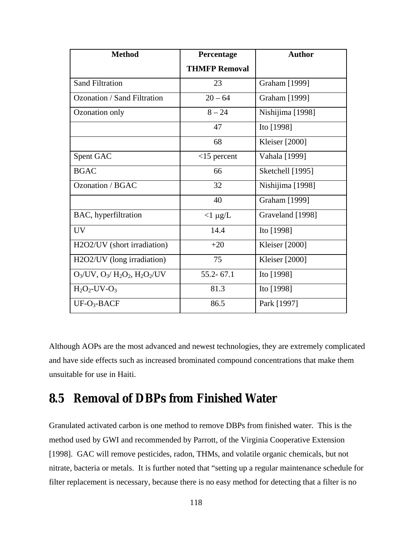| <b>Method</b>                              | Percentage           | <b>Author</b>         |
|--------------------------------------------|----------------------|-----------------------|
|                                            | <b>THMFP Removal</b> |                       |
| <b>Sand Filtration</b>                     | 23                   | Graham [1999]         |
| Ozonation / Sand Filtration                | $20 - 64$            | Graham [1999]         |
| Ozonation only                             | $8 - 24$             | Nishijima [1998]      |
|                                            | 47                   | Ito [1998]            |
|                                            | 68                   | <b>Kleiser</b> [2000] |
| Spent GAC                                  | $<$ 15 percent       | Vahala [1999]         |
| <b>BGAC</b>                                | 66                   | Sketchell [1995]      |
| Ozonation / BGAC                           | 32                   | Nishijima [1998]      |
|                                            | 40                   | Graham [1999]         |
| BAC, hyperfiltration                       | $<1 \mu g/L$         | Graveland [1998]      |
| <b>UV</b>                                  | 14.4                 | Ito [1998]            |
| H2O2/UV (short irradiation)                | $+20$                | <b>Kleiser</b> [2000] |
| H2O2/UV (long irradiation)                 | 75                   | <b>Kleiser</b> [2000] |
| $O_3$ /UV, $O_3$ / $H_2O_2$ , $H_2O_2$ /UV | $55.2 - 67.1$        | Ito [1998]            |
| $H_2O_2$ -UV- $O_3$                        | 81.3                 | Ito [1998]            |
| $UF-O3-BACF$                               | 86.5                 | Park [1997]           |

Although AOPs are the most advanced and newest technologies, they are extremely complicated and have side effects such as increased brominated compound concentrations that make them unsuitable for use in Haiti.

## **8.5 Removal of DBPs from Finished Water**

Granulated activated carbon is one method to remove DBPs from finished water. This is the method used by GWI and recommended by Parrott, of the Virginia Cooperative Extension [1998]. GAC will remove pesticides, radon, THMs, and volatile organic chemicals, but not nitrate, bacteria or metals. It is further noted that "setting up a regular maintenance schedule for filter replacement is necessary, because there is no easy method for detecting that a filter is no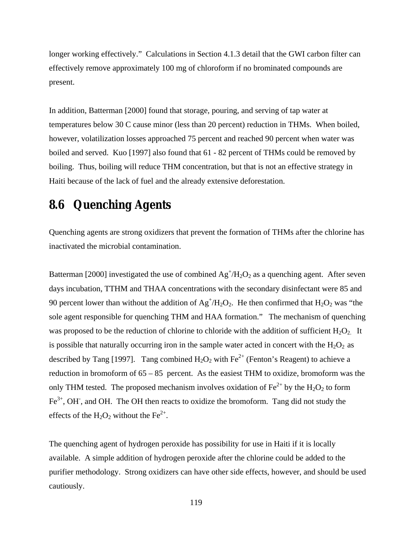longer working effectively." Calculations in Section 4.1.3 detail that the GWI carbon filter can effectively remove approximately 100 mg of chloroform if no brominated compounds are present.

In addition, Batterman [2000] found that storage, pouring, and serving of tap water at temperatures below 30 C cause minor (less than 20 percent) reduction in THMs. When boiled, however, volatilization losses approached 75 percent and reached 90 percent when water was boiled and served. Kuo [1997] also found that 61 - 82 percent of THMs could be removed by boiling. Thus, boiling will reduce THM concentration, but that is not an effective strategy in Haiti because of the lack of fuel and the already extensive deforestation.

## **8.6 Quenching Agents**

Quenching agents are strong oxidizers that prevent the formation of THMs after the chlorine has inactivated the microbial contamination.

Batterman [2000] investigated the use of combined  $Ag<sup>+</sup>/H<sub>2</sub>O<sub>2</sub>$  as a quenching agent. After seven days incubation, TTHM and THAA concentrations with the secondary disinfectant were 85 and 90 percent lower than without the addition of  $Ag^+/H_2O_2$ . He then confirmed that  $H_2O_2$  was "the sole agent responsible for quenching THM and HAA formation." The mechanism of quenching was proposed to be the reduction of chlorine to chloride with the addition of sufficient  $H_2O_2$ . It is possible that naturally occurring iron in the sample water acted in concert with the  $H_2O_2$  as described by Tang [1997]. Tang combined  $H_2O_2$  with Fe<sup>2+</sup> (Fenton's Reagent) to achieve a reduction in bromoform of  $65 - 85$  percent. As the easiest THM to oxidize, bromoform was the only THM tested. The proposed mechanism involves oxidation of  $Fe^{2+}$  by the H<sub>2</sub>O<sub>2</sub> to form  $\text{Fe}^{3+}$ , OH, and OH. The OH then reacts to oxidize the bromoform. Tang did not study the effects of the H<sub>2</sub>O<sub>2</sub> without the Fe<sup>2+</sup>.

The quenching agent of hydrogen peroxide has possibility for use in Haiti if it is locally available. A simple addition of hydrogen peroxide after the chlorine could be added to the purifier methodology. Strong oxidizers can have other side effects, however, and should be used cautiously.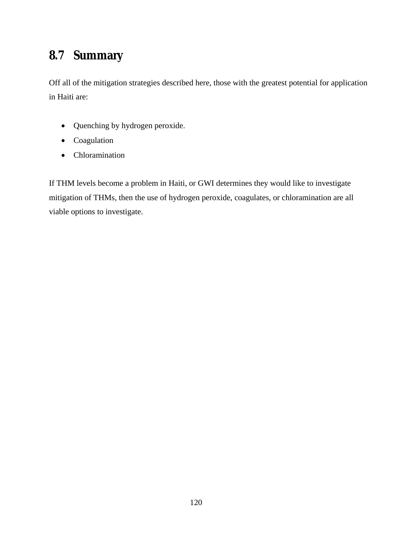## **8.7 Summary**

Off all of the mitigation strategies described here, those with the greatest potential for application in Haiti are:

- Quenching by hydrogen peroxide.
- Coagulation
- Chloramination

If THM levels become a problem in Haiti, or GWI determines they would like to investigate mitigation of THMs, then the use of hydrogen peroxide, coagulates, or chloramination are all viable options to investigate.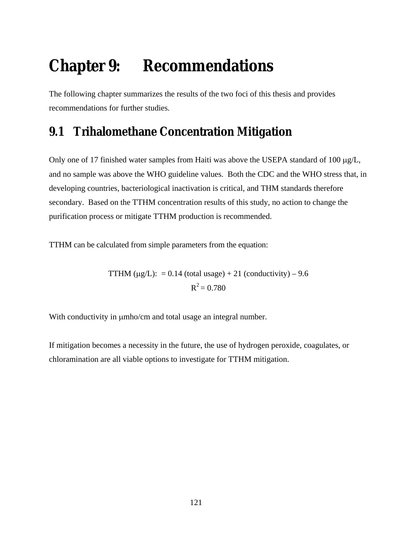# **Chapter 9: Recommendations**

The following chapter summarizes the results of the two foci of this thesis and provides recommendations for further studies.

## **9.1 Trihalomethane Concentration Mitigation**

Only one of 17 finished water samples from Haiti was above the USEPA standard of 100 µg/L, and no sample was above the WHO guideline values. Both the CDC and the WHO stress that, in developing countries, bacteriological inactivation is critical, and THM standards therefore secondary. Based on the TTHM concentration results of this study, no action to change the purification process or mitigate TTHM production is recommended.

TTHM can be calculated from simple parameters from the equation:

TTHM  $(\mu g/L): = 0.14$  (total usage) + 21 (conductivity) – 9.6  $R^2 = 0.780$ 

With conductivity in  $\mu$ mho/cm and total usage an integral number.

If mitigation becomes a necessity in the future, the use of hydrogen peroxide, coagulates, or chloramination are all viable options to investigate for TTHM mitigation.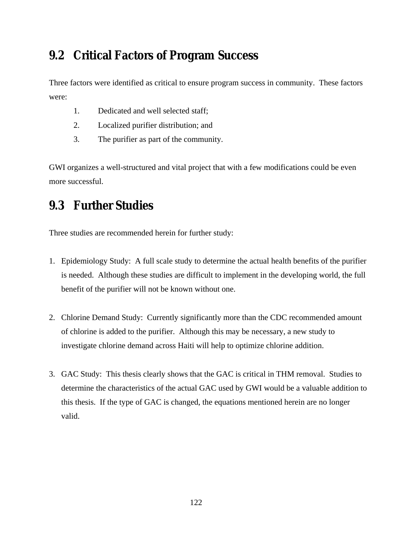## **9.2 Critical Factors of Program Success**

Three factors were identified as critical to ensure program success in community. These factors were:

- 1. Dedicated and well selected staff;
- 2. Localized purifier distribution; and
- 3. The purifier as part of the community.

GWI organizes a well-structured and vital project that with a few modifications could be even more successful.

## **9.3 Further Studies**

Three studies are recommended herein for further study:

- 1. Epidemiology Study: A full scale study to determine the actual health benefits of the purifier is needed. Although these studies are difficult to implement in the developing world, the full benefit of the purifier will not be known without one.
- 2. Chlorine Demand Study: Currently significantly more than the CDC recommended amount of chlorine is added to the purifier. Although this may be necessary, a new study to investigate chlorine demand across Haiti will help to optimize chlorine addition.
- 3. GAC Study: This thesis clearly shows that the GAC is critical in THM removal. Studies to determine the characteristics of the actual GAC used by GWI would be a valuable addition to this thesis. If the type of GAC is changed, the equations mentioned herein are no longer valid.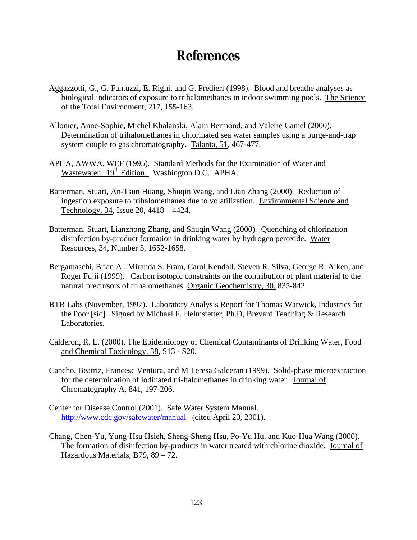## **References**

- Aggazzotti, G., G. Fantuzzi, E. Righi, and G. Predieri (1998). Blood and breathe analyses as biological indicators of exposure to trihalomethanes in indoor swimming pools. The Science of the Total Environment, 217, 155-163.
- Allonier, Anne-Sophie, Michel Khalanski, Alain Bermond, and Valerie Camel (2000). Determination of trihalomethanes in chlorinated sea water samples using a purge-and-trap system couple to gas chromatography. Talanta, 51, 467-477.
- APHA, AWWA, WEF (1995). Standard Methods for the Examination of Water and Wastewater: 19<sup>th</sup> Edition. Washington D.C.: APHA.
- Batterman, Stuart, An-Tsun Huang, Shuqin Wang, and Lian Zhang (2000). Reduction of ingestion exposure to trihalomethanes due to volatilization. Environmental Science and Technology, 34, Issue 20, 4418 – 4424,
- Batterman, Stuart, Lianzhong Zhang, and Shuqin Wang (2000). Quenching of chlorination disinfection by-product formation in drinking water by hydrogen peroxide. Water Resources, 34, Number 5, 1652-1658.
- Bergamaschi, Brian A., Miranda S. Fram, Carol Kendall, Steven R. Silva, George R. Aiken, and Roger Fujii (1999). Carbon isotopic constraints on the contribution of plant material to the natural precursors of trihalomethanes. Organic Geochemistry, 30, 835-842.
- BTR Labs (November, 1997). Laboratory Analysis Report for Thomas Warwick, Industries for the Poor [sic]. Signed by Michael F. Helmstetter, Ph.D, Brevard Teaching & Research Laboratories.
- Calderon, R. L. (2000), The Epidemiology of Chemical Contaminants of Drinking Water, Food and Chemical Toxicology, 38, S13 - S20.
- Cancho, Beatriz, Francesc Ventura, and M Teresa Galceran (1999). Solid-phase microextraction for the determination of iodinated tri-halomethanes in drinking water. Journal of Chromatography A, 841, 197-206.
- Center for Disease Control (2001). Safe Water System Manual. http://www.cdc.gov/safewater/manual (cited April 20, 2001).
- Chang, Chen-Yu, Yung-Hsu Hsieh, Sheng-Sheng Hsu, Po-Yu Hu, and Kuo-Hua Wang (2000). The formation of disinfection by-products in water treated with chlorine dioxide. Journal of Hazardous Materials, B79, 89 – 72.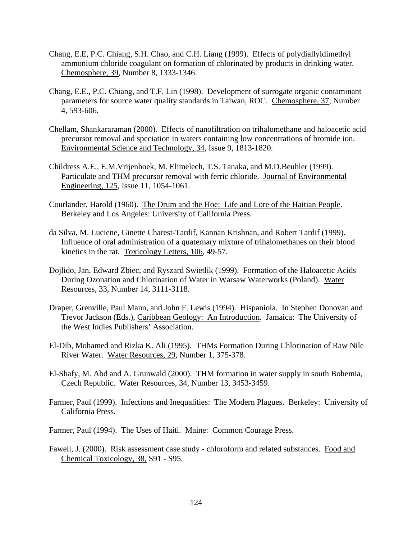- Chang, E.E, P.C. Chiang, S.H. Chao, and C.H. Liang (1999). Effects of polydiallyldimethyl ammonium chloride coagulant on formation of chlorinated by products in drinking water. Chemosphere, 39, Number 8, 1333-1346.
- Chang, E.E., P.C. Chiang, and T.F. Lin (1998). Development of surrogate organic contaminant parameters for source water quality standards in Taiwan, ROC. Chemosphere, 37, Number 4, 593-606.
- Chellam, Shankararaman (2000). Effects of nanofiltration on trihalomethane and haloacetic acid precursor removal and speciation in waters containing low concentrations of bromide ion. Environmental Science and Technology, 34, Issue 9, 1813-1820.
- Childress A.E., E.M.Vrijenhoek, M. Elimelech, T.S. Tanaka, and M.D.Beuhler (1999). Particulate and THM precursor removal with ferric chloride. Journal of Environmental Engineering, 125, Issue 11, 1054-1061.
- Courlander, Harold (1960). The Drum and the Hoe: Life and Lore of the Haitian People. Berkeley and Los Angeles: University of California Press.
- da Silva, M. Luciene, Ginette Charest-Tardif, Kannan Krishnan, and Robert Tardif (1999). Influence of oral administration of a quaternary mixture of trihalomethanes on their blood kinetics in the rat. Toxicology Letters, 106, 49-57.
- Dojlido, Jan, Edward Zbiec, and Ryszard Swietlik (1999). Formation of the Haloacetic Acids During Ozonation and Chlorination of Water in Warsaw Waterworks (Poland). Water Resources, 33, Number 14, 3111-3118.
- Draper, Grenville, Paul Mann, and John F. Lewis (1994). Hispaniola. In Stephen Donovan and Trevor Jackson (Eds.), Caribbean Geology: An Introduction. Jamaica: The University of the West Indies Publishers' Association.
- El-Dib, Mohamed and Rizka K. Ali (1995). THMs Formation During Chlorination of Raw Nile River Water. Water Resources, 29, Number 1, 375-378.
- El-Shafy, M. Abd and A. Grunwald (2000). THM formation in water supply in south Bohemia, Czech Republic. Water Resources, 34, Number 13, 3453-3459.
- Farmer, Paul (1999). Infections and Inequalities: The Modern Plagues. Berkeley: University of California Press.
- Farmer, Paul (1994). The Uses of Haiti. Maine: Common Courage Press.
- Fawell, J. (2000). Risk assessment case study chloroform and related substances. Food and Chemical Toxicology, 38, S91 - S95.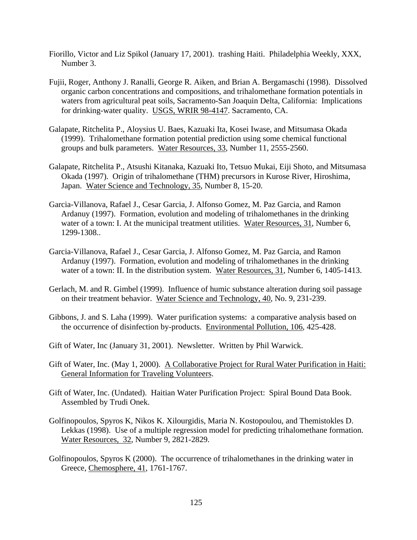- Fiorillo, Victor and Liz Spikol (January 17, 2001). trashing Haiti. Philadelphia Weekly, XXX, Number 3.
- Fujii, Roger, Anthony J. Ranalli, George R. Aiken, and Brian A. Bergamaschi (1998). Dissolved organic carbon concentrations and compositions, and trihalomethane formation potentials in waters from agricultural peat soils, Sacramento-San Joaquin Delta, California: Implications for drinking-water quality. USGS, WRIR 98-4147. Sacramento, CA.
- Galapate, Ritchelita P., Aloysius U. Baes, Kazuaki Ita, Kosei Iwase, and Mitsumasa Okada (1999). Trihalomethane formation potential prediction using some chemical functional groups and bulk parameters. Water Resources, 33, Number 11, 2555-2560.
- Galapate, Ritchelita P., Atsushi Kitanaka, Kazuaki Ito, Tetsuo Mukai, Eiji Shoto, and Mitsumasa Okada (1997). Origin of trihalomethane (THM) precursors in Kurose River, Hiroshima, Japan. Water Science and Technology, 35, Number 8, 15-20.
- Garcia-Villanova, Rafael J., Cesar Garcia, J. Alfonso Gomez, M. Paz Garcia, and Ramon Ardanuy (1997). Formation, evolution and modeling of trihalomethanes in the drinking water of a town: I. At the municipal treatment utilities. Water Resources, 31, Number 6, 1299-1308..
- Garcia-Villanova, Rafael J., Cesar Garcia, J. Alfonso Gomez, M. Paz Garcia, and Ramon Ardanuy (1997). Formation, evolution and modeling of trihalomethanes in the drinking water of a town: II. In the distribution system. Water Resources, 31, Number 6, 1405-1413.
- Gerlach, M. and R. Gimbel (1999). Influence of humic substance alteration during soil passage on their treatment behavior. Water Science and Technology, 40, No. 9, 231-239.
- Gibbons, J. and S. Laha (1999). Water purification systems: a comparative analysis based on the occurrence of disinfection by-products. Environmental Pollution, 106, 425-428.
- Gift of Water, Inc (January 31, 2001). Newsletter. Written by Phil Warwick.
- Gift of Water, Inc. (May 1, 2000). A Collaborative Project for Rural Water Purification in Haiti: General Information for Traveling Volunteers.
- Gift of Water, Inc. (Undated). Haitian Water Purification Project: Spiral Bound Data Book. Assembled by Trudi Onek.
- Golfinopoulos, Spyros K, Nikos K. Xilourgidis, Maria N. Kostopoulou, and Themistokles D. Lekkas (1998). Use of a multiple regression model for predicting trihalomethane formation. Water Resources, 32, Number 9, 2821-2829.
- Golfinopoulos, Spyros K (2000). The occurrence of trihalomethanes in the drinking water in Greece, Chemosphere, 41, 1761-1767.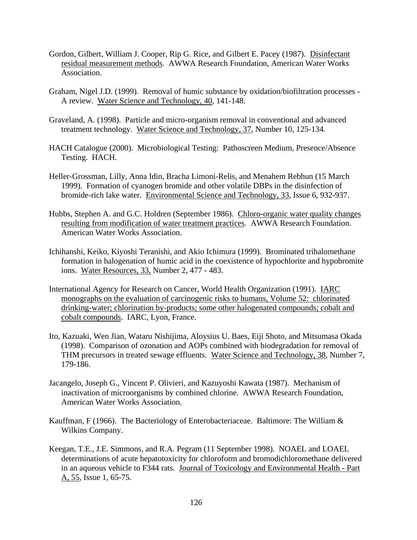- Gordon, Gilbert, William J. Cooper, Rip G. Rice, and Gilbert E. Pacey (1987). Disinfectant residual measurement methods. AWWA Research Foundation, American Water Works Association.
- Graham, Nigel J.D. (1999). Removal of humic substance by oxidation/biofiltration processes A review. Water Science and Technology, 40, 141-148.
- Graveland, A. (1998). Particle and micro-organism removal in conventional and advanced treatment technology. Water Science and Technology, 37, Number 10, 125-134.
- HACH Catalogue (2000). Microbiological Testing: Pathoscreen Medium, Presence/Absence Testing. HACH.
- Heller-Grossman, Lilly, Anna Idin, Bracha Limoni-Relis, and Menahem Rebhun (15 March 1999). Formation of cyanogen bromide and other volatile DBPs in the disinfection of bromide-rich lake water. Environmental Science and Technology, 33, Issue 6, 932-937.
- Hubbs, Stephen A. and G.C. Holdren (September 1986). Chloro-organic water quality changes resulting from modification of water treatment practices. AWWA Research Foundation. American Water Works Association.
- Ichihanshi, Keiko, Kiyoshi Teranishi, and Akio Ichimura (1999). Brominated trihalomethane formation in halogenation of humic acid in the coexistence of hypochlorite and hypobromite ions. Water Resources, 33, Number 2, 477 - 483.
- International Agency for Research on Cancer, World Health Organization (1991). IARC monographs on the evaluation of carcinogenic risks to humans, Volume 52: chlorinated drinking-water; chlorination by-products; some other halogenated compounds; cobalt and cobalt compounds. IARC, Lyon, France.
- Ito, Kazuaki, Wen Jian, Wataru Nishijima, Aloysius U. Baes, Eiji Shoto, and Mitsumasa Okada (1998). Comparison of ozonation and AOPs combined with biodegradation for removal of THM precursors in treated sewage effluents. Water Science and Technology, 38, Number 7, 179-186.
- Jacangelo, Joseph G., Vincent P. Olivieri, and Kazuyoshi Kawata (1987). Mechanism of inactivation of microorganisms by combined chlorine. AWWA Research Foundation, American Water Works Association.
- Kauffman, F (1966). The Bacteriology of Enterobacteriaceae. Baltimore: The William & Wilkins Company.
- Keegan, T.E., J.E. Simmons, and R.A. Pegram (11 September 1998). NOAEL and LOAEL determinations of acute hepatotoxicity for chloroform and bromodichloromethane delivered in an aqueous vehicle to F344 rats. Journal of Toxicology and Environmental Health - Part A, 55, Issue 1, 65-75.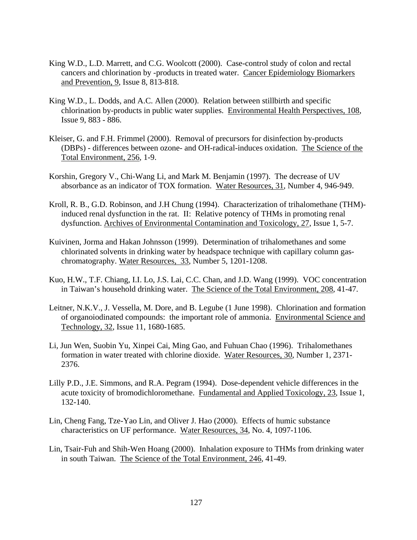- King W.D., L.D. Marrett, and C.G. Woolcott (2000). Case-control study of colon and rectal cancers and chlorination by -products in treated water. Cancer Epidemiology Biomarkers and Prevention, 9, Issue 8, 813-818.
- King W.D., L. Dodds, and A.C. Allen (2000). Relation between stillbirth and specific chlorination by-products in public water supplies. Environmental Health Perspectives, 108, Issue 9, 883 - 886.
- Kleiser, G. and F.H. Frimmel (2000). Removal of precursors for disinfection by-products (DBPs) - differences between ozone- and OH-radical-induces oxidation. The Science of the Total Environment, 256, 1-9.
- Korshin, Gregory V., Chi-Wang Li, and Mark M. Benjamin (1997). The decrease of UV absorbance as an indicator of TOX formation. Water Resources, 31, Number 4, 946-949.
- Kroll, R. B., G.D. Robinson, and J.H Chung (1994). Characterization of trihalomethane (THM) induced renal dysfunction in the rat. II: Relative potency of THMs in promoting renal dysfunction. Archives of Environmental Contamination and Toxicology, 27, Issue 1, 5-7.
- Kuivinen, Jorma and Hakan Johnsson (1999). Determination of trihalomethanes and some chlorinated solvents in drinking water by headspace technique with capillary column gaschromatography. Water Resources, 33, Number 5, 1201-1208.
- Kuo, H.W., T.F. Chiang, I.I. Lo, J.S. Lai, C.C. Chan, and J.D. Wang (1999). VOC concentration in Taiwan's household drinking water. The Science of the Total Environment, 208, 41-47.
- Leitner, N.K.V., J. Vessella, M. Dore, and B. Legube (1 June 1998). Chlorination and formation of organoiodinated compounds: the important role of ammonia. Environmental Science and Technology, 32, Issue 11, 1680-1685.
- Li, Jun Wen, Suobin Yu, Xinpei Cai, Ming Gao, and Fuhuan Chao (1996). Trihalomethanes formation in water treated with chlorine dioxide. Water Resources, 30, Number 1, 2371- 2376.
- Lilly P.D., J.E. Simmons, and R.A. Pegram (1994). Dose-dependent vehicle differences in the acute toxicity of bromodichloromethane. Fundamental and Applied Toxicology, 23, Issue 1, 132-140.
- Lin, Cheng Fang, Tze-Yao Lin, and Oliver J. Hao (2000). Effects of humic substance characteristics on UF performance. Water Resources, 34, No. 4, 1097-1106.
- Lin, Tsair-Fuh and Shih-Wen Hoang (2000). Inhalation exposure to THMs from drinking water in south Taiwan. The Science of the Total Environment, 246, 41-49.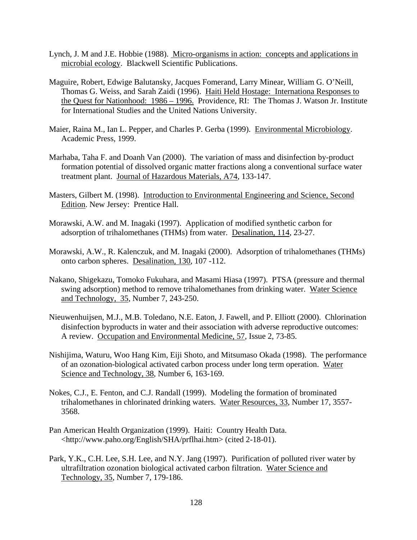- Lynch, J. M and J.E. Hobbie (1988). Micro-organisms in action: concepts and applications in microbial ecology. Blackwell Scientific Publications.
- Maguire, Robert, Edwige Balutansky, Jacques Fomerand, Larry Minear, William G. O'Neill, Thomas G. Weiss, and Sarah Zaidi (1996). Haiti Held Hostage: Internationa Responses to the Quest for Nationhood: 1986 – 1996. Providence, RI: The Thomas J. Watson Jr. Institute for International Studies and the United Nations University.
- Maier, Raina M., Ian L. Pepper, and Charles P. Gerba (1999). Environmental Microbiology. Academic Press, 1999.
- Marhaba, Taha F. and Doanh Van (2000). The variation of mass and disinfection by-product formation potential of dissolved organic matter fractions along a conventional surface water treatment plant. Journal of Hazardous Materials, A74, 133-147.
- Masters, Gilbert M. (1998). Introduction to Environmental Engineering and Science, Second Edition. New Jersey: Prentice Hall.
- Morawski, A.W. and M. Inagaki (1997). Application of modified synthetic carbon for adsorption of trihalomethanes (THMs) from water. Desalination, 114, 23-27.
- Morawski, A.W., R. Kalenczuk, and M. Inagaki (2000). Adsorption of trihalomethanes (THMs) onto carbon spheres. Desalination, 130, 107 -112.
- Nakano, Shigekazu, Tomoko Fukuhara, and Masami Hiasa (1997). PTSA (pressure and thermal swing adsorption) method to remove trihalomethanes from drinking water. Water Science and Technology, 35, Number 7, 243-250.
- Nieuwenhuijsen, M.J., M.B. Toledano, N.E. Eaton, J. Fawell, and P. Elliott (2000). Chlorination disinfection byproducts in water and their association with adverse reproductive outcomes: A review. Occupation and Environmental Medicine, 57, Issue 2, 73-85.
- Nishijima, Waturu, Woo Hang Kim, Eiji Shoto, and Mitsumaso Okada (1998). The performance of an ozonation-biological activated carbon process under long term operation. Water Science and Technology, 38, Number 6, 163-169.
- Nokes, C.J., E. Fenton, and C.J. Randall (1999). Modeling the formation of brominated trihalomethanes in chlorinated drinking waters. Water Resources, 33, Number 17, 3557- 3568.
- Pan American Health Organization (1999). Haiti: Country Health Data. <http://www.paho.org/English/SHA/prflhai.htm> (cited 2-18-01).
- Park, Y.K., C.H. Lee, S.H. Lee, and N.Y. Jang (1997). Purification of polluted river water by ultrafiltration ozonation biological activated carbon filtration. Water Science and Technology, 35, Number 7, 179-186.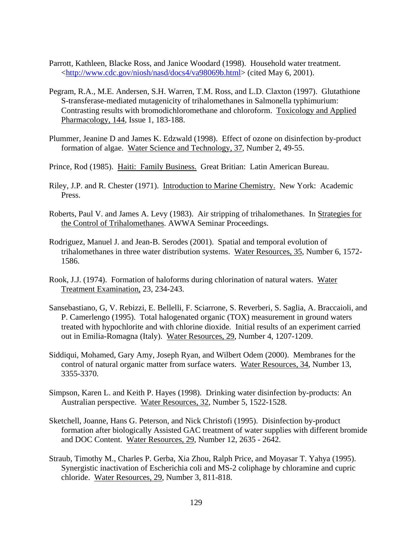- Parrott, Kathleen, Blacke Ross, and Janice Woodard (1998). Household water treatment. <http://www.cdc.gov/niosh/nasd/docs4/va98069b.html> (cited May 6, 2001).
- Pegram, R.A., M.E. Andersen, S.H. Warren, T.M. Ross, and L.D. Claxton (1997). Glutathione S-transferase-mediated mutagenicity of trihalomethanes in Salmonella typhimurium: Contrasting results with bromodichloromethane and chloroform. Toxicology and Applied Pharmacology, 144, Issue 1, 183-188.
- Plummer, Jeanine D and James K. Edzwald (1998). Effect of ozone on disinfection by-product formation of algae. Water Science and Technology, 37, Number 2, 49-55.
- Prince, Rod (1985). Haiti: Family Business. Great Britian: Latin American Bureau.
- Riley, J.P. and R. Chester (1971). Introduction to Marine Chemistry. New York: Academic Press.
- Roberts, Paul V. and James A. Levy (1983). Air stripping of trihalomethanes. In Strategies for the Control of Trihalomethanes. AWWA Seminar Proceedings.
- Rodriguez, Manuel J. and Jean-B. Serodes (2001). Spatial and temporal evolution of trihalomethanes in three water distribution systems. Water Resources, 35, Number 6, 1572- 1586.
- Rook, J.J. (1974). Formation of haloforms during chlorination of natural waters. Water Treatment Examination, 23, 234-243.
- Sansebastiano, G, V. Rebizzi, E. Bellelli, F. Sciarrone, S. Reverberi, S. Saglia, A. Braccaioli, and P. Camerlengo (1995). Total halogenated organic (TOX) measurement in ground waters treated with hypochlorite and with chlorine dioxide. Initial results of an experiment carried out in Emilia-Romagna (Italy). Water Resources, 29, Number 4, 1207-1209.
- Siddiqui, Mohamed, Gary Amy, Joseph Ryan, and Wilbert Odem (2000). Membranes for the control of natural organic matter from surface waters. Water Resources, 34, Number 13, 3355-3370.
- Simpson, Karen L. and Keith P. Hayes (1998). Drinking water disinfection by-products: An Australian perspective. Water Resources, 32, Number 5, 1522-1528.
- Sketchell, Joanne, Hans G. Peterson, and Nick Christofi (1995). Disinfection by-product formation after biologically Assisted GAC treatment of water supplies with different bromide and DOC Content. Water Resources, 29, Number 12, 2635 - 2642.
- Straub, Timothy M., Charles P. Gerba, Xia Zhou, Ralph Price, and Moyasar T. Yahya (1995). Synergistic inactivation of Escherichia coli and MS-2 coliphage by chloramine and cupric chloride. Water Resources, 29, Number 3, 811-818.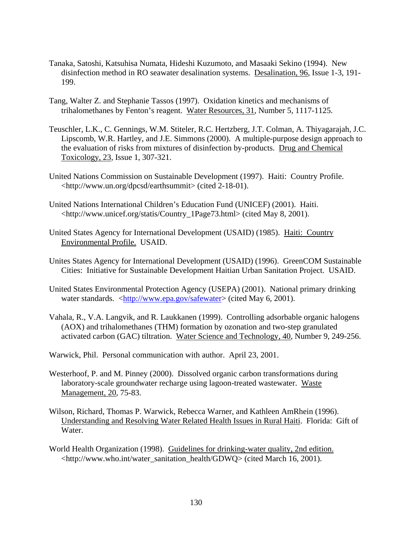- Tanaka, Satoshi, Katsuhisa Numata, Hideshi Kuzumoto, and Masaaki Sekino (1994). New disinfection method in RO seawater desalination systems. Desalination, 96, Issue 1-3, 191- 199.
- Tang, Walter Z. and Stephanie Tassos (1997). Oxidation kinetics and mechanisms of trihalomethanes by Fenton's reagent. Water Resources, 31, Number 5, 1117-1125.
- Teuschler, L.K., C. Gennings, W.M. Stiteler, R.C. Hertzberg, J.T. Colman, A. Thiyagarajah, J.C. Lipscomb, W.R. Hartley, and J.E. Simmons (2000). A multiple-purpose design approach to the evaluation of risks from mixtures of disinfection by-products. Drug and Chemical Toxicology, 23, Issue 1, 307-321.
- United Nations Commission on Sustainable Development (1997). Haiti: Country Profile. <http://www.un.org/dpcsd/earthsummit> (cited 2-18-01).
- United Nations International Children's Education Fund (UNICEF) (2001). Haiti. <http://www.unicef.org/statis/Country\_1Page73.html> (cited May 8, 2001).
- United States Agency for International Development (USAID) (1985). Haiti: Country Environmental Profile. USAID.
- Unites States Agency for International Development (USAID) (1996). GreenCOM Sustainable Cities: Initiative for Sustainable Development Haitian Urban Sanitation Project. USAID.
- United States Environmental Protection Agency (USEPA) (2001). National primary drinking water standards. <http://www.epa.gov/safewater> (cited May 6, 2001).
- Vahala, R., V.A. Langvik, and R. Laukkanen (1999). Controlling adsorbable organic halogens (AOX) and trihalomethanes (THM) formation by ozonation and two-step granulated activated carbon (GAC) tiltration. Water Science and Technology, 40, Number 9, 249-256.

Warwick, Phil. Personal communication with author. April 23, 2001.

- Westerhoof, P. and M. Pinney (2000). Dissolved organic carbon transformations during laboratory-scale groundwater recharge using lagoon-treated wastewater. Waste Management, 20, 75-83.
- Wilson, Richard, Thomas P. Warwick, Rebecca Warner, and Kathleen AmRhein (1996). Understanding and Resolving Water Related Health Issues in Rural Haiti. Florida: Gift of Water.
- World Health Organization (1998). Guidelines for drinking-water quality, 2nd edition. <http://www.who.int/water\_sanitation\_health/GDWQ> (cited March 16, 2001).